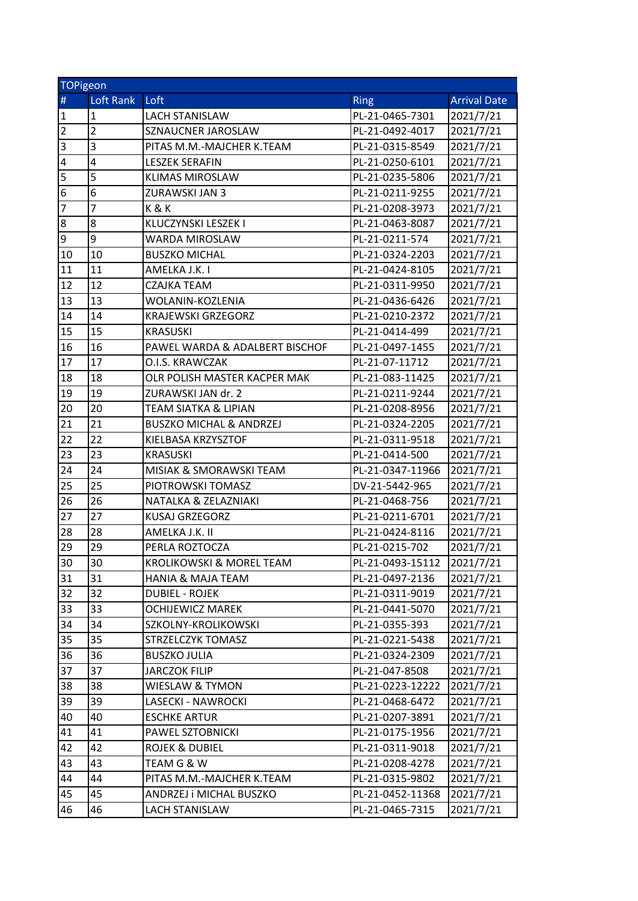| <b>TOPigeon</b> |                         |                                     |                  |                     |  |
|-----------------|-------------------------|-------------------------------------|------------------|---------------------|--|
| $\#$            | Loft Rank               | Loft                                | Ring             | <b>Arrival Date</b> |  |
| $\overline{1}$  | $\mathbf 1$             | <b>LACH STANISLAW</b>               | PL-21-0465-7301  | 2021/7/21           |  |
| $\overline{2}$  | $\overline{2}$          | SZNAUCNER JAROSLAW                  | PL-21-0492-4017  | 2021/7/21           |  |
| $\overline{3}$  | $\overline{\mathbf{3}}$ | PITAS M.M.-MAJCHER K.TEAM           | PL-21-0315-8549  | 2021/7/21           |  |
| $\overline{4}$  | $\overline{a}$          | <b>LESZEK SERAFIN</b>               | PL-21-0250-6101  | 2021/7/21           |  |
| 5               | 5                       | <b>KLIMAS MIROSLAW</b>              | PL-21-0235-5806  | 2021/7/21           |  |
| 6               | 6                       | ZURAWSKI JAN 3                      | PL-21-0211-9255  | 2021/7/21           |  |
| 7               | $\overline{7}$          | K&K                                 | PL-21-0208-3973  | 2021/7/21           |  |
| 8               | 8                       | KLUCZYNSKI LESZEK I                 | PL-21-0463-8087  | 2021/7/21           |  |
| 9               | 9                       | WARDA MIROSLAW                      | PL-21-0211-574   | 2021/7/21           |  |
| 10              | 10                      | <b>BUSZKO MICHAL</b>                | PL-21-0324-2203  | 2021/7/21           |  |
| 11              | 11                      | AMELKA J.K. I                       | PL-21-0424-8105  | 2021/7/21           |  |
| 12              | 12                      | CZAJKA TEAM                         | PL-21-0311-9950  | 2021/7/21           |  |
| 13              | 13                      | WOLANIN-KOZLENIA                    | PL-21-0436-6426  | 2021/7/21           |  |
| 14              | 14                      | <b>KRAJEWSKI GRZEGORZ</b>           | PL-21-0210-2372  | 2021/7/21           |  |
| 15              | 15                      | <b>KRASUSKI</b>                     | PL-21-0414-499   | 2021/7/21           |  |
| 16              | 16                      | PAWEL WARDA & ADALBERT BISCHOF      | PL-21-0497-1455  | 2021/7/21           |  |
| 17              | 17                      | O.I.S. KRAWCZAK                     | PL-21-07-11712   | 2021/7/21           |  |
| 18              | 18                      | OLR POLISH MASTER KACPER MAK        | PL-21-083-11425  | 2021/7/21           |  |
| 19              | 19                      | ZURAWSKI JAN dr. 2                  | PL-21-0211-9244  | 2021/7/21           |  |
| 20              | 20                      | TEAM SIATKA & LIPIAN                | PL-21-0208-8956  | 2021/7/21           |  |
| 21              | 21                      | <b>BUSZKO MICHAL &amp; ANDRZEJ</b>  | PL-21-0324-2205  | 2021/7/21           |  |
| 22              | 22                      | KIELBASA KRZYSZTOF                  | PL-21-0311-9518  | 2021/7/21           |  |
| 23              | 23                      | <b>KRASUSKI</b>                     | PL-21-0414-500   | 2021/7/21           |  |
| 24              | 24                      | MISIAK & SMORAWSKI TEAM             | PL-21-0347-11966 | 2021/7/21           |  |
| 25              | 25                      | PIOTROWSKI TOMASZ                   | DV-21-5442-965   | 2021/7/21           |  |
| 26              | 26                      | NATALKA & ZELAZNIAKI                | PL-21-0468-756   | 2021/7/21           |  |
| 27              | 27                      | <b>KUSAJ GRZEGORZ</b>               | PL-21-0211-6701  | 2021/7/21           |  |
| 28              | 28                      | AMELKA J.K. II                      | PL-21-0424-8116  | 2021/7/21           |  |
| 29              | 29                      | PERLA ROZTOCZA                      | PL-21-0215-702   | 2021/7/21           |  |
| 30              | 30                      | <b>KROLIKOWSKI &amp; MOREL TEAM</b> | PL-21-0493-15112 | 2021/7/21           |  |
| 31              | 31                      | <b>HANIA &amp; MAJA TEAM</b>        | PL-21-0497-2136  | 2021/7/21           |  |
| 32              | 32                      | DUBIEL - ROJEK                      | PL-21-0311-9019  | 2021/7/21           |  |
| 33              | 33                      | <b>OCHIJEWICZ MAREK</b>             | PL-21-0441-5070  | 2021/7/21           |  |
| 34              | 34                      | SZKOLNY-KROLIKOWSKI                 | PL-21-0355-393   | 2021/7/21           |  |
| 35              | 35                      | STRZELCZYK TOMASZ                   | PL-21-0221-5438  | 2021/7/21           |  |
| 36              | 36                      | <b>BUSZKO JULIA</b>                 | PL-21-0324-2309  | 2021/7/21           |  |
| 37              | 37                      | JARCZOK FILIP                       | PL-21-047-8508   | 2021/7/21           |  |
| 38              | 38                      | WIESLAW & TYMON                     | PL-21-0223-12222 | 2021/7/21           |  |
| 39              | 39                      | LASECKI - NAWROCKI                  | PL-21-0468-6472  | 2021/7/21           |  |
| 40              | 40                      | <b>ESCHKE ARTUR</b>                 | PL-21-0207-3891  | 2021/7/21           |  |
| 41              | 41                      | PAWEL SZTOBNICKI                    | PL-21-0175-1956  | 2021/7/21           |  |
| 42              | 42                      | ROJEK & DUBIEL                      | PL-21-0311-9018  | 2021/7/21           |  |
| 43              | 43                      | TEAM G & W                          | PL-21-0208-4278  | 2021/7/21           |  |
| 44              | 44                      | PITAS M.M.-MAJCHER K.TEAM           | PL-21-0315-9802  | 2021/7/21           |  |
| 45              | 45                      | ANDRZEJ i MICHAL BUSZKO             | PL-21-0452-11368 | 2021/7/21           |  |
| 46              | 46                      | LACH STANISLAW                      | PL-21-0465-7315  | 2021/7/21           |  |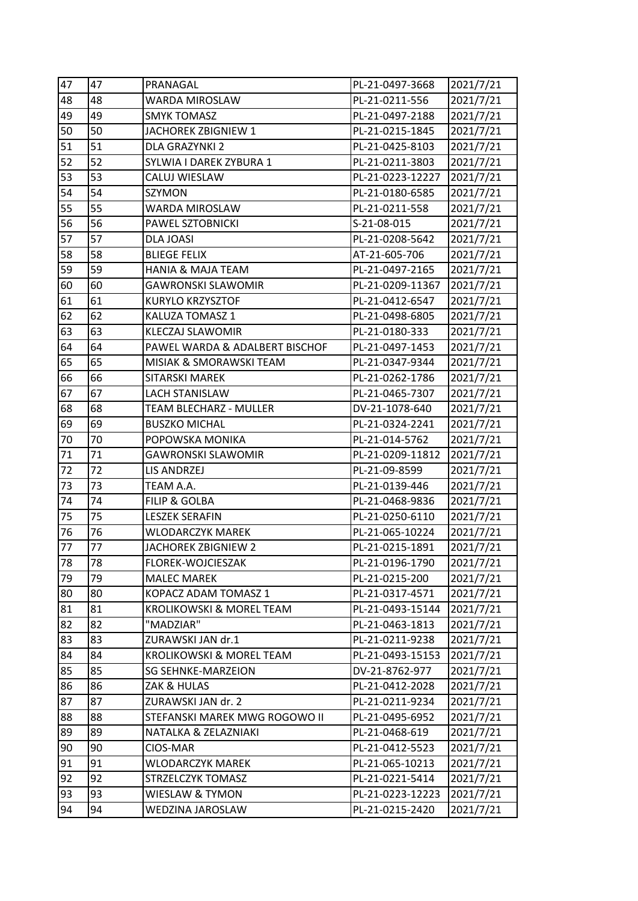| 47 | 47 | PRANAGAL                       | PL-21-0497-3668  | 2021/7/21 |
|----|----|--------------------------------|------------------|-----------|
| 48 | 48 | WARDA MIROSLAW                 | PL-21-0211-556   | 2021/7/21 |
| 49 | 49 | <b>SMYK TOMASZ</b>             | PL-21-0497-2188  | 2021/7/21 |
| 50 | 50 | JACHOREK ZBIGNIEW 1            | PL-21-0215-1845  | 2021/7/21 |
| 51 | 51 | <b>DLA GRAZYNKI 2</b>          | PL-21-0425-8103  | 2021/7/21 |
| 52 | 52 | SYLWIA I DAREK ZYBURA 1        | PL-21-0211-3803  | 2021/7/21 |
| 53 | 53 | CALUJ WIESLAW                  | PL-21-0223-12227 | 2021/7/21 |
| 54 | 54 | SZYMON                         | PL-21-0180-6585  | 2021/7/21 |
| 55 | 55 | WARDA MIROSLAW                 | PL-21-0211-558   | 2021/7/21 |
| 56 | 56 | PAWEL SZTOBNICKI               | S-21-08-015      | 2021/7/21 |
| 57 | 57 | DLA JOASI                      | PL-21-0208-5642  | 2021/7/21 |
| 58 | 58 | <b>BLIEGE FELIX</b>            | AT-21-605-706    | 2021/7/21 |
| 59 | 59 | <b>HANIA &amp; MAJA TEAM</b>   | PL-21-0497-2165  | 2021/7/21 |
| 60 | 60 | <b>GAWRONSKI SLAWOMIR</b>      | PL-21-0209-11367 | 2021/7/21 |
| 61 | 61 | <b>KURYLO KRZYSZTOF</b>        | PL-21-0412-6547  | 2021/7/21 |
| 62 | 62 | KALUZA TOMASZ 1                | PL-21-0498-6805  | 2021/7/21 |
| 63 | 63 | <b>KLECZAJ SLAWOMIR</b>        | PL-21-0180-333   | 2021/7/21 |
| 64 | 64 | PAWEL WARDA & ADALBERT BISCHOF | PL-21-0497-1453  | 2021/7/21 |
| 65 | 65 | MISIAK & SMORAWSKI TEAM        | PL-21-0347-9344  | 2021/7/21 |
| 66 | 66 | <b>SITARSKI MAREK</b>          | PL-21-0262-1786  | 2021/7/21 |
| 67 | 67 | <b>LACH STANISLAW</b>          | PL-21-0465-7307  | 2021/7/21 |
| 68 | 68 | <b>TEAM BLECHARZ - MULLER</b>  | DV-21-1078-640   | 2021/7/21 |
| 69 | 69 | <b>BUSZKO MICHAL</b>           | PL-21-0324-2241  | 2021/7/21 |
| 70 | 70 | POPOWSKA MONIKA                | PL-21-014-5762   | 2021/7/21 |
| 71 | 71 | <b>GAWRONSKI SLAWOMIR</b>      | PL-21-0209-11812 | 2021/7/21 |
| 72 | 72 | LIS ANDRZEJ                    | PL-21-09-8599    | 2021/7/21 |
| 73 | 73 | TEAM A.A.                      | PL-21-0139-446   | 2021/7/21 |
| 74 | 74 | FILIP & GOLBA                  | PL-21-0468-9836  | 2021/7/21 |
| 75 | 75 | <b>LESZEK SERAFIN</b>          | PL-21-0250-6110  | 2021/7/21 |
| 76 | 76 | <b>WLODARCZYK MAREK</b>        | PL-21-065-10224  | 2021/7/21 |
| 77 | 77 | <b>JACHOREK ZBIGNIEW 2</b>     | PL-21-0215-1891  | 2021/7/21 |
| 78 | 78 | FLOREK-WOJCIESZAK              | PL-21-0196-1790  | 2021/7/21 |
| 79 | 79 | <b>MALEC MAREK</b>             | PL-21-0215-200   | 2021/7/21 |
| 80 | 80 | KOPACZ ADAM TOMASZ 1           | PL-21-0317-4571  | 2021/7/21 |
| 81 | 81 | KROLIKOWSKI & MOREL TEAM       | PL-21-0493-15144 | 2021/7/21 |
| 82 | 82 | "MADZIAR"                      | PL-21-0463-1813  | 2021/7/21 |
| 83 | 83 | ZURAWSKI JAN dr.1              | PL-21-0211-9238  | 2021/7/21 |
| 84 | 84 | KROLIKOWSKI & MOREL TEAM       | PL-21-0493-15153 | 2021/7/21 |
| 85 | 85 | SG SEHNKE-MARZEION             | DV-21-8762-977   | 2021/7/21 |
| 86 | 86 | ZAK & HULAS                    | PL-21-0412-2028  | 2021/7/21 |
| 87 | 87 | ZURAWSKI JAN dr. 2             | PL-21-0211-9234  | 2021/7/21 |
| 88 | 88 | STEFANSKI MAREK MWG ROGOWO II  | PL-21-0495-6952  | 2021/7/21 |
| 89 | 89 | NATALKA & ZELAZNIAKI           | PL-21-0468-619   | 2021/7/21 |
| 90 | 90 | CIOS-MAR                       | PL-21-0412-5523  | 2021/7/21 |
| 91 | 91 | <b>WLODARCZYK MAREK</b>        | PL-21-065-10213  | 2021/7/21 |
| 92 | 92 | STRZELCZYK TOMASZ              | PL-21-0221-5414  | 2021/7/21 |
| 93 | 93 | WIESLAW & TYMON                | PL-21-0223-12223 | 2021/7/21 |
| 94 | 94 | WEDZINA JAROSLAW               | PL-21-0215-2420  | 2021/7/21 |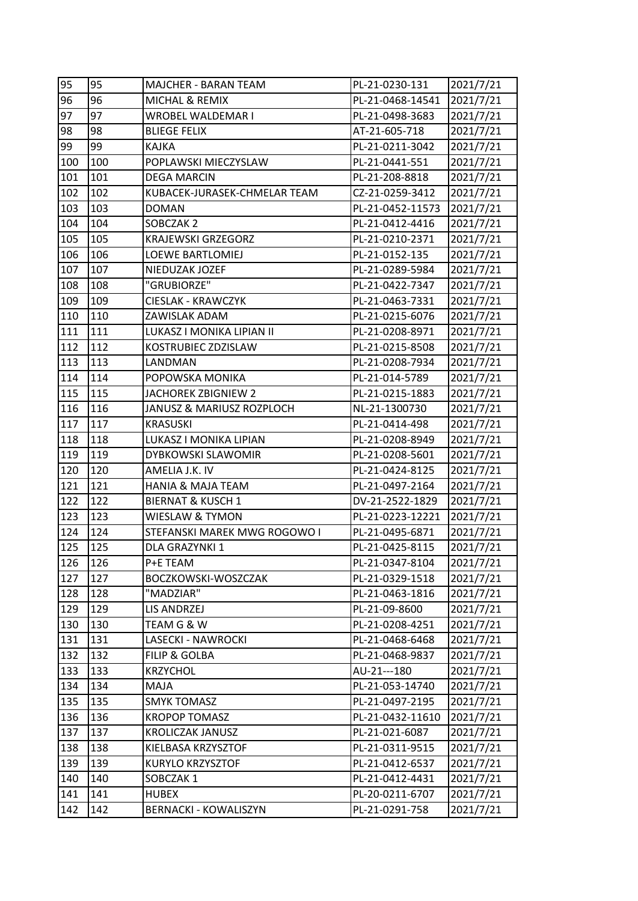| 95  | 95  | <b>MAJCHER - BARAN TEAM</b>  | PL-21-0230-131   | 2021/7/21 |
|-----|-----|------------------------------|------------------|-----------|
| 96  | 96  | MICHAL & REMIX               | PL-21-0468-14541 | 2021/7/21 |
| 97  | 97  | WROBEL WALDEMAR I            | PL-21-0498-3683  | 2021/7/21 |
| 98  | 98  | <b>BLIEGE FELIX</b>          | AT-21-605-718    | 2021/7/21 |
| 99  | 99  | <b>KAJKA</b>                 | PL-21-0211-3042  | 2021/7/21 |
| 100 | 100 | POPLAWSKI MIECZYSLAW         | PL-21-0441-551   | 2021/7/21 |
| 101 | 101 | <b>DEGA MARCIN</b>           | PL-21-208-8818   | 2021/7/21 |
| 102 | 102 | KUBACEK-JURASEK-CHMELAR TEAM | CZ-21-0259-3412  | 2021/7/21 |
| 103 | 103 | <b>DOMAN</b>                 | PL-21-0452-11573 | 2021/7/21 |
| 104 | 104 | SOBCZAK 2                    | PL-21-0412-4416  | 2021/7/21 |
| 105 | 105 | <b>KRAJEWSKI GRZEGORZ</b>    | PL-21-0210-2371  | 2021/7/21 |
| 106 | 106 | LOEWE BARTLOMIEJ             | PL-21-0152-135   | 2021/7/21 |
| 107 | 107 | NIEDUZAK JOZEF               | PL-21-0289-5984  | 2021/7/21 |
| 108 | 108 | "GRUBIORZE"                  | PL-21-0422-7347  | 2021/7/21 |
| 109 | 109 | <b>CIESLAK - KRAWCZYK</b>    | PL-21-0463-7331  | 2021/7/21 |
| 110 | 110 | ZAWISLAK ADAM                | PL-21-0215-6076  | 2021/7/21 |
| 111 | 111 | LUKASZ I MONIKA LIPIAN II    | PL-21-0208-8971  | 2021/7/21 |
| 112 | 112 | KOSTRUBIEC ZDZISLAW          | PL-21-0215-8508  | 2021/7/21 |
| 113 | 113 | LANDMAN                      | PL-21-0208-7934  | 2021/7/21 |
| 114 | 114 | POPOWSKA MONIKA              | PL-21-014-5789   | 2021/7/21 |
| 115 | 115 | JACHOREK ZBIGNIEW 2          | PL-21-0215-1883  | 2021/7/21 |
| 116 | 116 | JANUSZ & MARIUSZ ROZPLOCH    | NL-21-1300730    | 2021/7/21 |
| 117 | 117 | <b>KRASUSKI</b>              | PL-21-0414-498   | 2021/7/21 |
| 118 | 118 | LUKASZ I MONIKA LIPIAN       | PL-21-0208-8949  | 2021/7/21 |
| 119 | 119 | DYBKOWSKI SLAWOMIR           | PL-21-0208-5601  | 2021/7/21 |
| 120 | 120 | AMELIA J.K. IV               | PL-21-0424-8125  | 2021/7/21 |
| 121 | 121 | <b>HANIA &amp; MAJA TEAM</b> | PL-21-0497-2164  | 2021/7/21 |
| 122 | 122 | <b>BIERNAT &amp; KUSCH 1</b> | DV-21-2522-1829  | 2021/7/21 |
| 123 | 123 | WIESLAW & TYMON              | PL-21-0223-12221 | 2021/7/21 |
| 124 | 124 | STEFANSKI MAREK MWG ROGOWO I | PL-21-0495-6871  | 2021/7/21 |
| 125 | 125 | DLA GRAZYNKI 1               | PL-21-0425-8115  | 2021/7/21 |
| 126 | 126 | P+E TEAM                     | PL-21-0347-8104  | 2021/7/21 |
| 127 | 127 | BOCZKOWSKI-WOSZCZAK          | PL-21-0329-1518  | 2021/7/21 |
| 128 | 128 | "MADZIAR"                    | PL-21-0463-1816  | 2021/7/21 |
| 129 | 129 | LIS ANDRZEJ                  | PL-21-09-8600    | 2021/7/21 |
| 130 | 130 | TEAM G & W                   | PL-21-0208-4251  | 2021/7/21 |
| 131 | 131 | LASECKI - NAWROCKI           | PL-21-0468-6468  | 2021/7/21 |
| 132 | 132 | FILIP & GOLBA                | PL-21-0468-9837  | 2021/7/21 |
| 133 | 133 | <b>KRZYCHOL</b>              | AU-21---180      | 2021/7/21 |
| 134 | 134 | <b>MAJA</b>                  | PL-21-053-14740  | 2021/7/21 |
| 135 | 135 | <b>SMYK TOMASZ</b>           | PL-21-0497-2195  | 2021/7/21 |
| 136 | 136 | <b>KROPOP TOMASZ</b>         | PL-21-0432-11610 | 2021/7/21 |
| 137 | 137 | <b>KROLICZAK JANUSZ</b>      | PL-21-021-6087   | 2021/7/21 |
| 138 | 138 | KIELBASA KRZYSZTOF           | PL-21-0311-9515  | 2021/7/21 |
| 139 | 139 | KURYLO KRZYSZTOF             | PL-21-0412-6537  | 2021/7/21 |
| 140 | 140 | SOBCZAK 1                    | PL-21-0412-4431  | 2021/7/21 |
| 141 | 141 | <b>HUBEX</b>                 | PL-20-0211-6707  | 2021/7/21 |
| 142 | 142 | <b>BERNACKI - KOWALISZYN</b> | PL-21-0291-758   | 2021/7/21 |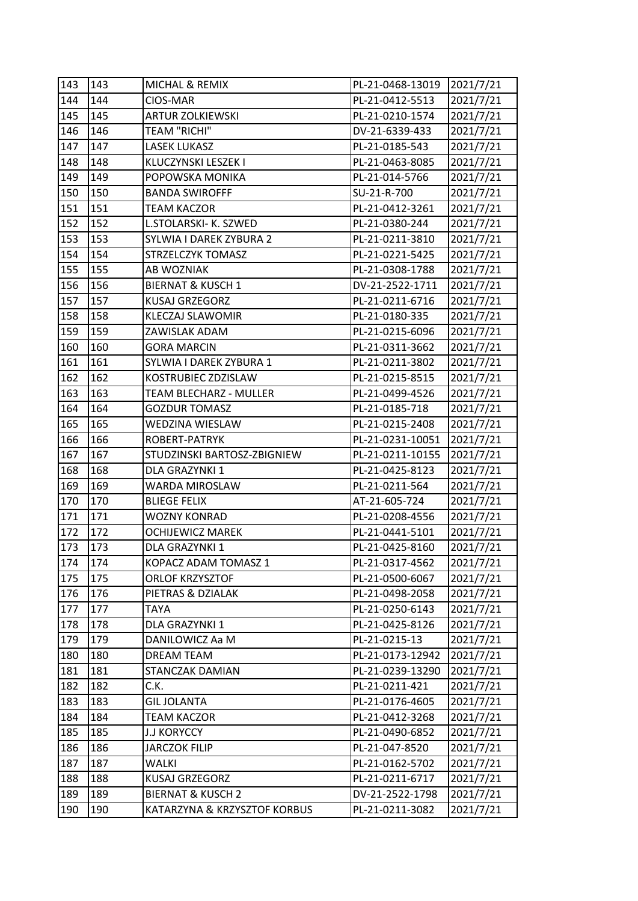| 143 | 143 | MICHAL & REMIX               | PL-21-0468-13019 | 2021/7/21 |
|-----|-----|------------------------------|------------------|-----------|
| 144 | 144 | CIOS-MAR                     | PL-21-0412-5513  | 2021/7/21 |
| 145 | 145 | <b>ARTUR ZOLKIEWSKI</b>      | PL-21-0210-1574  | 2021/7/21 |
| 146 | 146 | <b>TEAM "RICHI"</b>          | DV-21-6339-433   | 2021/7/21 |
| 147 | 147 | <b>LASEK LUKASZ</b>          | PL-21-0185-543   | 2021/7/21 |
| 148 | 148 | KLUCZYNSKI LESZEK I          | PL-21-0463-8085  | 2021/7/21 |
| 149 | 149 | POPOWSKA MONIKA              | PL-21-014-5766   | 2021/7/21 |
| 150 | 150 | <b>BANDA SWIROFFF</b>        | SU-21-R-700      | 2021/7/21 |
| 151 | 151 | <b>TEAM KACZOR</b>           | PL-21-0412-3261  | 2021/7/21 |
| 152 | 152 | L.STOLARSKI- K. SZWED        | PL-21-0380-244   | 2021/7/21 |
| 153 | 153 | SYLWIA I DAREK ZYBURA 2      | PL-21-0211-3810  | 2021/7/21 |
| 154 | 154 | STRZELCZYK TOMASZ            | PL-21-0221-5425  | 2021/7/21 |
| 155 | 155 | AB WOZNIAK                   | PL-21-0308-1788  | 2021/7/21 |
| 156 | 156 | <b>BIERNAT &amp; KUSCH 1</b> | DV-21-2522-1711  | 2021/7/21 |
| 157 | 157 | KUSAJ GRZEGORZ               | PL-21-0211-6716  | 2021/7/21 |
| 158 | 158 | <b>KLECZAJ SLAWOMIR</b>      | PL-21-0180-335   | 2021/7/21 |
| 159 | 159 | ZAWISLAK ADAM                | PL-21-0215-6096  | 2021/7/21 |
| 160 | 160 | <b>GORA MARCIN</b>           | PL-21-0311-3662  | 2021/7/21 |
| 161 | 161 | SYLWIA I DAREK ZYBURA 1      | PL-21-0211-3802  | 2021/7/21 |
| 162 | 162 | KOSTRUBIEC ZDZISLAW          | PL-21-0215-8515  | 2021/7/21 |
| 163 | 163 | TEAM BLECHARZ - MULLER       | PL-21-0499-4526  | 2021/7/21 |
| 164 | 164 | <b>GOZDUR TOMASZ</b>         | PL-21-0185-718   | 2021/7/21 |
| 165 | 165 | WEDZINA WIESLAW              | PL-21-0215-2408  | 2021/7/21 |
| 166 | 166 | ROBERT-PATRYK                | PL-21-0231-10051 | 2021/7/21 |
| 167 | 167 | STUDZINSKI BARTOSZ-ZBIGNIEW  | PL-21-0211-10155 | 2021/7/21 |
| 168 | 168 | DLA GRAZYNKI 1               | PL-21-0425-8123  | 2021/7/21 |
| 169 | 169 | WARDA MIROSLAW               | PL-21-0211-564   | 2021/7/21 |
| 170 | 170 | <b>BLIEGE FELIX</b>          | AT-21-605-724    | 2021/7/21 |
| 171 | 171 | <b>WOZNY KONRAD</b>          | PL-21-0208-4556  | 2021/7/21 |
| 172 | 172 | <b>OCHIJEWICZ MAREK</b>      | PL-21-0441-5101  | 2021/7/21 |
| 173 | 173 | DLA GRAZYNKI 1               | PL-21-0425-8160  | 2021/7/21 |
| 174 | 174 | KOPACZ ADAM TOMASZ 1         | PL-21-0317-4562  | 2021/7/21 |
| 175 | 175 | <b>ORLOF KRZYSZTOF</b>       | PL-21-0500-6067  | 2021/7/21 |
| 176 | 176 | PIETRAS & DZIALAK            | PL-21-0498-2058  | 2021/7/21 |
| 177 | 177 | <b>TAYA</b>                  | PL-21-0250-6143  | 2021/7/21 |
| 178 | 178 | DLA GRAZYNKI 1               | PL-21-0425-8126  | 2021/7/21 |
| 179 | 179 | DANILOWICZ Aa M              | PL-21-0215-13    | 2021/7/21 |
| 180 | 180 | <b>DREAM TEAM</b>            | PL-21-0173-12942 | 2021/7/21 |
| 181 | 181 | STANCZAK DAMIAN              | PL-21-0239-13290 | 2021/7/21 |
| 182 | 182 | C.K.                         | PL-21-0211-421   | 2021/7/21 |
| 183 | 183 | <b>GIL JOLANTA</b>           | PL-21-0176-4605  | 2021/7/21 |
| 184 | 184 | <b>TEAM KACZOR</b>           | PL-21-0412-3268  | 2021/7/21 |
| 185 | 185 | <b>J.J KORYCCY</b>           | PL-21-0490-6852  | 2021/7/21 |
| 186 | 186 | <b>JARCZOK FILIP</b>         | PL-21-047-8520   | 2021/7/21 |
| 187 | 187 | <b>WALKI</b>                 | PL-21-0162-5702  | 2021/7/21 |
| 188 | 188 | <b>KUSAJ GRZEGORZ</b>        | PL-21-0211-6717  | 2021/7/21 |
| 189 | 189 | <b>BIERNAT &amp; KUSCH 2</b> | DV-21-2522-1798  | 2021/7/21 |
| 190 | 190 | KATARZYNA & KRZYSZTOF KORBUS | PL-21-0211-3082  | 2021/7/21 |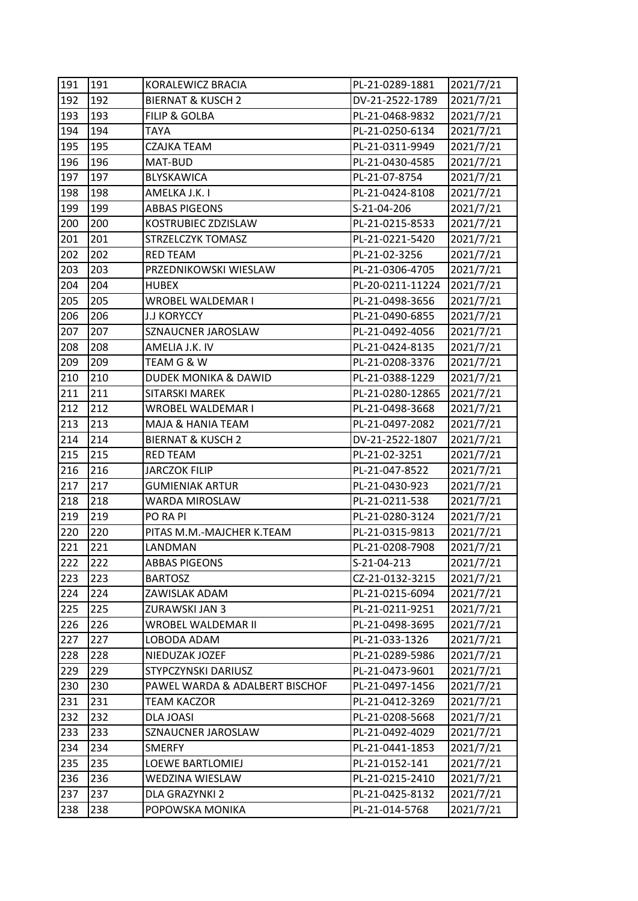| 191 | 191 | KORALEWICZ BRACIA               | PL-21-0289-1881  | 2021/7/21 |
|-----|-----|---------------------------------|------------------|-----------|
| 192 | 192 | <b>BIERNAT &amp; KUSCH 2</b>    | DV-21-2522-1789  | 2021/7/21 |
| 193 | 193 | <b>FILIP &amp; GOLBA</b>        | PL-21-0468-9832  | 2021/7/21 |
| 194 | 194 | <b>TAYA</b>                     | PL-21-0250-6134  | 2021/7/21 |
| 195 | 195 | <b>CZAJKA TEAM</b>              | PL-21-0311-9949  | 2021/7/21 |
| 196 | 196 | MAT-BUD                         | PL-21-0430-4585  | 2021/7/21 |
| 197 | 197 | BLYSKAWICA                      | PL-21-07-8754    | 2021/7/21 |
| 198 | 198 | AMELKA J.K. I                   | PL-21-0424-8108  | 2021/7/21 |
| 199 | 199 | <b>ABBAS PIGEONS</b>            | S-21-04-206      | 2021/7/21 |
| 200 | 200 | KOSTRUBIEC ZDZISLAW             | PL-21-0215-8533  | 2021/7/21 |
| 201 | 201 | STRZELCZYK TOMASZ               | PL-21-0221-5420  | 2021/7/21 |
| 202 | 202 | <b>RED TEAM</b>                 | PL-21-02-3256    | 2021/7/21 |
| 203 | 203 | PRZEDNIKOWSKI WIESLAW           | PL-21-0306-4705  | 2021/7/21 |
| 204 | 204 | <b>HUBEX</b>                    | PL-20-0211-11224 | 2021/7/21 |
| 205 | 205 | WROBEL WALDEMAR I               | PL-21-0498-3656  | 2021/7/21 |
| 206 | 206 | <b>J.J KORYCCY</b>              | PL-21-0490-6855  | 2021/7/21 |
| 207 | 207 | SZNAUCNER JAROSLAW              | PL-21-0492-4056  | 2021/7/21 |
| 208 | 208 | AMELIA J.K. IV                  | PL-21-0424-8135  | 2021/7/21 |
| 209 | 209 | TEAM G & W                      | PL-21-0208-3376  | 2021/7/21 |
| 210 | 210 | <b>DUDEK MONIKA &amp; DAWID</b> | PL-21-0388-1229  | 2021/7/21 |
| 211 | 211 | SITARSKI MAREK                  | PL-21-0280-12865 | 2021/7/21 |
| 212 | 212 | WROBEL WALDEMAR I               | PL-21-0498-3668  | 2021/7/21 |
| 213 | 213 | MAJA & HANIA TEAM               | PL-21-0497-2082  | 2021/7/21 |
| 214 | 214 | <b>BIERNAT &amp; KUSCH 2</b>    | DV-21-2522-1807  | 2021/7/21 |
| 215 | 215 | <b>RED TEAM</b>                 | PL-21-02-3251    | 2021/7/21 |
| 216 | 216 | JARCZOK FILIP                   | PL-21-047-8522   | 2021/7/21 |
| 217 | 217 | <b>GUMIENIAK ARTUR</b>          | PL-21-0430-923   | 2021/7/21 |
| 218 | 218 | <b>WARDA MIROSLAW</b>           | PL-21-0211-538   | 2021/7/21 |
| 219 | 219 | <b>PO RA PI</b>                 | PL-21-0280-3124  | 2021/7/21 |
| 220 | 220 | PITAS M.M.-MAJCHER K.TEAM       | PL-21-0315-9813  | 2021/7/21 |
| 221 | 221 | LANDMAN                         | PL-21-0208-7908  | 2021/7/21 |
| 222 | 222 | <b>ABBAS PIGEONS</b>            | S-21-04-213      | 2021/7/21 |
| 223 | 223 | <b>BARTOSZ</b>                  | CZ-21-0132-3215  | 2021/7/21 |
| 224 | 224 | ZAWISLAK ADAM                   | PL-21-0215-6094  | 2021/7/21 |
| 225 | 225 | ZURAWSKI JAN 3                  | PL-21-0211-9251  | 2021/7/21 |
| 226 | 226 | WROBEL WALDEMAR II              | PL-21-0498-3695  | 2021/7/21 |
| 227 | 227 | LOBODA ADAM                     | PL-21-033-1326   | 2021/7/21 |
| 228 | 228 | NIEDUZAK JOZEF                  | PL-21-0289-5986  | 2021/7/21 |
| 229 | 229 | STYPCZYNSKI DARIUSZ             | PL-21-0473-9601  | 2021/7/21 |
| 230 | 230 | PAWEL WARDA & ADALBERT BISCHOF  | PL-21-0497-1456  | 2021/7/21 |
| 231 | 231 | <b>TEAM KACZOR</b>              | PL-21-0412-3269  | 2021/7/21 |
| 232 | 232 | DLA JOASI                       | PL-21-0208-5668  | 2021/7/21 |
| 233 | 233 | SZNAUCNER JAROSLAW              | PL-21-0492-4029  | 2021/7/21 |
| 234 | 234 | <b>SMERFY</b>                   | PL-21-0441-1853  | 2021/7/21 |
| 235 | 235 | LOEWE BARTLOMIEJ                | PL-21-0152-141   | 2021/7/21 |
| 236 | 236 | WEDZINA WIESLAW                 | PL-21-0215-2410  | 2021/7/21 |
| 237 | 237 | DLA GRAZYNKI 2                  | PL-21-0425-8132  | 2021/7/21 |
| 238 | 238 | POPOWSKA MONIKA                 | PL-21-014-5768   | 2021/7/21 |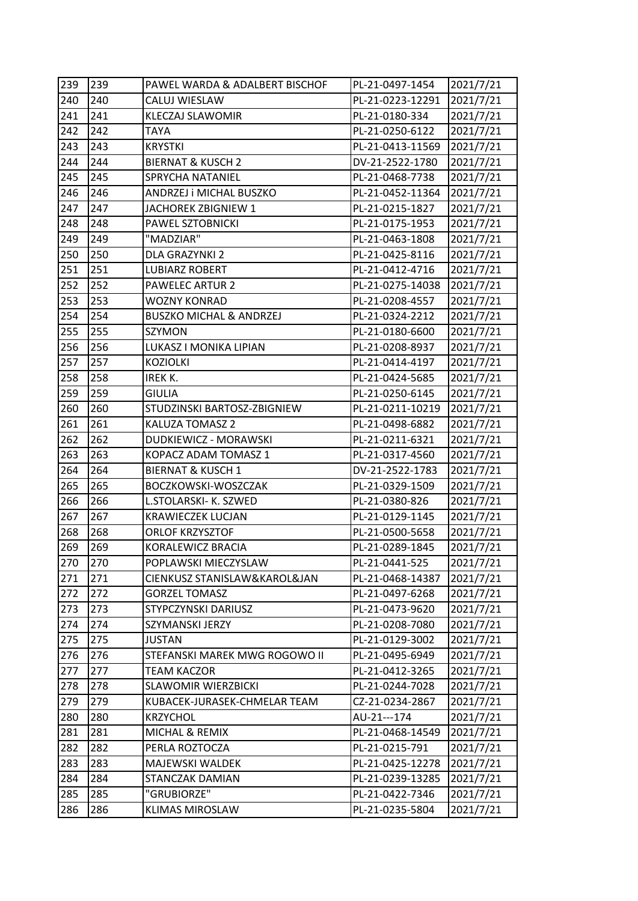| 239 | 239 | PAWEL WARDA & ADALBERT BISCHOF     | PL-21-0497-1454  | 2021/7/21 |
|-----|-----|------------------------------------|------------------|-----------|
| 240 | 240 | CALUJ WIESLAW                      | PL-21-0223-12291 | 2021/7/21 |
| 241 | 241 | <b>KLECZAJ SLAWOMIR</b>            | PL-21-0180-334   | 2021/7/21 |
| 242 | 242 | <b>TAYA</b>                        | PL-21-0250-6122  | 2021/7/21 |
| 243 | 243 | <b>KRYSTKI</b>                     | PL-21-0413-11569 | 2021/7/21 |
| 244 | 244 | <b>BIERNAT &amp; KUSCH 2</b>       | DV-21-2522-1780  | 2021/7/21 |
| 245 | 245 | SPRYCHA NATANIEL                   | PL-21-0468-7738  | 2021/7/21 |
| 246 | 246 | ANDRZEJ i MICHAL BUSZKO            | PL-21-0452-11364 | 2021/7/21 |
| 247 | 247 | JACHOREK ZBIGNIEW 1                | PL-21-0215-1827  | 2021/7/21 |
| 248 | 248 | PAWEL SZTOBNICKI                   | PL-21-0175-1953  | 2021/7/21 |
| 249 | 249 | "MADZIAR"                          | PL-21-0463-1808  | 2021/7/21 |
| 250 | 250 | DLA GRAZYNKI 2                     | PL-21-0425-8116  | 2021/7/21 |
| 251 | 251 | <b>LUBIARZ ROBERT</b>              | PL-21-0412-4716  | 2021/7/21 |
| 252 | 252 | <b>PAWELEC ARTUR 2</b>             | PL-21-0275-14038 | 2021/7/21 |
| 253 | 253 | <b>WOZNY KONRAD</b>                | PL-21-0208-4557  | 2021/7/21 |
| 254 | 254 | <b>BUSZKO MICHAL &amp; ANDRZEJ</b> | PL-21-0324-2212  | 2021/7/21 |
| 255 | 255 | SZYMON                             | PL-21-0180-6600  | 2021/7/21 |
| 256 | 256 | LUKASZ I MONIKA LIPIAN             | PL-21-0208-8937  | 2021/7/21 |
| 257 | 257 | <b>KOZIOLKI</b>                    | PL-21-0414-4197  | 2021/7/21 |
| 258 | 258 | IREK K.                            | PL-21-0424-5685  | 2021/7/21 |
| 259 | 259 | <b>GIULIA</b>                      | PL-21-0250-6145  | 2021/7/21 |
| 260 | 260 | STUDZINSKI BARTOSZ-ZBIGNIEW        | PL-21-0211-10219 | 2021/7/21 |
| 261 | 261 | KALUZA TOMASZ 2                    | PL-21-0498-6882  | 2021/7/21 |
| 262 | 262 | DUDKIEWICZ - MORAWSKI              | PL-21-0211-6321  | 2021/7/21 |
| 263 | 263 | KOPACZ ADAM TOMASZ 1               | PL-21-0317-4560  | 2021/7/21 |
| 264 | 264 | <b>BIERNAT &amp; KUSCH 1</b>       | DV-21-2522-1783  | 2021/7/21 |
| 265 | 265 | BOCZKOWSKI-WOSZCZAK                | PL-21-0329-1509  | 2021/7/21 |
| 266 | 266 | L.STOLARSKI- K. SZWED              | PL-21-0380-826   | 2021/7/21 |
| 267 | 267 | <b>KRAWIECZEK LUCJAN</b>           | PL-21-0129-1145  | 2021/7/21 |
| 268 | 268 | <b>ORLOF KRZYSZTOF</b>             | PL-21-0500-5658  | 2021/7/21 |
| 269 | 269 | KORALEWICZ BRACIA                  | PL-21-0289-1845  | 2021/7/21 |
| 270 | 270 | POPLAWSKI MIECZYSLAW               | PL-21-0441-525   | 2021/7/21 |
| 271 | 271 | CIENKUSZ STANISLAW&KAROL&JAN       | PL-21-0468-14387 | 2021/7/21 |
| 272 | 272 | <b>GORZEL TOMASZ</b>               | PL-21-0497-6268  | 2021/7/21 |
| 273 | 273 | STYPCZYNSKI DARIUSZ                | PL-21-0473-9620  | 2021/7/21 |
| 274 | 274 | SZYMANSKI JERZY                    | PL-21-0208-7080  | 2021/7/21 |
| 275 | 275 | <b>JUSTAN</b>                      | PL-21-0129-3002  | 2021/7/21 |
| 276 | 276 | STEFANSKI MAREK MWG ROGOWO II      | PL-21-0495-6949  | 2021/7/21 |
| 277 | 277 | <b>TEAM KACZOR</b>                 | PL-21-0412-3265  | 2021/7/21 |
| 278 | 278 | <b>SLAWOMIR WIERZBICKI</b>         | PL-21-0244-7028  | 2021/7/21 |
| 279 | 279 | KUBACEK-JURASEK-CHMELAR TEAM       | CZ-21-0234-2867  | 2021/7/21 |
| 280 | 280 | <b>KRZYCHOL</b>                    | AU-21---174      | 2021/7/21 |
| 281 | 281 | MICHAL & REMIX                     | PL-21-0468-14549 | 2021/7/21 |
| 282 | 282 | PERLA ROZTOCZA                     | PL-21-0215-791   | 2021/7/21 |
| 283 | 283 | MAJEWSKI WALDEK                    | PL-21-0425-12278 | 2021/7/21 |
| 284 | 284 | STANCZAK DAMIAN                    | PL-21-0239-13285 | 2021/7/21 |
| 285 | 285 | "GRUBIORZE"                        | PL-21-0422-7346  | 2021/7/21 |
| 286 | 286 | <b>KLIMAS MIROSLAW</b>             | PL-21-0235-5804  | 2021/7/21 |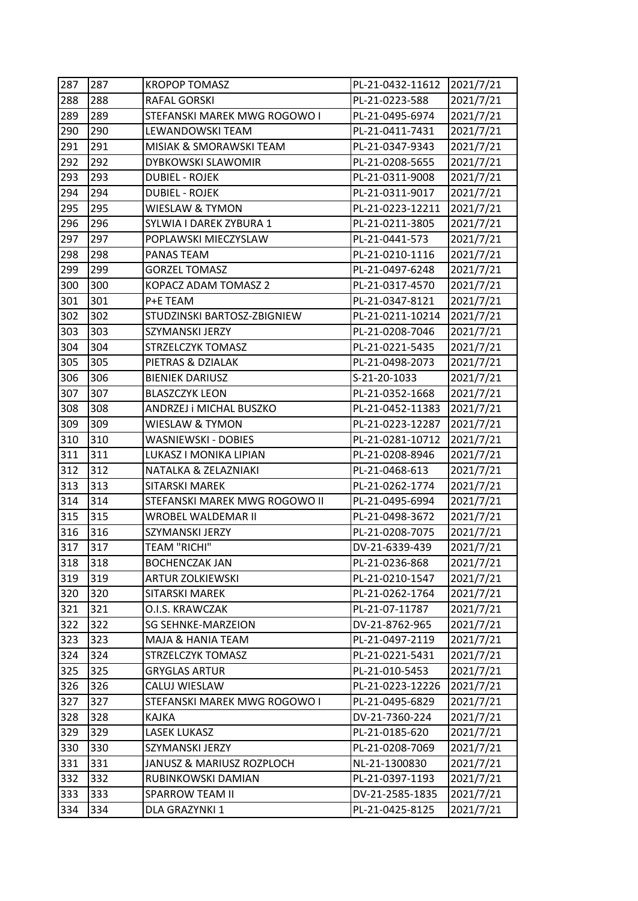| 287 | 287 | <b>KROPOP TOMASZ</b>          | PL-21-0432-11612 | 2021/7/21 |
|-----|-----|-------------------------------|------------------|-----------|
| 288 | 288 | RAFAL GORSKI                  | PL-21-0223-588   | 2021/7/21 |
| 289 | 289 | STEFANSKI MAREK MWG ROGOWO I  | PL-21-0495-6974  | 2021/7/21 |
| 290 | 290 | LEWANDOWSKI TEAM              | PL-21-0411-7431  | 2021/7/21 |
| 291 | 291 | MISIAK & SMORAWSKI TEAM       | PL-21-0347-9343  | 2021/7/21 |
| 292 | 292 | DYBKOWSKI SLAWOMIR            | PL-21-0208-5655  | 2021/7/21 |
| 293 | 293 | <b>DUBIEL - ROJEK</b>         | PL-21-0311-9008  | 2021/7/21 |
| 294 | 294 | <b>DUBIEL - ROJEK</b>         | PL-21-0311-9017  | 2021/7/21 |
| 295 | 295 | WIESLAW & TYMON               | PL-21-0223-12211 | 2021/7/21 |
| 296 | 296 | SYLWIA I DAREK ZYBURA 1       | PL-21-0211-3805  | 2021/7/21 |
| 297 | 297 | POPLAWSKI MIECZYSLAW          | PL-21-0441-573   | 2021/7/21 |
| 298 | 298 | PANAS TEAM                    | PL-21-0210-1116  | 2021/7/21 |
| 299 | 299 | <b>GORZEL TOMASZ</b>          | PL-21-0497-6248  | 2021/7/21 |
| 300 | 300 | KOPACZ ADAM TOMASZ 2          | PL-21-0317-4570  | 2021/7/21 |
| 301 | 301 | P+E TEAM                      | PL-21-0347-8121  | 2021/7/21 |
| 302 | 302 | STUDZINSKI BARTOSZ-ZBIGNIEW   | PL-21-0211-10214 | 2021/7/21 |
| 303 | 303 | SZYMANSKI JERZY               | PL-21-0208-7046  | 2021/7/21 |
| 304 | 304 | STRZELCZYK TOMASZ             | PL-21-0221-5435  | 2021/7/21 |
| 305 | 305 | PIETRAS & DZIALAK             | PL-21-0498-2073  | 2021/7/21 |
| 306 | 306 | <b>BIENIEK DARIUSZ</b>        | S-21-20-1033     | 2021/7/21 |
| 307 | 307 | <b>BLASZCZYK LEON</b>         | PL-21-0352-1668  | 2021/7/21 |
| 308 | 308 | ANDRZEJ i MICHAL BUSZKO       | PL-21-0452-11383 | 2021/7/21 |
| 309 | 309 | <b>WIESLAW &amp; TYMON</b>    | PL-21-0223-12287 | 2021/7/21 |
| 310 | 310 | WASNIEWSKI - DOBIES           | PL-21-0281-10712 | 2021/7/21 |
| 311 | 311 | LUKASZ I MONIKA LIPIAN        | PL-21-0208-8946  | 2021/7/21 |
| 312 | 312 | NATALKA & ZELAZNIAKI          | PL-21-0468-613   | 2021/7/21 |
| 313 | 313 | <b>SITARSKI MAREK</b>         | PL-21-0262-1774  | 2021/7/21 |
| 314 | 314 | STEFANSKI MAREK MWG ROGOWO II | PL-21-0495-6994  | 2021/7/21 |
| 315 | 315 | WROBEL WALDEMAR II            | PL-21-0498-3672  | 2021/7/21 |
| 316 | 316 | SZYMANSKI JERZY               | PL-21-0208-7075  | 2021/7/21 |
| 317 | 317 | <b>TEAM "RICHI"</b>           | DV-21-6339-439   | 2021/7/21 |
| 318 | 318 | <b>BOCHENCZAK JAN</b>         | PL-21-0236-868   | 2021/7/21 |
| 319 | 319 | <b>ARTUR ZOLKIEWSKI</b>       | PL-21-0210-1547  | 2021/7/21 |
| 320 | 320 | SITARSKI MAREK                | PL-21-0262-1764  | 2021/7/21 |
| 321 | 321 | O.I.S. KRAWCZAK               | PL-21-07-11787   | 2021/7/21 |
| 322 | 322 | <b>SG SEHNKE-MARZEION</b>     | DV-21-8762-965   | 2021/7/21 |
| 323 | 323 | MAJA & HANIA TEAM             | PL-21-0497-2119  | 2021/7/21 |
| 324 | 324 | STRZELCZYK TOMASZ             | PL-21-0221-5431  | 2021/7/21 |
| 325 | 325 | GRYGLAS ARTUR                 | PL-21-010-5453   | 2021/7/21 |
| 326 | 326 | CALUJ WIESLAW                 | PL-21-0223-12226 | 2021/7/21 |
| 327 | 327 | STEFANSKI MAREK MWG ROGOWO I  | PL-21-0495-6829  | 2021/7/21 |
| 328 | 328 | KAJKA                         | DV-21-7360-224   | 2021/7/21 |
| 329 | 329 | <b>LASEK LUKASZ</b>           | PL-21-0185-620   | 2021/7/21 |
| 330 | 330 | SZYMANSKI JERZY               | PL-21-0208-7069  | 2021/7/21 |
| 331 | 331 | JANUSZ & MARIUSZ ROZPLOCH     | NL-21-1300830    | 2021/7/21 |
| 332 | 332 | RUBINKOWSKI DAMIAN            | PL-21-0397-1193  | 2021/7/21 |
| 333 | 333 | SPARROW TEAM II               | DV-21-2585-1835  | 2021/7/21 |
| 334 | 334 | DLA GRAZYNKI 1                | PL-21-0425-8125  | 2021/7/21 |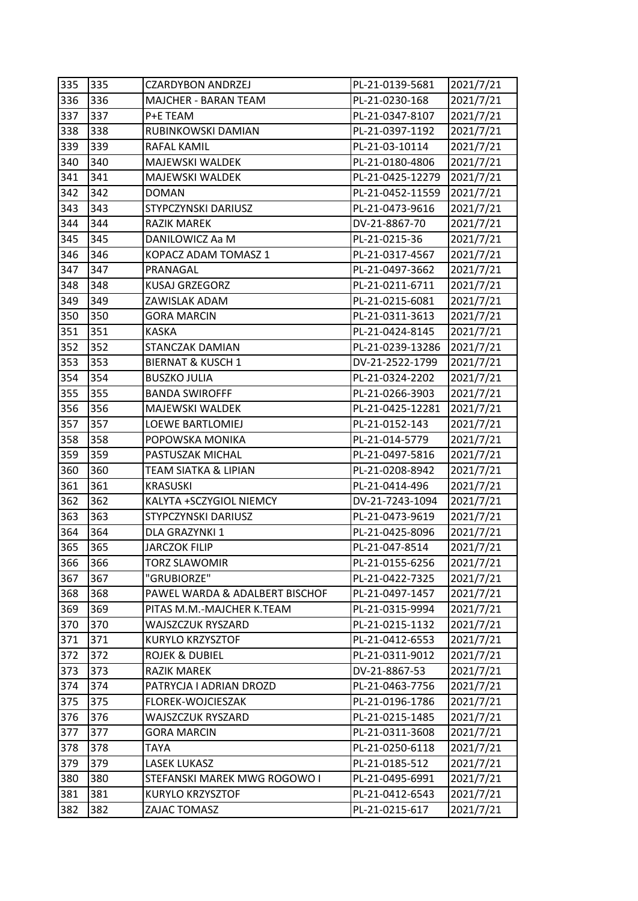| 335 | 335 | <b>CZARDYBON ANDRZEJ</b>       | PL-21-0139-5681  | 2021/7/21 |
|-----|-----|--------------------------------|------------------|-----------|
| 336 | 336 | MAJCHER - BARAN TEAM           | PL-21-0230-168   | 2021/7/21 |
| 337 | 337 | P+E TEAM                       | PL-21-0347-8107  | 2021/7/21 |
| 338 | 338 | RUBINKOWSKI DAMIAN             | PL-21-0397-1192  | 2021/7/21 |
| 339 | 339 | RAFAL KAMIL                    | PL-21-03-10114   | 2021/7/21 |
| 340 | 340 | MAJEWSKI WALDEK                | PL-21-0180-4806  | 2021/7/21 |
| 341 | 341 | MAJEWSKI WALDEK                | PL-21-0425-12279 | 2021/7/21 |
| 342 | 342 | <b>DOMAN</b>                   | PL-21-0452-11559 | 2021/7/21 |
| 343 | 343 | STYPCZYNSKI DARIUSZ            | PL-21-0473-9616  | 2021/7/21 |
| 344 | 344 | RAZIK MAREK                    | DV-21-8867-70    | 2021/7/21 |
| 345 | 345 | DANILOWICZ Aa M                | PL-21-0215-36    | 2021/7/21 |
| 346 | 346 | KOPACZ ADAM TOMASZ 1           | PL-21-0317-4567  | 2021/7/21 |
| 347 | 347 | PRANAGAL                       | PL-21-0497-3662  | 2021/7/21 |
| 348 | 348 | KUSAJ GRZEGORZ                 | PL-21-0211-6711  | 2021/7/21 |
| 349 | 349 | ZAWISLAK ADAM                  | PL-21-0215-6081  | 2021/7/21 |
| 350 | 350 | <b>GORA MARCIN</b>             | PL-21-0311-3613  | 2021/7/21 |
| 351 | 351 | KASKA                          | PL-21-0424-8145  | 2021/7/21 |
| 352 | 352 | STANCZAK DAMIAN                | PL-21-0239-13286 | 2021/7/21 |
| 353 | 353 | <b>BIERNAT &amp; KUSCH 1</b>   | DV-21-2522-1799  | 2021/7/21 |
| 354 | 354 | <b>BUSZKO JULIA</b>            | PL-21-0324-2202  | 2021/7/21 |
| 355 | 355 | <b>BANDA SWIROFFF</b>          | PL-21-0266-3903  | 2021/7/21 |
| 356 | 356 | MAJEWSKI WALDEK                | PL-21-0425-12281 | 2021/7/21 |
| 357 | 357 | LOEWE BARTLOMIEJ               | PL-21-0152-143   | 2021/7/21 |
| 358 | 358 | POPOWSKA MONIKA                | PL-21-014-5779   | 2021/7/21 |
| 359 | 359 | PASTUSZAK MICHAL               | PL-21-0497-5816  | 2021/7/21 |
| 360 | 360 | TEAM SIATKA & LIPIAN           | PL-21-0208-8942  | 2021/7/21 |
| 361 | 361 | <b>KRASUSKI</b>                | PL-21-0414-496   | 2021/7/21 |
| 362 | 362 | KALYTA +SCZYGIOL NIEMCY        | DV-21-7243-1094  | 2021/7/21 |
| 363 | 363 | STYPCZYNSKI DARIUSZ            | PL-21-0473-9619  | 2021/7/21 |
| 364 | 364 | DLA GRAZYNKI 1                 | PL-21-0425-8096  | 2021/7/21 |
| 365 | 365 | <b>JARCZOK FILIP</b>           | PL-21-047-8514   | 2021/7/21 |
| 366 | 366 | <b>TORZ SLAWOMIR</b>           | PL-21-0155-6256  | 2021/7/21 |
| 367 | 367 | "GRUBIORZE"                    | PL-21-0422-7325  | 2021/7/21 |
| 368 | 368 | PAWEL WARDA & ADALBERT BISCHOF | PL-21-0497-1457  | 2021/7/21 |
| 369 | 369 | PITAS M.M.-MAJCHER K.TEAM      | PL-21-0315-9994  | 2021/7/21 |
| 370 | 370 | WAJSZCZUK RYSZARD              | PL-21-0215-1132  | 2021/7/21 |
| 371 | 371 | KURYLO KRZYSZTOF               | PL-21-0412-6553  | 2021/7/21 |
| 372 | 372 | <b>ROJEK &amp; DUBIEL</b>      | PL-21-0311-9012  | 2021/7/21 |
| 373 | 373 | <b>RAZIK MAREK</b>             | DV-21-8867-53    | 2021/7/21 |
| 374 | 374 | PATRYCJA I ADRIAN DROZD        | PL-21-0463-7756  | 2021/7/21 |
| 375 | 375 | FLOREK-WOJCIESZAK              | PL-21-0196-1786  | 2021/7/21 |
| 376 | 376 | WAJSZCZUK RYSZARD              | PL-21-0215-1485  | 2021/7/21 |
| 377 | 377 | <b>GORA MARCIN</b>             | PL-21-0311-3608  | 2021/7/21 |
| 378 | 378 | TAYA                           | PL-21-0250-6118  | 2021/7/21 |
| 379 | 379 | <b>LASEK LUKASZ</b>            | PL-21-0185-512   | 2021/7/21 |
| 380 | 380 | STEFANSKI MAREK MWG ROGOWO I   | PL-21-0495-6991  | 2021/7/21 |
| 381 | 381 | KURYLO KRZYSZTOF               | PL-21-0412-6543  | 2021/7/21 |
| 382 | 382 | ZAJAC TOMASZ                   | PL-21-0215-617   | 2021/7/21 |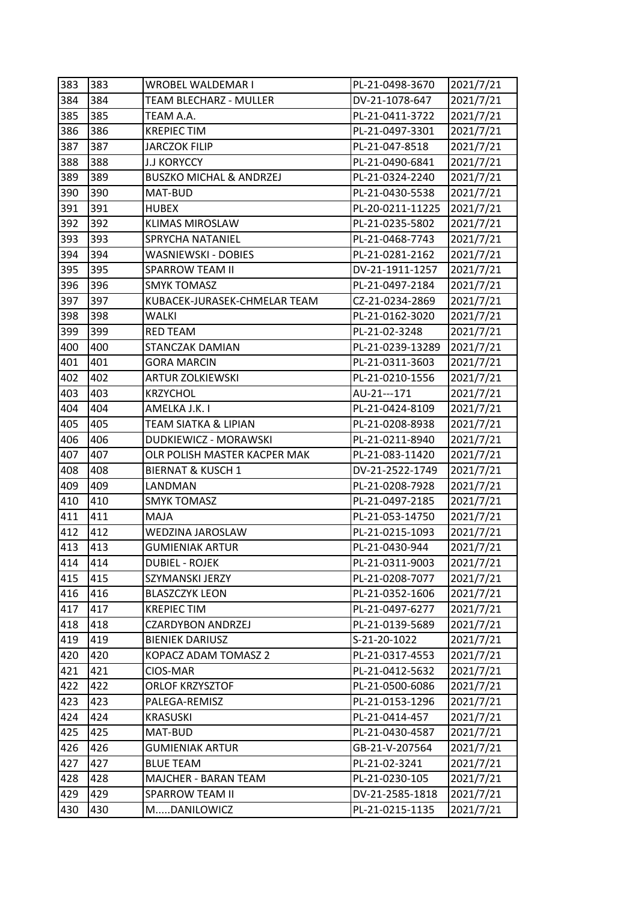| 383 | 383 | WROBEL WALDEMAR I                  | PL-21-0498-3670  | 2021/7/21 |
|-----|-----|------------------------------------|------------------|-----------|
| 384 | 384 | <b>TEAM BLECHARZ - MULLER</b>      | DV-21-1078-647   | 2021/7/21 |
| 385 | 385 | TEAM A.A.                          | PL-21-0411-3722  | 2021/7/21 |
| 386 | 386 | <b>KREPIEC TIM</b>                 | PL-21-0497-3301  | 2021/7/21 |
| 387 | 387 | <b>JARCZOK FILIP</b>               | PL-21-047-8518   | 2021/7/21 |
| 388 | 388 | <b>J.J KORYCCY</b>                 | PL-21-0490-6841  | 2021/7/21 |
| 389 | 389 | <b>BUSZKO MICHAL &amp; ANDRZEJ</b> | PL-21-0324-2240  | 2021/7/21 |
| 390 | 390 | MAT-BUD                            | PL-21-0430-5538  | 2021/7/21 |
| 391 | 391 | <b>HUBEX</b>                       | PL-20-0211-11225 | 2021/7/21 |
| 392 | 392 | <b>KLIMAS MIROSLAW</b>             | PL-21-0235-5802  | 2021/7/21 |
| 393 | 393 | SPRYCHA NATANIEL                   | PL-21-0468-7743  | 2021/7/21 |
| 394 | 394 | WASNIEWSKI - DOBIES                | PL-21-0281-2162  | 2021/7/21 |
| 395 | 395 | SPARROW TEAM II                    | DV-21-1911-1257  | 2021/7/21 |
| 396 | 396 | <b>SMYK TOMASZ</b>                 | PL-21-0497-2184  | 2021/7/21 |
| 397 | 397 | KUBACEK-JURASEK-CHMELAR TEAM       | CZ-21-0234-2869  | 2021/7/21 |
| 398 | 398 | WALKI                              | PL-21-0162-3020  | 2021/7/21 |
| 399 | 399 | <b>RED TEAM</b>                    | PL-21-02-3248    | 2021/7/21 |
| 400 | 400 | STANCZAK DAMIAN                    | PL-21-0239-13289 | 2021/7/21 |
| 401 | 401 | <b>GORA MARCIN</b>                 | PL-21-0311-3603  | 2021/7/21 |
| 402 | 402 | <b>ARTUR ZOLKIEWSKI</b>            | PL-21-0210-1556  | 2021/7/21 |
| 403 | 403 | <b>KRZYCHOL</b>                    | AU-21---171      | 2021/7/21 |
| 404 | 404 | AMELKA J.K. I                      | PL-21-0424-8109  | 2021/7/21 |
| 405 | 405 | <b>TEAM SIATKA &amp; LIPIAN</b>    | PL-21-0208-8938  | 2021/7/21 |
| 406 | 406 | DUDKIEWICZ - MORAWSKI              | PL-21-0211-8940  | 2021/7/21 |
| 407 | 407 | OLR POLISH MASTER KACPER MAK       | PL-21-083-11420  | 2021/7/21 |
| 408 | 408 | <b>BIERNAT &amp; KUSCH 1</b>       | DV-21-2522-1749  | 2021/7/21 |
| 409 | 409 | LANDMAN                            | PL-21-0208-7928  | 2021/7/21 |
| 410 | 410 | <b>SMYK TOMASZ</b>                 | PL-21-0497-2185  | 2021/7/21 |
| 411 | 411 | MAJA                               | PL-21-053-14750  | 2021/7/21 |
| 412 | 412 | WEDZINA JAROSLAW                   | PL-21-0215-1093  | 2021/7/21 |
| 413 | 413 | <b>GUMIENIAK ARTUR</b>             | PL-21-0430-944   | 2021/7/21 |
| 414 | 414 | <b>DUBIEL - ROJEK</b>              | PL-21-0311-9003  | 2021/7/21 |
| 415 | 415 | SZYMANSKI JERZY                    | PL-21-0208-7077  | 2021/7/21 |
| 416 | 416 | <b>BLASZCZYK LEON</b>              | PL-21-0352-1606  | 2021/7/21 |
| 417 | 417 | <b>KREPIEC TIM</b>                 | PL-21-0497-6277  | 2021/7/21 |
| 418 | 418 | <b>CZARDYBON ANDRZEJ</b>           | PL-21-0139-5689  | 2021/7/21 |
| 419 | 419 | <b>BIENIEK DARIUSZ</b>             | S-21-20-1022     | 2021/7/21 |
| 420 | 420 | KOPACZ ADAM TOMASZ 2               | PL-21-0317-4553  | 2021/7/21 |
| 421 | 421 | CIOS-MAR                           | PL-21-0412-5632  | 2021/7/21 |
| 422 | 422 | <b>ORLOF KRZYSZTOF</b>             | PL-21-0500-6086  | 2021/7/21 |
| 423 | 423 | PALEGA-REMISZ                      | PL-21-0153-1296  | 2021/7/21 |
| 424 | 424 | <b>KRASUSKI</b>                    | PL-21-0414-457   | 2021/7/21 |
| 425 | 425 | MAT-BUD                            | PL-21-0430-4587  | 2021/7/21 |
| 426 | 426 | <b>GUMIENIAK ARTUR</b>             | GB-21-V-207564   | 2021/7/21 |
| 427 | 427 | <b>BLUE TEAM</b>                   | PL-21-02-3241    | 2021/7/21 |
| 428 | 428 | MAJCHER - BARAN TEAM               | PL-21-0230-105   | 2021/7/21 |
| 429 | 429 | <b>SPARROW TEAM II</b>             | DV-21-2585-1818  | 2021/7/21 |
| 430 | 430 | MDANILOWICZ                        | PL-21-0215-1135  | 2021/7/21 |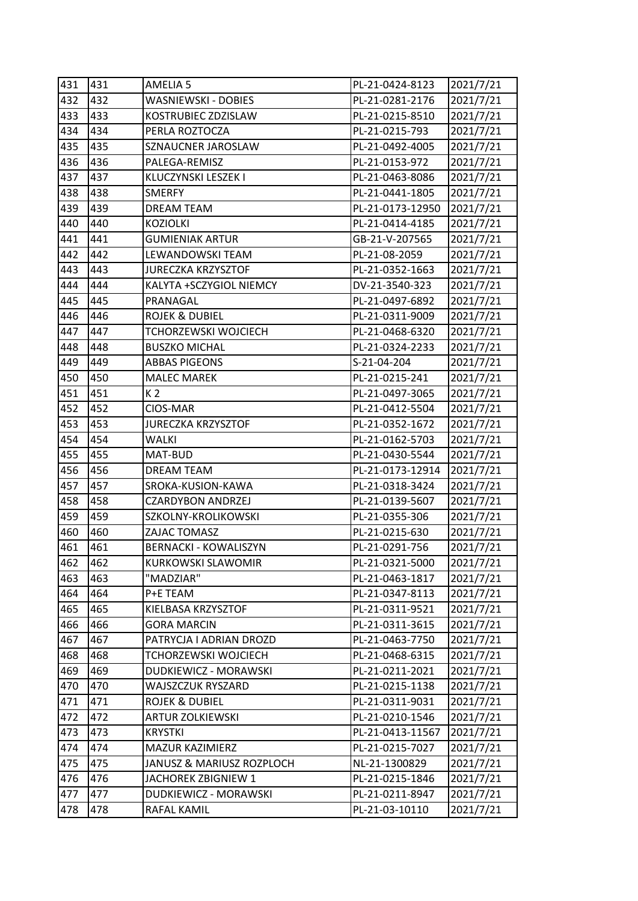| 431 | 431 | AMELIA 5                    | PL-21-0424-8123  | 2021/7/21 |
|-----|-----|-----------------------------|------------------|-----------|
| 432 | 432 | <b>WASNIEWSKI - DOBIES</b>  | PL-21-0281-2176  | 2021/7/21 |
| 433 | 433 | KOSTRUBIEC ZDZISLAW         | PL-21-0215-8510  | 2021/7/21 |
| 434 | 434 | PERLA ROZTOCZA              | PL-21-0215-793   | 2021/7/21 |
| 435 | 435 | SZNAUCNER JAROSLAW          | PL-21-0492-4005  | 2021/7/21 |
| 436 | 436 | PALEGA-REMISZ               | PL-21-0153-972   | 2021/7/21 |
| 437 | 437 | KLUCZYNSKI LESZEK I         | PL-21-0463-8086  | 2021/7/21 |
| 438 | 438 | <b>SMERFY</b>               | PL-21-0441-1805  | 2021/7/21 |
| 439 | 439 | <b>DREAM TEAM</b>           | PL-21-0173-12950 | 2021/7/21 |
| 440 | 440 | <b>KOZIOLKI</b>             | PL-21-0414-4185  | 2021/7/21 |
| 441 | 441 | <b>GUMIENIAK ARTUR</b>      | GB-21-V-207565   | 2021/7/21 |
| 442 | 442 | LEWANDOWSKI TEAM            | PL-21-08-2059    | 2021/7/21 |
| 443 | 443 | <b>JURECZKA KRZYSZTOF</b>   | PL-21-0352-1663  | 2021/7/21 |
| 444 | 444 | KALYTA +SCZYGIOL NIEMCY     | DV-21-3540-323   | 2021/7/21 |
| 445 | 445 | PRANAGAL                    | PL-21-0497-6892  | 2021/7/21 |
| 446 | 446 | <b>ROJEK &amp; DUBIEL</b>   | PL-21-0311-9009  | 2021/7/21 |
| 447 | 447 | <b>TCHORZEWSKI WOJCIECH</b> | PL-21-0468-6320  | 2021/7/21 |
| 448 | 448 | <b>BUSZKO MICHAL</b>        | PL-21-0324-2233  | 2021/7/21 |
| 449 | 449 | <b>ABBAS PIGEONS</b>        | S-21-04-204      | 2021/7/21 |
| 450 | 450 | <b>MALEC MAREK</b>          | PL-21-0215-241   | 2021/7/21 |
| 451 | 451 | K 2                         | PL-21-0497-3065  | 2021/7/21 |
| 452 | 452 | CIOS-MAR                    | PL-21-0412-5504  | 2021/7/21 |
| 453 | 453 | <b>JURECZKA KRZYSZTOF</b>   | PL-21-0352-1672  | 2021/7/21 |
| 454 | 454 | <b>WALKI</b>                | PL-21-0162-5703  | 2021/7/21 |
| 455 | 455 | MAT-BUD                     | PL-21-0430-5544  | 2021/7/21 |
| 456 | 456 | DREAM TEAM                  | PL-21-0173-12914 | 2021/7/21 |
| 457 | 457 | SROKA-KUSION-KAWA           | PL-21-0318-3424  | 2021/7/21 |
| 458 | 458 | <b>CZARDYBON ANDRZEJ</b>    | PL-21-0139-5607  | 2021/7/21 |
| 459 | 459 | SZKOLNY-KROLIKOWSKI         | PL-21-0355-306   | 2021/7/21 |
| 460 | 460 | ZAJAC TOMASZ                | PL-21-0215-630   | 2021/7/21 |
| 461 | 461 | BERNACKI - KOWALISZYN       | PL-21-0291-756   | 2021/7/21 |
| 462 | 462 | <b>KURKOWSKI SLAWOMIR</b>   | PL-21-0321-5000  | 2021/7/21 |
| 463 | 463 | "MADZIAR"                   | PL-21-0463-1817  | 2021/7/21 |
| 464 | 464 | P+E TEAM                    | PL-21-0347-8113  | 2021/7/21 |
| 465 | 465 | KIELBASA KRZYSZTOF          | PL-21-0311-9521  | 2021/7/21 |
| 466 | 466 | GORA MARCIN                 | PL-21-0311-3615  | 2021/7/21 |
| 467 | 467 | PATRYCJA I ADRIAN DROZD     | PL-21-0463-7750  | 2021/7/21 |
| 468 | 468 | TCHORZEWSKI WOJCIECH        | PL-21-0468-6315  | 2021/7/21 |
| 469 | 469 | DUDKIEWICZ - MORAWSKI       | PL-21-0211-2021  | 2021/7/21 |
| 470 | 470 | WAJSZCZUK RYSZARD           | PL-21-0215-1138  | 2021/7/21 |
| 471 | 471 | <b>ROJEK &amp; DUBIEL</b>   | PL-21-0311-9031  | 2021/7/21 |
| 472 | 472 | <b>ARTUR ZOLKIEWSKI</b>     | PL-21-0210-1546  | 2021/7/21 |
| 473 | 473 | <b>KRYSTKI</b>              | PL-21-0413-11567 | 2021/7/21 |
| 474 | 474 | MAZUR KAZIMIERZ             | PL-21-0215-7027  | 2021/7/21 |
| 475 | 475 | JANUSZ & MARIUSZ ROZPLOCH   | NL-21-1300829    | 2021/7/21 |
| 476 | 476 | JACHOREK ZBIGNIEW 1         | PL-21-0215-1846  | 2021/7/21 |
| 477 | 477 | DUDKIEWICZ - MORAWSKI       | PL-21-0211-8947  | 2021/7/21 |
| 478 | 478 | RAFAL KAMIL                 | PL-21-03-10110   | 2021/7/21 |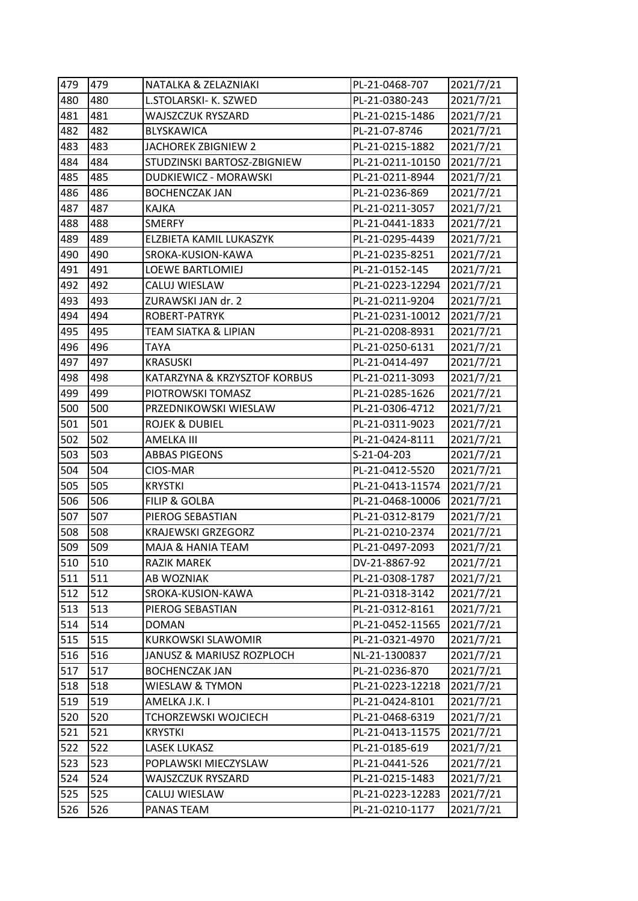| 479 | 479 | NATALKA & ZELAZNIAKI            | PL-21-0468-707   | 2021/7/21 |
|-----|-----|---------------------------------|------------------|-----------|
| 480 | 480 | L.STOLARSKI- K. SZWED           | PL-21-0380-243   | 2021/7/21 |
| 481 | 481 | WAJSZCZUK RYSZARD               | PL-21-0215-1486  | 2021/7/21 |
| 482 | 482 | <b>BLYSKAWICA</b>               | PL-21-07-8746    | 2021/7/21 |
| 483 | 483 | JACHOREK ZBIGNIEW 2             | PL-21-0215-1882  | 2021/7/21 |
| 484 | 484 | STUDZINSKI BARTOSZ-ZBIGNIEW     | PL-21-0211-10150 | 2021/7/21 |
| 485 | 485 | DUDKIEWICZ - MORAWSKI           | PL-21-0211-8944  | 2021/7/21 |
| 486 | 486 | <b>BOCHENCZAK JAN</b>           | PL-21-0236-869   | 2021/7/21 |
| 487 | 487 | KAJKA                           | PL-21-0211-3057  | 2021/7/21 |
| 488 | 488 | <b>SMERFY</b>                   | PL-21-0441-1833  | 2021/7/21 |
| 489 | 489 | ELZBIETA KAMIL LUKASZYK         | PL-21-0295-4439  | 2021/7/21 |
| 490 | 490 | SROKA-KUSION-KAWA               | PL-21-0235-8251  | 2021/7/21 |
| 491 | 491 | LOEWE BARTLOMIEJ                | PL-21-0152-145   | 2021/7/21 |
| 492 | 492 | CALUJ WIESLAW                   | PL-21-0223-12294 | 2021/7/21 |
| 493 | 493 | ZURAWSKI JAN dr. 2              | PL-21-0211-9204  | 2021/7/21 |
| 494 | 494 | ROBERT-PATRYK                   | PL-21-0231-10012 | 2021/7/21 |
| 495 | 495 | <b>TEAM SIATKA &amp; LIPIAN</b> | PL-21-0208-8931  | 2021/7/21 |
| 496 | 496 | <b>TAYA</b>                     | PL-21-0250-6131  | 2021/7/21 |
| 497 | 497 | <b>KRASUSKI</b>                 | PL-21-0414-497   | 2021/7/21 |
| 498 | 498 | KATARZYNA & KRZYSZTOF KORBUS    | PL-21-0211-3093  | 2021/7/21 |
| 499 | 499 | PIOTROWSKI TOMASZ               | PL-21-0285-1626  | 2021/7/21 |
| 500 | 500 | PRZEDNIKOWSKI WIESLAW           | PL-21-0306-4712  | 2021/7/21 |
| 501 | 501 | <b>ROJEK &amp; DUBIEL</b>       | PL-21-0311-9023  | 2021/7/21 |
| 502 | 502 | <b>AMELKA III</b>               | PL-21-0424-8111  | 2021/7/21 |
| 503 | 503 | <b>ABBAS PIGEONS</b>            | S-21-04-203      | 2021/7/21 |
| 504 | 504 | CIOS-MAR                        | PL-21-0412-5520  | 2021/7/21 |
| 505 | 505 | <b>KRYSTKI</b>                  | PL-21-0413-11574 | 2021/7/21 |
| 506 | 506 | <b>FILIP &amp; GOLBA</b>        | PL-21-0468-10006 | 2021/7/21 |
| 507 | 507 | PIEROG SEBASTIAN                | PL-21-0312-8179  | 2021/7/21 |
| 508 | 508 | <b>KRAJEWSKI GRZEGORZ</b>       | PL-21-0210-2374  | 2021/7/21 |
| 509 | 509 | MAJA & HANIA TEAM               | PL-21-0497-2093  | 2021/7/21 |
| 510 | 510 | RAZIK MAREK                     | DV-21-8867-92    | 2021/7/21 |
| 511 | 511 | AB WOZNIAK                      | PL-21-0308-1787  | 2021/7/21 |
| 512 | 512 | SROKA-KUSION-KAWA               | PL-21-0318-3142  | 2021/7/21 |
| 513 | 513 | PIEROG SEBASTIAN                | PL-21-0312-8161  | 2021/7/21 |
| 514 | 514 | <b>DOMAN</b>                    | PL-21-0452-11565 | 2021/7/21 |
| 515 | 515 | KURKOWSKI SLAWOMIR              | PL-21-0321-4970  | 2021/7/21 |
| 516 | 516 | JANUSZ & MARIUSZ ROZPLOCH       | NL-21-1300837    | 2021/7/21 |
| 517 | 517 | <b>BOCHENCZAK JAN</b>           | PL-21-0236-870   | 2021/7/21 |
| 518 | 518 | WIESLAW & TYMON                 | PL-21-0223-12218 | 2021/7/21 |
| 519 | 519 | AMELKA J.K. I                   | PL-21-0424-8101  | 2021/7/21 |
| 520 | 520 | TCHORZEWSKI WOJCIECH            | PL-21-0468-6319  | 2021/7/21 |
| 521 | 521 | <b>KRYSTKI</b>                  | PL-21-0413-11575 | 2021/7/21 |
| 522 | 522 | LASEK LUKASZ                    | PL-21-0185-619   | 2021/7/21 |
| 523 | 523 | POPLAWSKI MIECZYSLAW            | PL-21-0441-526   | 2021/7/21 |
| 524 | 524 | WAJSZCZUK RYSZARD               | PL-21-0215-1483  | 2021/7/21 |
| 525 | 525 | CALUJ WIESLAW                   | PL-21-0223-12283 | 2021/7/21 |
| 526 | 526 | PANAS TEAM                      | PL-21-0210-1177  | 2021/7/21 |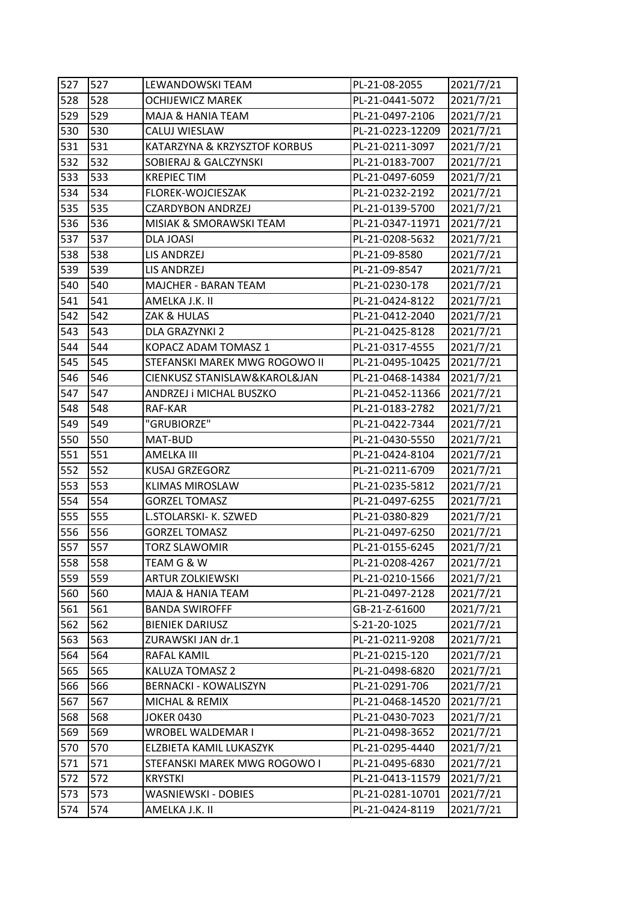| 527 | 527 | LEWANDOWSKI TEAM              | PL-21-08-2055    | 2021/7/21 |
|-----|-----|-------------------------------|------------------|-----------|
| 528 | 528 | OCHIJEWICZ MAREK              | PL-21-0441-5072  | 2021/7/21 |
| 529 | 529 | MAJA & HANIA TEAM             | PL-21-0497-2106  | 2021/7/21 |
| 530 | 530 | CALUJ WIESLAW                 | PL-21-0223-12209 | 2021/7/21 |
| 531 | 531 | KATARZYNA & KRZYSZTOF KORBUS  | PL-21-0211-3097  | 2021/7/21 |
| 532 | 532 | SOBIERAJ & GALCZYNSKI         | PL-21-0183-7007  | 2021/7/21 |
| 533 | 533 | <b>KREPIEC TIM</b>            | PL-21-0497-6059  | 2021/7/21 |
| 534 | 534 | FLOREK-WOJCIESZAK             | PL-21-0232-2192  | 2021/7/21 |
| 535 | 535 | <b>CZARDYBON ANDRZEJ</b>      | PL-21-0139-5700  | 2021/7/21 |
| 536 | 536 | MISIAK & SMORAWSKI TEAM       | PL-21-0347-11971 | 2021/7/21 |
| 537 | 537 | DLA JOASI                     | PL-21-0208-5632  | 2021/7/21 |
| 538 | 538 | LIS ANDRZEJ                   | PL-21-09-8580    | 2021/7/21 |
| 539 | 539 | LIS ANDRZEJ                   | PL-21-09-8547    | 2021/7/21 |
| 540 | 540 | MAJCHER - BARAN TEAM          | PL-21-0230-178   | 2021/7/21 |
| 541 | 541 | AMELKA J.K. II                | PL-21-0424-8122  | 2021/7/21 |
| 542 | 542 | ZAK & HULAS                   | PL-21-0412-2040  | 2021/7/21 |
| 543 | 543 | DLA GRAZYNKI 2                | PL-21-0425-8128  | 2021/7/21 |
| 544 | 544 | KOPACZ ADAM TOMASZ 1          | PL-21-0317-4555  | 2021/7/21 |
| 545 | 545 | STEFANSKI MAREK MWG ROGOWO II | PL-21-0495-10425 | 2021/7/21 |
| 546 | 546 | CIENKUSZ STANISLAW&KAROL&JAN  | PL-21-0468-14384 | 2021/7/21 |
| 547 | 547 | ANDRZEJ i MICHAL BUSZKO       | PL-21-0452-11366 | 2021/7/21 |
| 548 | 548 | RAF-KAR                       | PL-21-0183-2782  | 2021/7/21 |
| 549 | 549 | "GRUBIORZE"                   | PL-21-0422-7344  | 2021/7/21 |
| 550 | 550 | MAT-BUD                       | PL-21-0430-5550  | 2021/7/21 |
| 551 | 551 | AMELKA III                    | PL-21-0424-8104  | 2021/7/21 |
| 552 | 552 | <b>KUSAJ GRZEGORZ</b>         | PL-21-0211-6709  | 2021/7/21 |
| 553 | 553 | <b>KLIMAS MIROSLAW</b>        | PL-21-0235-5812  | 2021/7/21 |
| 554 | 554 | <b>GORZEL TOMASZ</b>          | PL-21-0497-6255  | 2021/7/21 |
| 555 | 555 | L.STOLARSKI- K. SZWED         | PL-21-0380-829   | 2021/7/21 |
| 556 | 556 | <b>GORZEL TOMASZ</b>          | PL-21-0497-6250  | 2021/7/21 |
| 557 | 557 | <b>TORZ SLAWOMIR</b>          | PL-21-0155-6245  | 2021/7/21 |
| 558 | 558 | TEAM G & W                    | PL-21-0208-4267  | 2021/7/21 |
| 559 | 559 | <b>ARTUR ZOLKIEWSKI</b>       | PL-21-0210-1566  | 2021/7/21 |
| 560 | 560 | MAJA & HANIA TEAM             | PL-21-0497-2128  | 2021/7/21 |
| 561 | 561 | <b>BANDA SWIROFFF</b>         | GB-21-Z-61600    | 2021/7/21 |
| 562 | 562 | <b>BIENIEK DARIUSZ</b>        | S-21-20-1025     | 2021/7/21 |
| 563 | 563 | ZURAWSKI JAN dr.1             | PL-21-0211-9208  | 2021/7/21 |
| 564 | 564 | RAFAL KAMIL                   | PL-21-0215-120   | 2021/7/21 |
| 565 | 565 | KALUZA TOMASZ 2               | PL-21-0498-6820  | 2021/7/21 |
| 566 | 566 | <b>BERNACKI - KOWALISZYN</b>  | PL-21-0291-706   | 2021/7/21 |
| 567 | 567 | MICHAL & REMIX                | PL-21-0468-14520 | 2021/7/21 |
| 568 | 568 | <b>JOKER 0430</b>             | PL-21-0430-7023  | 2021/7/21 |
| 569 | 569 | WROBEL WALDEMAR I             | PL-21-0498-3652  | 2021/7/21 |
| 570 | 570 | ELZBIETA KAMIL LUKASZYK       | PL-21-0295-4440  | 2021/7/21 |
| 571 | 571 | STEFANSKI MAREK MWG ROGOWO I  | PL-21-0495-6830  | 2021/7/21 |
| 572 | 572 | <b>KRYSTKI</b>                | PL-21-0413-11579 | 2021/7/21 |
| 573 | 573 | WASNIEWSKI - DOBIES           | PL-21-0281-10701 | 2021/7/21 |
| 574 |     |                               | PL-21-0424-8119  | 2021/7/21 |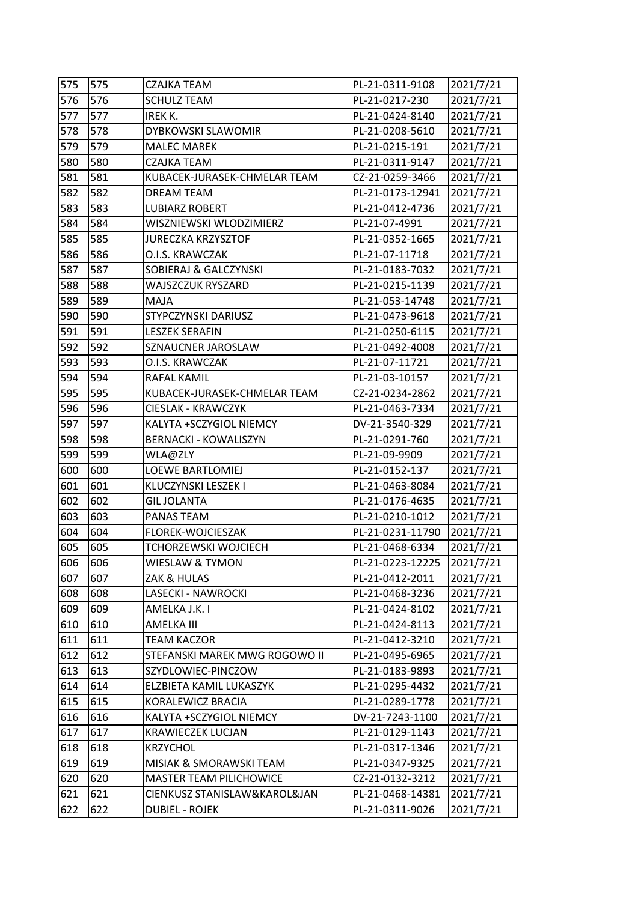| 575 | 575 | CZAJKA TEAM                   | PL-21-0311-9108  | 2021/7/21 |
|-----|-----|-------------------------------|------------------|-----------|
| 576 | 576 | <b>SCHULZ TEAM</b>            | PL-21-0217-230   | 2021/7/21 |
| 577 | 577 | IREK K.                       | PL-21-0424-8140  | 2021/7/21 |
| 578 | 578 | DYBKOWSKI SLAWOMIR            | PL-21-0208-5610  | 2021/7/21 |
| 579 | 579 | <b>MALEC MAREK</b>            | PL-21-0215-191   | 2021/7/21 |
| 580 | 580 | CZAJKA TEAM                   | PL-21-0311-9147  | 2021/7/21 |
| 581 | 581 | KUBACEK-JURASEK-CHMELAR TEAM  | CZ-21-0259-3466  | 2021/7/21 |
| 582 | 582 | <b>DREAM TEAM</b>             | PL-21-0173-12941 | 2021/7/21 |
| 583 | 583 | <b>LUBIARZ ROBERT</b>         | PL-21-0412-4736  | 2021/7/21 |
| 584 | 584 | WISZNIEWSKI WLODZIMIERZ       | PL-21-07-4991    | 2021/7/21 |
| 585 | 585 | <b>JURECZKA KRZYSZTOF</b>     | PL-21-0352-1665  | 2021/7/21 |
| 586 | 586 | O.I.S. KRAWCZAK               | PL-21-07-11718   | 2021/7/21 |
| 587 | 587 | SOBIERAJ & GALCZYNSKI         | PL-21-0183-7032  | 2021/7/21 |
| 588 | 588 | WAJSZCZUK RYSZARD             | PL-21-0215-1139  | 2021/7/21 |
| 589 | 589 | MAJA                          | PL-21-053-14748  | 2021/7/21 |
| 590 | 590 | STYPCZYNSKI DARIUSZ           | PL-21-0473-9618  | 2021/7/21 |
| 591 | 591 | <b>LESZEK SERAFIN</b>         | PL-21-0250-6115  | 2021/7/21 |
| 592 | 592 | SZNAUCNER JAROSLAW            | PL-21-0492-4008  | 2021/7/21 |
| 593 | 593 | O.I.S. KRAWCZAK               | PL-21-07-11721   | 2021/7/21 |
| 594 | 594 | RAFAL KAMIL                   | PL-21-03-10157   | 2021/7/21 |
| 595 | 595 | KUBACEK-JURASEK-CHMELAR TEAM  | CZ-21-0234-2862  | 2021/7/21 |
| 596 | 596 | <b>CIESLAK - KRAWCZYK</b>     | PL-21-0463-7334  | 2021/7/21 |
| 597 | 597 | KALYTA +SCZYGIOL NIEMCY       | DV-21-3540-329   | 2021/7/21 |
| 598 | 598 | <b>BERNACKI - KOWALISZYN</b>  | PL-21-0291-760   | 2021/7/21 |
| 599 | 599 | WLA@ZLY                       | PL-21-09-9909    | 2021/7/21 |
| 600 | 600 | LOEWE BARTLOMIEJ              | PL-21-0152-137   | 2021/7/21 |
| 601 | 601 | KLUCZYNSKI LESZEK I           | PL-21-0463-8084  | 2021/7/21 |
| 602 | 602 | <b>GIL JOLANTA</b>            | PL-21-0176-4635  | 2021/7/21 |
| 603 | 603 | PANAS TEAM                    | PL-21-0210-1012  | 2021/7/21 |
| 604 | 604 | FLOREK-WOJCIESZAK             | PL-21-0231-11790 | 2021/7/21 |
| 605 | 605 | TCHORZEWSKI WOJCIECH          | PL-21-0468-6334  | 2021/7/21 |
| 606 | 606 | WIESLAW & TYMON               | PL-21-0223-12225 | 2021/7/21 |
| 607 | 607 | ZAK & HULAS                   | PL-21-0412-2011  | 2021/7/21 |
| 608 | 608 | LASECKI - NAWROCKI            | PL-21-0468-3236  | 2021/7/21 |
| 609 | 609 | AMELKA J.K. I                 | PL-21-0424-8102  | 2021/7/21 |
| 610 | 610 | AMELKA III                    | PL-21-0424-8113  | 2021/7/21 |
| 611 | 611 | <b>TEAM KACZOR</b>            | PL-21-0412-3210  | 2021/7/21 |
| 612 | 612 | STEFANSKI MAREK MWG ROGOWO II | PL-21-0495-6965  | 2021/7/21 |
| 613 | 613 | SZYDLOWIEC-PINCZOW            | PL-21-0183-9893  | 2021/7/21 |
| 614 | 614 | ELZBIETA KAMIL LUKASZYK       | PL-21-0295-4432  | 2021/7/21 |
| 615 | 615 | KORALEWICZ BRACIA             | PL-21-0289-1778  | 2021/7/21 |
| 616 | 616 | KALYTA +SCZYGIOL NIEMCY       | DV-21-7243-1100  | 2021/7/21 |
| 617 | 617 | <b>KRAWIECZEK LUCJAN</b>      | PL-21-0129-1143  | 2021/7/21 |
| 618 | 618 | <b>KRZYCHOL</b>               | PL-21-0317-1346  | 2021/7/21 |
| 619 | 619 | MISIAK & SMORAWSKI TEAM       | PL-21-0347-9325  | 2021/7/21 |
| 620 | 620 | MASTER TEAM PILICHOWICE       | CZ-21-0132-3212  | 2021/7/21 |
| 621 | 621 | CIENKUSZ STANISLAW&KAROL&JAN  | PL-21-0468-14381 | 2021/7/21 |
| 622 | 622 | <b>DUBIEL - ROJEK</b>         | PL-21-0311-9026  | 2021/7/21 |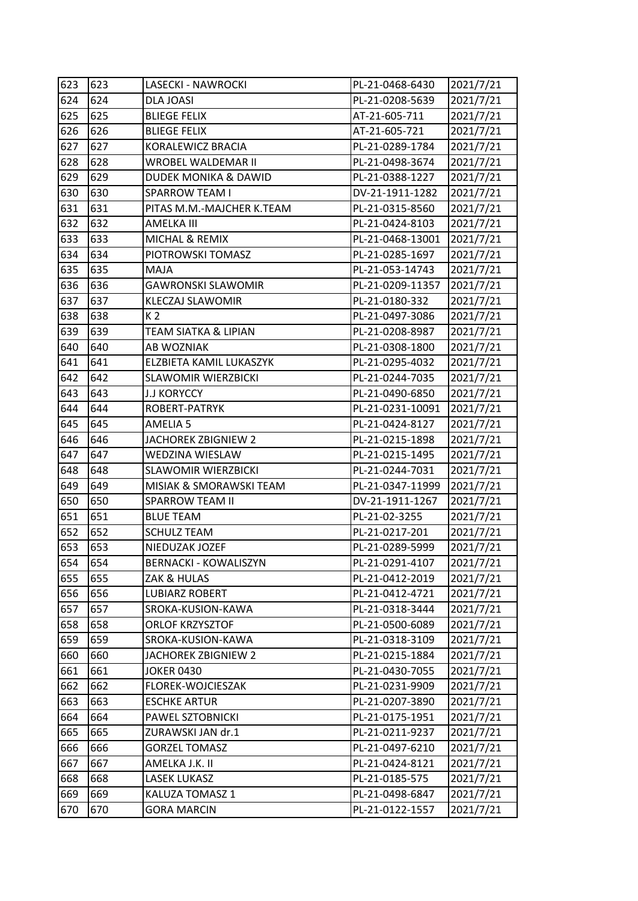| 623 | 623 | LASECKI - NAWROCKI              | PL-21-0468-6430  | 2021/7/21 |
|-----|-----|---------------------------------|------------------|-----------|
| 624 | 624 | DLA JOASI                       | PL-21-0208-5639  | 2021/7/21 |
| 625 | 625 | <b>BLIEGE FELIX</b>             | AT-21-605-711    | 2021/7/21 |
| 626 | 626 | <b>BLIEGE FELIX</b>             | AT-21-605-721    | 2021/7/21 |
| 627 | 627 | KORALEWICZ BRACIA               | PL-21-0289-1784  | 2021/7/21 |
| 628 | 628 | WROBEL WALDEMAR II              | PL-21-0498-3674  | 2021/7/21 |
| 629 | 629 | <b>DUDEK MONIKA &amp; DAWID</b> | PL-21-0388-1227  | 2021/7/21 |
| 630 | 630 | <b>SPARROW TEAM I</b>           | DV-21-1911-1282  | 2021/7/21 |
| 631 | 631 | PITAS M.M.-MAJCHER K.TEAM       | PL-21-0315-8560  | 2021/7/21 |
| 632 | 632 | AMELKA III                      | PL-21-0424-8103  | 2021/7/21 |
| 633 | 633 | MICHAL & REMIX                  | PL-21-0468-13001 | 2021/7/21 |
| 634 | 634 | PIOTROWSKI TOMASZ               | PL-21-0285-1697  | 2021/7/21 |
| 635 | 635 | MAJA                            | PL-21-053-14743  | 2021/7/21 |
| 636 | 636 | <b>GAWRONSKI SLAWOMIR</b>       | PL-21-0209-11357 | 2021/7/21 |
| 637 | 637 | <b>KLECZAJ SLAWOMIR</b>         | PL-21-0180-332   | 2021/7/21 |
| 638 | 638 | K <sub>2</sub>                  | PL-21-0497-3086  | 2021/7/21 |
| 639 | 639 | <b>TEAM SIATKA &amp; LIPIAN</b> | PL-21-0208-8987  | 2021/7/21 |
| 640 | 640 | AB WOZNIAK                      | PL-21-0308-1800  | 2021/7/21 |
| 641 | 641 | ELZBIETA KAMIL LUKASZYK         | PL-21-0295-4032  | 2021/7/21 |
| 642 | 642 | <b>SLAWOMIR WIERZBICKI</b>      | PL-21-0244-7035  | 2021/7/21 |
| 643 | 643 | <b>J.J KORYCCY</b>              | PL-21-0490-6850  | 2021/7/21 |
| 644 | 644 | ROBERT-PATRYK                   | PL-21-0231-10091 | 2021/7/21 |
| 645 | 645 | AMELIA <sub>5</sub>             | PL-21-0424-8127  | 2021/7/21 |
| 646 | 646 | JACHOREK ZBIGNIEW 2             | PL-21-0215-1898  | 2021/7/21 |
| 647 | 647 | WEDZINA WIESLAW                 | PL-21-0215-1495  | 2021/7/21 |
| 648 | 648 | <b>SLAWOMIR WIERZBICKI</b>      | PL-21-0244-7031  | 2021/7/21 |
| 649 | 649 | MISIAK & SMORAWSKI TEAM         | PL-21-0347-11999 | 2021/7/21 |
| 650 | 650 | <b>SPARROW TEAM II</b>          | DV-21-1911-1267  | 2021/7/21 |
| 651 | 651 | <b>BLUE TEAM</b>                | PL-21-02-3255    | 2021/7/21 |
| 652 | 652 | <b>SCHULZ TEAM</b>              | PL-21-0217-201   | 2021/7/21 |
| 653 | 653 | NIEDUZAK JOZEF                  | PL-21-0289-5999  | 2021/7/21 |
| 654 | 654 | <b>BERNACKI - KOWALISZYN</b>    | PL-21-0291-4107  | 2021/7/21 |
| 655 | 655 | ZAK & HULAS                     | PL-21-0412-2019  | 2021/7/21 |
| 656 | 656 | <b>LUBIARZ ROBERT</b>           | PL-21-0412-4721  | 2021/7/21 |
| 657 | 657 | SROKA-KUSION-KAWA               | PL-21-0318-3444  | 2021/7/21 |
| 658 | 658 | <b>ORLOF KRZYSZTOF</b>          | PL-21-0500-6089  | 2021/7/21 |
| 659 | 659 | SROKA-KUSION-KAWA               | PL-21-0318-3109  | 2021/7/21 |
| 660 | 660 | JACHOREK ZBIGNIEW 2             | PL-21-0215-1884  | 2021/7/21 |
| 661 | 661 | <b>JOKER 0430</b>               | PL-21-0430-7055  | 2021/7/21 |
| 662 | 662 | FLOREK-WOJCIESZAK               | PL-21-0231-9909  | 2021/7/21 |
| 663 | 663 | <b>ESCHKE ARTUR</b>             | PL-21-0207-3890  | 2021/7/21 |
| 664 | 664 | PAWEL SZTOBNICKI                | PL-21-0175-1951  | 2021/7/21 |
| 665 | 665 | ZURAWSKI JAN dr.1               | PL-21-0211-9237  | 2021/7/21 |
| 666 | 666 | <b>GORZEL TOMASZ</b>            | PL-21-0497-6210  | 2021/7/21 |
| 667 | 667 | AMELKA J.K. II                  | PL-21-0424-8121  | 2021/7/21 |
| 668 | 668 | LASEK LUKASZ                    | PL-21-0185-575   | 2021/7/21 |
| 669 | 669 | KALUZA TOMASZ 1                 | PL-21-0498-6847  | 2021/7/21 |
| 670 | 670 | <b>GORA MARCIN</b>              | PL-21-0122-1557  | 2021/7/21 |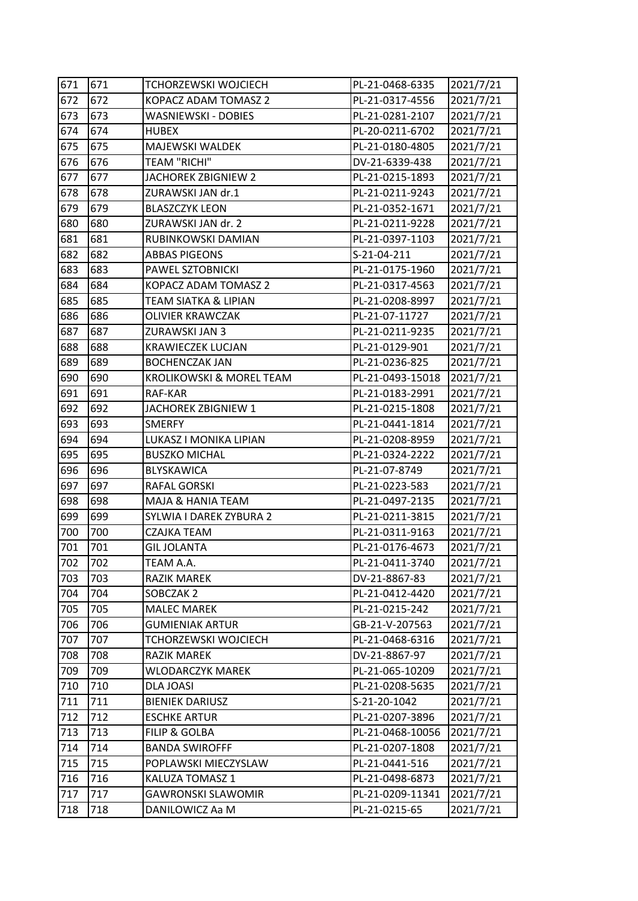| 671 | 671 | TCHORZEWSKI WOJCIECH            | PL-21-0468-6335  | 2021/7/21 |
|-----|-----|---------------------------------|------------------|-----------|
| 672 | 672 | KOPACZ ADAM TOMASZ 2            | PL-21-0317-4556  | 2021/7/21 |
| 673 | 673 | WASNIEWSKI - DOBIES             | PL-21-0281-2107  | 2021/7/21 |
| 674 | 674 | <b>HUBEX</b>                    | PL-20-0211-6702  | 2021/7/21 |
| 675 | 675 | MAJEWSKI WALDEK                 | PL-21-0180-4805  | 2021/7/21 |
| 676 | 676 | <b>TEAM "RICHI"</b>             | DV-21-6339-438   | 2021/7/21 |
| 677 | 677 | JACHOREK ZBIGNIEW 2             | PL-21-0215-1893  | 2021/7/21 |
| 678 | 678 | ZURAWSKI JAN dr.1               | PL-21-0211-9243  | 2021/7/21 |
| 679 | 679 | <b>BLASZCZYK LEON</b>           | PL-21-0352-1671  | 2021/7/21 |
| 680 | 680 | ZURAWSKI JAN dr. 2              | PL-21-0211-9228  | 2021/7/21 |
| 681 | 681 | RUBINKOWSKI DAMIAN              | PL-21-0397-1103  | 2021/7/21 |
| 682 | 682 | <b>ABBAS PIGEONS</b>            | S-21-04-211      | 2021/7/21 |
| 683 | 683 | PAWEL SZTOBNICKI                | PL-21-0175-1960  | 2021/7/21 |
| 684 | 684 | KOPACZ ADAM TOMASZ 2            | PL-21-0317-4563  | 2021/7/21 |
| 685 | 685 | <b>TEAM SIATKA &amp; LIPIAN</b> | PL-21-0208-8997  | 2021/7/21 |
| 686 | 686 | <b>OLIVIER KRAWCZAK</b>         | PL-21-07-11727   | 2021/7/21 |
| 687 | 687 | ZURAWSKI JAN 3                  | PL-21-0211-9235  | 2021/7/21 |
| 688 | 688 | <b>KRAWIECZEK LUCJAN</b>        | PL-21-0129-901   | 2021/7/21 |
| 689 | 689 | <b>BOCHENCZAK JAN</b>           | PL-21-0236-825   | 2021/7/21 |
| 690 | 690 | KROLIKOWSKI & MOREL TEAM        | PL-21-0493-15018 | 2021/7/21 |
| 691 | 691 | RAF-KAR                         | PL-21-0183-2991  | 2021/7/21 |
| 692 | 692 | JACHOREK ZBIGNIEW 1             | PL-21-0215-1808  | 2021/7/21 |
| 693 | 693 | <b>SMERFY</b>                   | PL-21-0441-1814  | 2021/7/21 |
| 694 | 694 | LUKASZ I MONIKA LIPIAN          | PL-21-0208-8959  | 2021/7/21 |
| 695 | 695 | <b>BUSZKO MICHAL</b>            | PL-21-0324-2222  | 2021/7/21 |
| 696 | 696 | BLYSKAWICA                      | PL-21-07-8749    | 2021/7/21 |
| 697 | 697 | RAFAL GORSKI                    | PL-21-0223-583   | 2021/7/21 |
| 698 | 698 | MAJA & HANIA TEAM               | PL-21-0497-2135  | 2021/7/21 |
| 699 | 699 | SYLWIA I DAREK ZYBURA 2         | PL-21-0211-3815  | 2021/7/21 |
| 700 | 700 | CZAJKA TEAM                     | PL-21-0311-9163  | 2021/7/21 |
| 701 | 701 | <b>GIL JOLANTA</b>              | PL-21-0176-4673  | 2021/7/21 |
| 702 | 702 | TEAM A.A.                       | PL-21-0411-3740  | 2021/7/21 |
| 703 | 703 | <b>RAZIK MAREK</b>              | DV-21-8867-83    | 2021/7/21 |
| 704 | 704 | SOBCZAK 2                       | PL-21-0412-4420  | 2021/7/21 |
| 705 | 705 | <b>MALEC MAREK</b>              | PL-21-0215-242   | 2021/7/21 |
| 706 | 706 | <b>GUMIENIAK ARTUR</b>          | GB-21-V-207563   | 2021/7/21 |
| 707 | 707 | <b>TCHORZEWSKI WOJCIECH</b>     | PL-21-0468-6316  | 2021/7/21 |
| 708 | 708 | RAZIK MAREK                     | DV-21-8867-97    | 2021/7/21 |
| 709 | 709 | <b>WLODARCZYK MAREK</b>         | PL-21-065-10209  | 2021/7/21 |
| 710 | 710 | DLA JOASI                       | PL-21-0208-5635  | 2021/7/21 |
| 711 | 711 | <b>BIENIEK DARIUSZ</b>          | S-21-20-1042     | 2021/7/21 |
| 712 | 712 | <b>ESCHKE ARTUR</b>             | PL-21-0207-3896  | 2021/7/21 |
| 713 | 713 | <b>FILIP &amp; GOLBA</b>        | PL-21-0468-10056 | 2021/7/21 |
| 714 | 714 | <b>BANDA SWIROFFF</b>           | PL-21-0207-1808  | 2021/7/21 |
| 715 | 715 | POPLAWSKI MIECZYSLAW            | PL-21-0441-516   | 2021/7/21 |
| 716 | 716 | KALUZA TOMASZ 1                 | PL-21-0498-6873  | 2021/7/21 |
| 717 | 717 | <b>GAWRONSKI SLAWOMIR</b>       | PL-21-0209-11341 | 2021/7/21 |
| 718 | 718 | DANILOWICZ Aa M                 | PL-21-0215-65    | 2021/7/21 |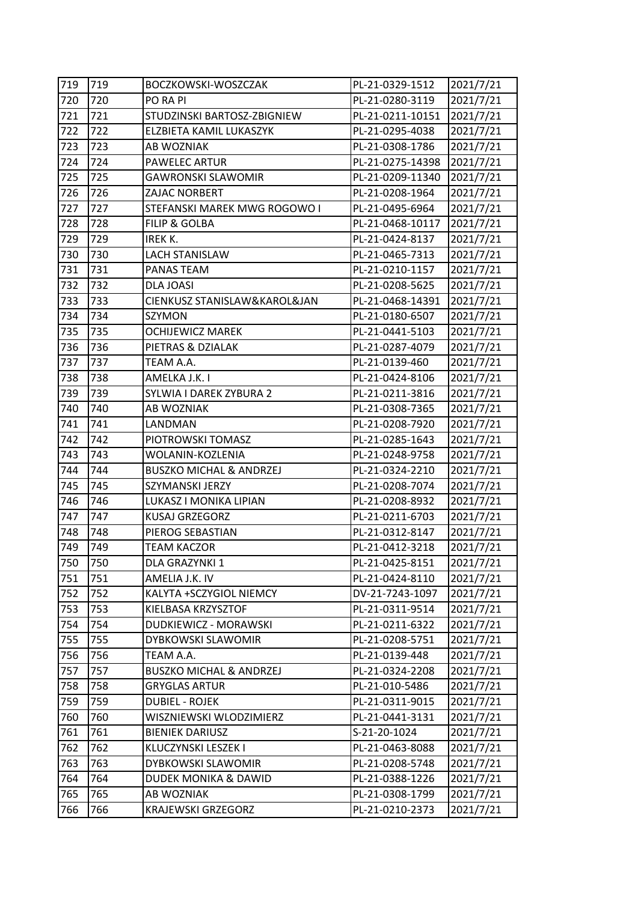| 719 | 719 | BOCZKOWSKI-WOSZCZAK                | PL-21-0329-1512  | 2021/7/21 |
|-----|-----|------------------------------------|------------------|-----------|
| 720 | 720 | PO RA PI                           | PL-21-0280-3119  | 2021/7/21 |
| 721 | 721 | STUDZINSKI BARTOSZ-ZBIGNIEW        | PL-21-0211-10151 | 2021/7/21 |
| 722 | 722 | ELZBIETA KAMIL LUKASZYK            | PL-21-0295-4038  | 2021/7/21 |
| 723 | 723 | AB WOZNIAK                         | PL-21-0308-1786  | 2021/7/21 |
| 724 | 724 | <b>PAWELEC ARTUR</b>               | PL-21-0275-14398 | 2021/7/21 |
| 725 | 725 | <b>GAWRONSKI SLAWOMIR</b>          | PL-21-0209-11340 | 2021/7/21 |
| 726 | 726 | ZAJAC NORBERT                      | PL-21-0208-1964  | 2021/7/21 |
| 727 | 727 | STEFANSKI MAREK MWG ROGOWO I       | PL-21-0495-6964  | 2021/7/21 |
| 728 | 728 | <b>FILIP &amp; GOLBA</b>           | PL-21-0468-10117 | 2021/7/21 |
| 729 | 729 | IREK K.                            | PL-21-0424-8137  | 2021/7/21 |
| 730 | 730 | <b>LACH STANISLAW</b>              | PL-21-0465-7313  | 2021/7/21 |
| 731 | 731 | PANAS TEAM                         | PL-21-0210-1157  | 2021/7/21 |
| 732 | 732 | DLA JOASI                          | PL-21-0208-5625  | 2021/7/21 |
| 733 | 733 | CIENKUSZ STANISLAW&KAROL&JAN       | PL-21-0468-14391 | 2021/7/21 |
| 734 | 734 | SZYMON                             | PL-21-0180-6507  | 2021/7/21 |
| 735 | 735 | <b>OCHIJEWICZ MAREK</b>            | PL-21-0441-5103  | 2021/7/21 |
| 736 | 736 | PIETRAS & DZIALAK                  | PL-21-0287-4079  | 2021/7/21 |
| 737 | 737 | TEAM A.A.                          | PL-21-0139-460   | 2021/7/21 |
| 738 | 738 | AMELKA J.K. I                      | PL-21-0424-8106  | 2021/7/21 |
| 739 | 739 | SYLWIA I DAREK ZYBURA 2            | PL-21-0211-3816  | 2021/7/21 |
| 740 | 740 | AB WOZNIAK                         | PL-21-0308-7365  | 2021/7/21 |
| 741 | 741 | LANDMAN                            | PL-21-0208-7920  | 2021/7/21 |
| 742 | 742 | PIOTROWSKI TOMASZ                  | PL-21-0285-1643  | 2021/7/21 |
| 743 | 743 | WOLANIN-KOZLENIA                   | PL-21-0248-9758  | 2021/7/21 |
| 744 | 744 | <b>BUSZKO MICHAL &amp; ANDRZEJ</b> | PL-21-0324-2210  | 2021/7/21 |
| 745 | 745 | SZYMANSKI JERZY                    | PL-21-0208-7074  | 2021/7/21 |
| 746 | 746 | LUKASZ I MONIKA LIPIAN             | PL-21-0208-8932  | 2021/7/21 |
| 747 | 747 | KUSAJ GRZEGORZ                     | PL-21-0211-6703  | 2021/7/21 |
| 748 | 748 | PIEROG SEBASTIAN                   | PL-21-0312-8147  | 2021/7/21 |
| 749 | 749 | <b>TEAM KACZOR</b>                 | PL-21-0412-3218  | 2021/7/21 |
| 750 | 750 | DLA GRAZYNKI 1                     | PL-21-0425-8151  | 2021/7/21 |
| 751 | 751 | AMELIA J.K. IV                     | PL-21-0424-8110  | 2021/7/21 |
| 752 | 752 | KALYTA +SCZYGIOL NIEMCY            | DV-21-7243-1097  | 2021/7/21 |
| 753 | 753 | KIELBASA KRZYSZTOF                 | PL-21-0311-9514  | 2021/7/21 |
| 754 | 754 | DUDKIEWICZ - MORAWSKI              | PL-21-0211-6322  | 2021/7/21 |
| 755 | 755 | DYBKOWSKI SLAWOMIR                 | PL-21-0208-5751  | 2021/7/21 |
| 756 | 756 | TEAM A.A.                          | PL-21-0139-448   | 2021/7/21 |
| 757 | 757 | <b>BUSZKO MICHAL &amp; ANDRZEJ</b> | PL-21-0324-2208  | 2021/7/21 |
| 758 | 758 | <b>GRYGLAS ARTUR</b>               | PL-21-010-5486   | 2021/7/21 |
| 759 | 759 | <b>DUBIEL - ROJEK</b>              | PL-21-0311-9015  | 2021/7/21 |
| 760 | 760 | WISZNIEWSKI WLODZIMIERZ            | PL-21-0441-3131  | 2021/7/21 |
| 761 | 761 | <b>BIENIEK DARIUSZ</b>             | S-21-20-1024     | 2021/7/21 |
| 762 | 762 | KLUCZYNSKI LESZEK I                | PL-21-0463-8088  | 2021/7/21 |
| 763 | 763 | DYBKOWSKI SLAWOMIR                 | PL-21-0208-5748  | 2021/7/21 |
| 764 | 764 | DUDEK MONIKA & DAWID               | PL-21-0388-1226  | 2021/7/21 |
| 765 | 765 | AB WOZNIAK                         | PL-21-0308-1799  | 2021/7/21 |
| 766 | 766 | <b>KRAJEWSKI GRZEGORZ</b>          | PL-21-0210-2373  | 2021/7/21 |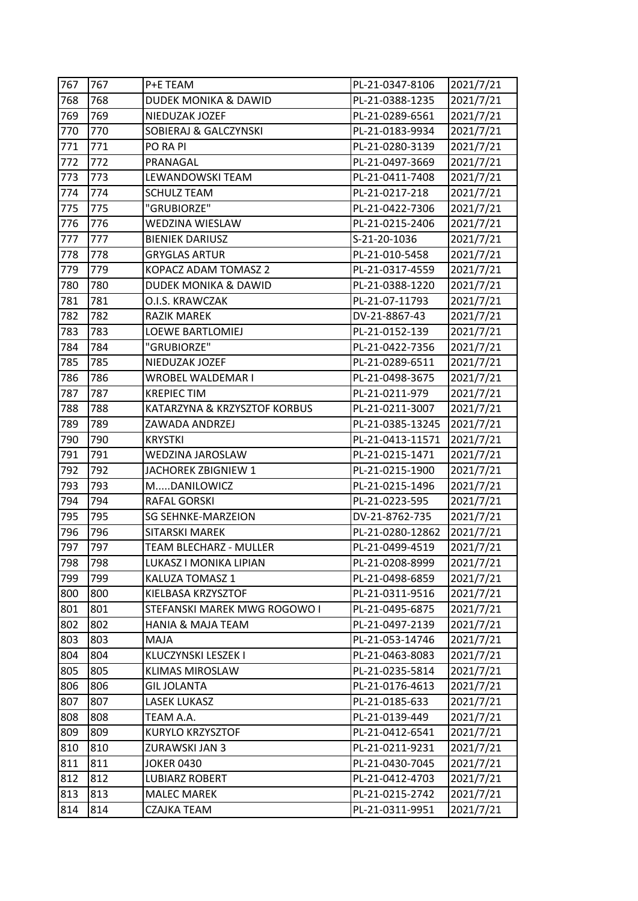| 767 | 767 | P+E TEAM                        | PL-21-0347-8106  | 2021/7/21 |
|-----|-----|---------------------------------|------------------|-----------|
| 768 | 768 | <b>DUDEK MONIKA &amp; DAWID</b> | PL-21-0388-1235  | 2021/7/21 |
| 769 | 769 | NIEDUZAK JOZEF                  | PL-21-0289-6561  | 2021/7/21 |
| 770 | 770 | SOBIERAJ & GALCZYNSKI           | PL-21-0183-9934  | 2021/7/21 |
| 771 | 771 | PO RA PI                        | PL-21-0280-3139  | 2021/7/21 |
| 772 | 772 | PRANAGAL                        | PL-21-0497-3669  | 2021/7/21 |
| 773 | 773 | LEWANDOWSKI TEAM                | PL-21-0411-7408  | 2021/7/21 |
| 774 | 774 | <b>SCHULZ TEAM</b>              | PL-21-0217-218   | 2021/7/21 |
| 775 | 775 | "GRUBIORZE"                     | PL-21-0422-7306  | 2021/7/21 |
| 776 | 776 | WEDZINA WIESLAW                 | PL-21-0215-2406  | 2021/7/21 |
| 777 | 777 | <b>BIENIEK DARIUSZ</b>          | S-21-20-1036     | 2021/7/21 |
| 778 | 778 | <b>GRYGLAS ARTUR</b>            | PL-21-010-5458   | 2021/7/21 |
| 779 | 779 | KOPACZ ADAM TOMASZ 2            | PL-21-0317-4559  | 2021/7/21 |
| 780 | 780 | DUDEK MONIKA & DAWID            | PL-21-0388-1220  | 2021/7/21 |
| 781 | 781 | O.I.S. KRAWCZAK                 | PL-21-07-11793   | 2021/7/21 |
| 782 | 782 | <b>RAZIK MAREK</b>              | DV-21-8867-43    | 2021/7/21 |
| 783 | 783 | LOEWE BARTLOMIEJ                | PL-21-0152-139   | 2021/7/21 |
| 784 | 784 | "GRUBIORZE"                     | PL-21-0422-7356  | 2021/7/21 |
| 785 | 785 | NIEDUZAK JOZEF                  | PL-21-0289-6511  | 2021/7/21 |
| 786 | 786 | WROBEL WALDEMAR I               | PL-21-0498-3675  | 2021/7/21 |
| 787 | 787 | <b>KREPIEC TIM</b>              | PL-21-0211-979   | 2021/7/21 |
| 788 | 788 | KATARZYNA & KRZYSZTOF KORBUS    | PL-21-0211-3007  | 2021/7/21 |
| 789 | 789 | ZAWADA ANDRZEJ                  | PL-21-0385-13245 | 2021/7/21 |
| 790 | 790 | <b>KRYSTKI</b>                  | PL-21-0413-11571 | 2021/7/21 |
| 791 | 791 | WEDZINA JAROSLAW                | PL-21-0215-1471  | 2021/7/21 |
| 792 | 792 | JACHOREK ZBIGNIEW 1             | PL-21-0215-1900  | 2021/7/21 |
| 793 | 793 | MDANILOWICZ                     | PL-21-0215-1496  | 2021/7/21 |
| 794 | 794 | RAFAL GORSKI                    | PL-21-0223-595   | 2021/7/21 |
| 795 | 795 | <b>SG SEHNKE-MARZEION</b>       | DV-21-8762-735   | 2021/7/21 |
| 796 | 796 | <b>SITARSKI MAREK</b>           | PL-21-0280-12862 | 2021/7/21 |
| 797 | 797 | TEAM BLECHARZ - MULLER          | PL-21-0499-4519  | 2021/7/21 |
| 798 | 798 | LUKASZ I MONIKA LIPIAN          | PL-21-0208-8999  | 2021/7/21 |
| 799 | 799 | KALUZA TOMASZ 1                 | PL-21-0498-6859  | 2021/7/21 |
| 800 | 800 | KIELBASA KRZYSZTOF              | PL-21-0311-9516  | 2021/7/21 |
| 801 | 801 | STEFANSKI MAREK MWG ROGOWO I    | PL-21-0495-6875  | 2021/7/21 |
| 802 | 802 | <b>HANIA &amp; MAJA TEAM</b>    | PL-21-0497-2139  | 2021/7/21 |
| 803 | 803 | MAJA                            | PL-21-053-14746  | 2021/7/21 |
| 804 | 804 | KLUCZYNSKI LESZEK I             | PL-21-0463-8083  | 2021/7/21 |
| 805 | 805 | KLIMAS MIROSLAW                 | PL-21-0235-5814  | 2021/7/21 |
| 806 | 806 | <b>GIL JOLANTA</b>              | PL-21-0176-4613  | 2021/7/21 |
| 807 | 807 | <b>LASEK LUKASZ</b>             | PL-21-0185-633   | 2021/7/21 |
| 808 | 808 | TEAM A.A.                       | PL-21-0139-449   | 2021/7/21 |
| 809 | 809 | KURYLO KRZYSZTOF                | PL-21-0412-6541  | 2021/7/21 |
| 810 | 810 | ZURAWSKI JAN 3                  | PL-21-0211-9231  | 2021/7/21 |
| 811 | 811 | <b>JOKER 0430</b>               | PL-21-0430-7045  | 2021/7/21 |
| 812 | 812 | <b>LUBIARZ ROBERT</b>           | PL-21-0412-4703  | 2021/7/21 |
| 813 | 813 | <b>MALEC MAREK</b>              | PL-21-0215-2742  | 2021/7/21 |
| 814 | 814 | CZAJKA TEAM                     | PL-21-0311-9951  | 2021/7/21 |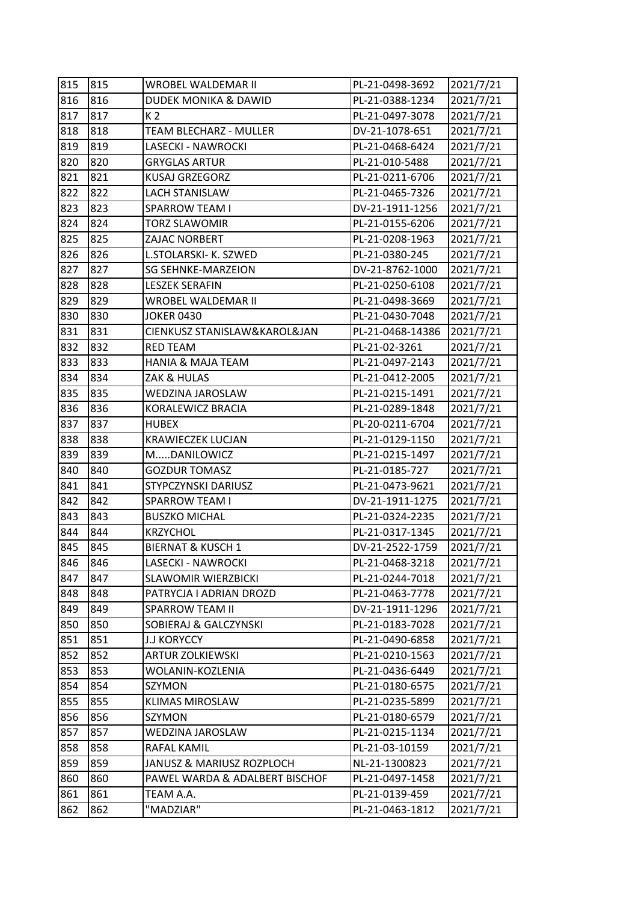| 815 | 815 | WROBEL WALDEMAR II              | PL-21-0498-3692  | 2021/7/21 |
|-----|-----|---------------------------------|------------------|-----------|
| 816 | 816 | <b>DUDEK MONIKA &amp; DAWID</b> | PL-21-0388-1234  | 2021/7/21 |
| 817 | 817 | K 2                             | PL-21-0497-3078  | 2021/7/21 |
| 818 | 818 | TEAM BLECHARZ - MULLER          | DV-21-1078-651   | 2021/7/21 |
| 819 | 819 | LASECKI - NAWROCKI              | PL-21-0468-6424  | 2021/7/21 |
| 820 | 820 | <b>GRYGLAS ARTUR</b>            | PL-21-010-5488   | 2021/7/21 |
| 821 | 821 | <b>KUSAJ GRZEGORZ</b>           | PL-21-0211-6706  | 2021/7/21 |
| 822 | 822 | <b>LACH STANISLAW</b>           | PL-21-0465-7326  | 2021/7/21 |
| 823 | 823 | <b>SPARROW TEAM I</b>           | DV-21-1911-1256  | 2021/7/21 |
| 824 | 824 | <b>TORZ SLAWOMIR</b>            | PL-21-0155-6206  | 2021/7/21 |
| 825 | 825 | ZAJAC NORBERT                   | PL-21-0208-1963  | 2021/7/21 |
| 826 | 826 | L.STOLARSKI- K. SZWED           | PL-21-0380-245   | 2021/7/21 |
| 827 | 827 | <b>SG SEHNKE-MARZEION</b>       | DV-21-8762-1000  | 2021/7/21 |
| 828 | 828 | <b>LESZEK SERAFIN</b>           | PL-21-0250-6108  | 2021/7/21 |
| 829 | 829 | WROBEL WALDEMAR II              | PL-21-0498-3669  | 2021/7/21 |
| 830 | 830 | <b>JOKER 0430</b>               | PL-21-0430-7048  | 2021/7/21 |
| 831 | 831 | CIENKUSZ STANISLAW&KAROL&JAN    | PL-21-0468-14386 | 2021/7/21 |
| 832 | 832 | <b>RED TEAM</b>                 | PL-21-02-3261    | 2021/7/21 |
| 833 | 833 | <b>HANIA &amp; MAJA TEAM</b>    | PL-21-0497-2143  | 2021/7/21 |
| 834 | 834 | ZAK & HULAS                     | PL-21-0412-2005  | 2021/7/21 |
| 835 | 835 | WEDZINA JAROSLAW                | PL-21-0215-1491  | 2021/7/21 |
| 836 | 836 | KORALEWICZ BRACIA               | PL-21-0289-1848  | 2021/7/21 |
| 837 | 837 | <b>HUBEX</b>                    | PL-20-0211-6704  | 2021/7/21 |
| 838 | 838 | <b>KRAWIECZEK LUCJAN</b>        | PL-21-0129-1150  | 2021/7/21 |
| 839 | 839 | MDANILOWICZ                     | PL-21-0215-1497  | 2021/7/21 |
| 840 | 840 | <b>GOZDUR TOMASZ</b>            | PL-21-0185-727   | 2021/7/21 |
| 841 | 841 | STYPCZYNSKI DARIUSZ             | PL-21-0473-9621  | 2021/7/21 |
| 842 | 842 | SPARROW TEAM I                  | DV-21-1911-1275  | 2021/7/21 |
| 843 | 843 | <b>BUSZKO MICHAL</b>            | PL-21-0324-2235  | 2021/7/21 |
| 844 | 844 | <b>KRZYCHOL</b>                 | PL-21-0317-1345  | 2021/7/21 |
| 845 | 845 | <b>BIERNAT &amp; KUSCH 1</b>    | DV-21-2522-1759  | 2021/7/21 |
| 846 | 846 | LASECKI - NAWROCKI              | PL-21-0468-3218  | 2021/7/21 |
| 847 | 847 | <b>SLAWOMIR WIERZBICKI</b>      | PL-21-0244-7018  | 2021/7/21 |
| 848 | 848 | PATRYCJA I ADRIAN DROZD         | PL-21-0463-7778  | 2021/7/21 |
| 849 | 849 | SPARROW TEAM II                 | DV-21-1911-1296  | 2021/7/21 |
| 850 | 850 | SOBIERAJ & GALCZYNSKI           | PL-21-0183-7028  | 2021/7/21 |
| 851 | 851 | <b>J.J KORYCCY</b>              | PL-21-0490-6858  | 2021/7/21 |
| 852 | 852 | <b>ARTUR ZOLKIEWSKI</b>         | PL-21-0210-1563  | 2021/7/21 |
| 853 | 853 | WOLANIN-KOZLENIA                | PL-21-0436-6449  | 2021/7/21 |
| 854 | 854 | SZYMON                          | PL-21-0180-6575  | 2021/7/21 |
| 855 | 855 | <b>KLIMAS MIROSLAW</b>          | PL-21-0235-5899  | 2021/7/21 |
| 856 | 856 | SZYMON                          | PL-21-0180-6579  | 2021/7/21 |
| 857 | 857 | WEDZINA JAROSLAW                | PL-21-0215-1134  | 2021/7/21 |
| 858 | 858 | RAFAL KAMIL                     | PL-21-03-10159   | 2021/7/21 |
| 859 | 859 | JANUSZ & MARIUSZ ROZPLOCH       | NL-21-1300823    | 2021/7/21 |
| 860 | 860 | PAWEL WARDA & ADALBERT BISCHOF  | PL-21-0497-1458  | 2021/7/21 |
| 861 | 861 | TEAM A.A.                       | PL-21-0139-459   | 2021/7/21 |
| 862 | 862 | "MADZIAR"                       | PL-21-0463-1812  | 2021/7/21 |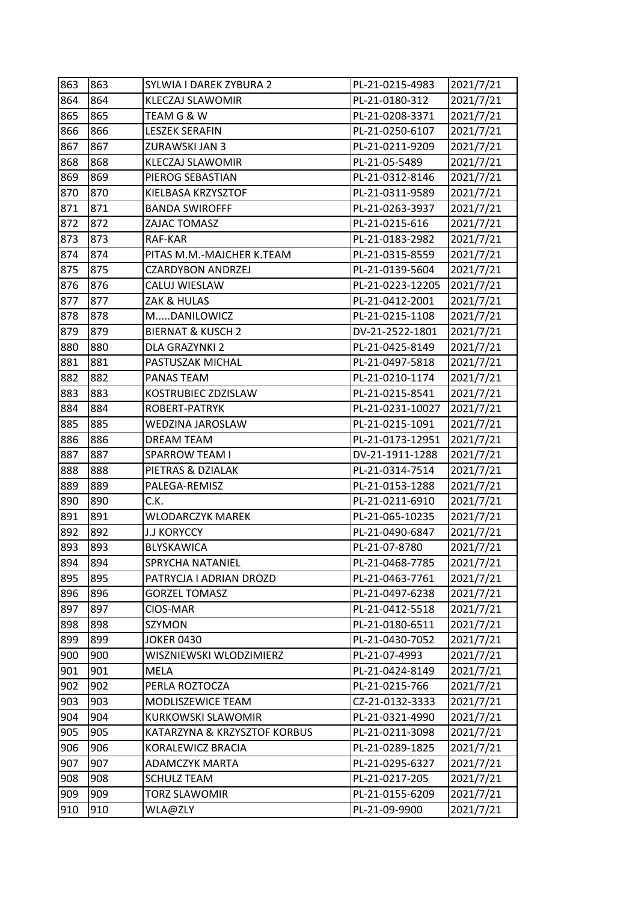| 863 | 863 | SYLWIA I DAREK ZYBURA 2      | PL-21-0215-4983  | 2021/7/21 |
|-----|-----|------------------------------|------------------|-----------|
| 864 | 864 | <b>KLECZAJ SLAWOMIR</b>      | PL-21-0180-312   | 2021/7/21 |
| 865 | 865 | TEAM G & W                   | PL-21-0208-3371  | 2021/7/21 |
| 866 | 866 | <b>LESZEK SERAFIN</b>        | PL-21-0250-6107  | 2021/7/21 |
| 867 | 867 | ZURAWSKI JAN 3               | PL-21-0211-9209  | 2021/7/21 |
| 868 | 868 | <b>KLECZAJ SLAWOMIR</b>      | PL-21-05-5489    | 2021/7/21 |
| 869 | 869 | PIEROG SEBASTIAN             | PL-21-0312-8146  | 2021/7/21 |
| 870 | 870 | KIELBASA KRZYSZTOF           | PL-21-0311-9589  | 2021/7/21 |
| 871 | 871 | <b>BANDA SWIROFFF</b>        | PL-21-0263-3937  | 2021/7/21 |
| 872 | 872 | ZAJAC TOMASZ                 | PL-21-0215-616   | 2021/7/21 |
| 873 | 873 | RAF-KAR                      | PL-21-0183-2982  | 2021/7/21 |
| 874 | 874 | PITAS M.M.-MAJCHER K.TEAM    | PL-21-0315-8559  | 2021/7/21 |
| 875 | 875 | <b>CZARDYBON ANDRZEJ</b>     | PL-21-0139-5604  | 2021/7/21 |
| 876 | 876 | CALUJ WIESLAW                | PL-21-0223-12205 | 2021/7/21 |
| 877 | 877 | ZAK & HULAS                  | PL-21-0412-2001  | 2021/7/21 |
| 878 | 878 | MDANILOWICZ                  | PL-21-0215-1108  | 2021/7/21 |
| 879 | 879 | <b>BIERNAT &amp; KUSCH 2</b> | DV-21-2522-1801  | 2021/7/21 |
| 880 | 880 | DLA GRAZYNKI 2               | PL-21-0425-8149  | 2021/7/21 |
| 881 | 881 | PASTUSZAK MICHAL             | PL-21-0497-5818  | 2021/7/21 |
| 882 | 882 | PANAS TEAM                   | PL-21-0210-1174  | 2021/7/21 |
| 883 | 883 | KOSTRUBIEC ZDZISLAW          | PL-21-0215-8541  | 2021/7/21 |
| 884 | 884 | ROBERT-PATRYK                | PL-21-0231-10027 | 2021/7/21 |
| 885 | 885 | WEDZINA JAROSLAW             | PL-21-0215-1091  | 2021/7/21 |
| 886 | 886 | <b>DREAM TEAM</b>            | PL-21-0173-12951 | 2021/7/21 |
| 887 | 887 | SPARROW TEAM I               | DV-21-1911-1288  | 2021/7/21 |
| 888 | 888 | PIETRAS & DZIALAK            | PL-21-0314-7514  | 2021/7/21 |
| 889 | 889 | PALEGA-REMISZ                | PL-21-0153-1288  | 2021/7/21 |
| 890 | 890 | C.K.                         | PL-21-0211-6910  | 2021/7/21 |
| 891 | 891 | <b>WLODARCZYK MAREK</b>      | PL-21-065-10235  | 2021/7/21 |
| 892 | 892 | <b>J.J KORYCCY</b>           | PL-21-0490-6847  | 2021/7/21 |
| 893 | 893 | BLYSKAWICA                   | PL-21-07-8780    | 2021/7/21 |
| 894 | 894 | SPRYCHA NATANIEL             | PL-21-0468-7785  | 2021/7/21 |
| 895 | 895 | PATRYCJA I ADRIAN DROZD      | PL-21-0463-7761  | 2021/7/21 |
| 896 | 896 | <b>GORZEL TOMASZ</b>         | PL-21-0497-6238  | 2021/7/21 |
| 897 | 897 | CIOS-MAR                     | PL-21-0412-5518  | 2021/7/21 |
| 898 | 898 | SZYMON                       | PL-21-0180-6511  | 2021/7/21 |
| 899 | 899 | <b>JOKER 0430</b>            | PL-21-0430-7052  | 2021/7/21 |
| 900 | 900 | WISZNIEWSKI WLODZIMIERZ      | PL-21-07-4993    | 2021/7/21 |
| 901 | 901 | MELA                         | PL-21-0424-8149  | 2021/7/21 |
| 902 | 902 | PERLA ROZTOCZA               | PL-21-0215-766   | 2021/7/21 |
| 903 | 903 | MODLISZEWICE TEAM            | CZ-21-0132-3333  | 2021/7/21 |
| 904 | 904 | <b>KURKOWSKI SLAWOMIR</b>    | PL-21-0321-4990  | 2021/7/21 |
| 905 | 905 | KATARZYNA & KRZYSZTOF KORBUS | PL-21-0211-3098  | 2021/7/21 |
| 906 | 906 | KORALEWICZ BRACIA            | PL-21-0289-1825  | 2021/7/21 |
| 907 | 907 | <b>ADAMCZYK MARTA</b>        | PL-21-0295-6327  | 2021/7/21 |
| 908 | 908 | <b>SCHULZ TEAM</b>           | PL-21-0217-205   | 2021/7/21 |
| 909 | 909 | <b>TORZ SLAWOMIR</b>         | PL-21-0155-6209  | 2021/7/21 |
| 910 | 910 | WLA@ZLY                      | PL-21-09-9900    | 2021/7/21 |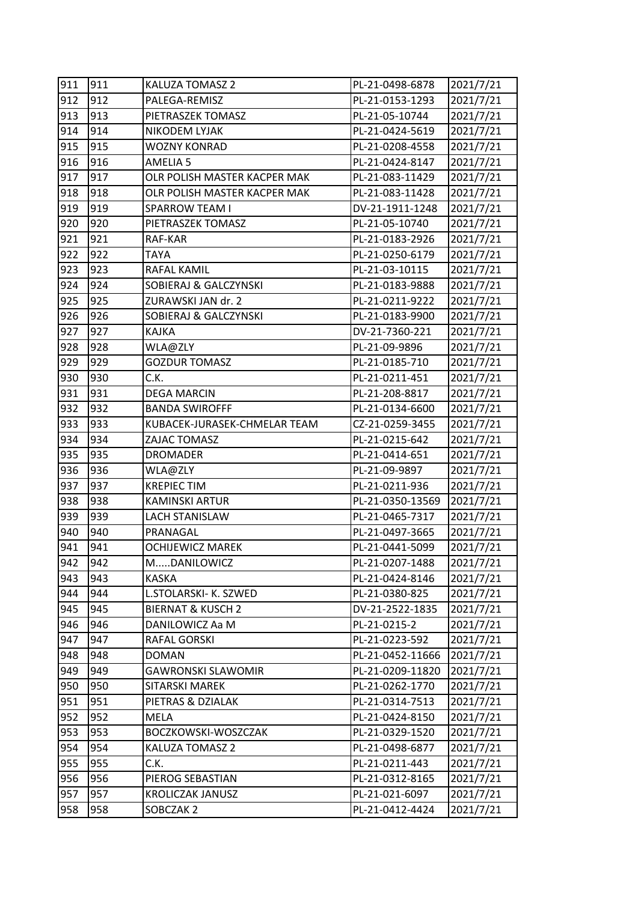| 911 | 911 | <b>KALUZA TOMASZ 2</b>       | PL-21-0498-6878  | 2021/7/21 |
|-----|-----|------------------------------|------------------|-----------|
| 912 | 912 | PALEGA-REMISZ                | PL-21-0153-1293  | 2021/7/21 |
| 913 | 913 | PIETRASZEK TOMASZ            | PL-21-05-10744   | 2021/7/21 |
| 914 | 914 | NIKODEM LYJAK                | PL-21-0424-5619  | 2021/7/21 |
| 915 | 915 | <b>WOZNY KONRAD</b>          | PL-21-0208-4558  | 2021/7/21 |
| 916 | 916 | AMELIA 5                     | PL-21-0424-8147  | 2021/7/21 |
| 917 | 917 | OLR POLISH MASTER KACPER MAK | PL-21-083-11429  | 2021/7/21 |
| 918 | 918 | OLR POLISH MASTER KACPER MAK | PL-21-083-11428  | 2021/7/21 |
| 919 | 919 | <b>SPARROW TEAM I</b>        | DV-21-1911-1248  | 2021/7/21 |
| 920 | 920 | PIETRASZEK TOMASZ            | PL-21-05-10740   | 2021/7/21 |
| 921 | 921 | RAF-KAR                      | PL-21-0183-2926  | 2021/7/21 |
| 922 | 922 | <b>TAYA</b>                  | PL-21-0250-6179  | 2021/7/21 |
| 923 | 923 | RAFAL KAMIL                  | PL-21-03-10115   | 2021/7/21 |
| 924 | 924 | SOBIERAJ & GALCZYNSKI        | PL-21-0183-9888  | 2021/7/21 |
| 925 | 925 | ZURAWSKI JAN dr. 2           | PL-21-0211-9222  | 2021/7/21 |
| 926 | 926 | SOBIERAJ & GALCZYNSKI        | PL-21-0183-9900  | 2021/7/21 |
| 927 | 927 | KAJKA                        | DV-21-7360-221   | 2021/7/21 |
| 928 | 928 | WLA@ZLY                      | PL-21-09-9896    | 2021/7/21 |
| 929 | 929 | <b>GOZDUR TOMASZ</b>         | PL-21-0185-710   | 2021/7/21 |
| 930 | 930 | C.K.                         | PL-21-0211-451   | 2021/7/21 |
| 931 | 931 | <b>DEGA MARCIN</b>           | PL-21-208-8817   | 2021/7/21 |
| 932 | 932 | <b>BANDA SWIROFFF</b>        | PL-21-0134-6600  | 2021/7/21 |
| 933 | 933 | KUBACEK-JURASEK-CHMELAR TEAM | CZ-21-0259-3455  | 2021/7/21 |
| 934 | 934 | ZAJAC TOMASZ                 | PL-21-0215-642   | 2021/7/21 |
| 935 | 935 | <b>DROMADER</b>              | PL-21-0414-651   | 2021/7/21 |
| 936 | 936 | WLA@ZLY                      | PL-21-09-9897    | 2021/7/21 |
| 937 | 937 | <b>KREPIEC TIM</b>           | PL-21-0211-936   | 2021/7/21 |
| 938 | 938 | <b>KAMINSKI ARTUR</b>        | PL-21-0350-13569 | 2021/7/21 |
| 939 | 939 | <b>LACH STANISLAW</b>        | PL-21-0465-7317  | 2021/7/21 |
| 940 | 940 | PRANAGAL                     | PL-21-0497-3665  | 2021/7/21 |
| 941 | 941 | <b>OCHIJEWICZ MAREK</b>      | PL-21-0441-5099  | 2021/7/21 |
| 942 | 942 | MDANILOWICZ                  | PL-21-0207-1488  | 2021/7/21 |
| 943 | 943 | <b>KASKA</b>                 | PL-21-0424-8146  | 2021/7/21 |
| 944 | 944 | L.STOLARSKI- K. SZWED        | PL-21-0380-825   | 2021/7/21 |
| 945 | 945 | <b>BIERNAT &amp; KUSCH 2</b> | DV-21-2522-1835  | 2021/7/21 |
| 946 | 946 | DANILOWICZ Aa M              | PL-21-0215-2     | 2021/7/21 |
| 947 | 947 | RAFAL GORSKI                 | PL-21-0223-592   | 2021/7/21 |
| 948 | 948 | <b>DOMAN</b>                 | PL-21-0452-11666 | 2021/7/21 |
| 949 | 949 | <b>GAWRONSKI SLAWOMIR</b>    | PL-21-0209-11820 | 2021/7/21 |
| 950 | 950 | SITARSKI MAREK               | PL-21-0262-1770  | 2021/7/21 |
| 951 | 951 | PIETRAS & DZIALAK            | PL-21-0314-7513  | 2021/7/21 |
| 952 | 952 | <b>MELA</b>                  | PL-21-0424-8150  | 2021/7/21 |
| 953 | 953 | BOCZKOWSKI-WOSZCZAK          | PL-21-0329-1520  | 2021/7/21 |
| 954 | 954 | KALUZA TOMASZ 2              | PL-21-0498-6877  | 2021/7/21 |
| 955 | 955 | C.K.                         | PL-21-0211-443   | 2021/7/21 |
| 956 | 956 | PIEROG SEBASTIAN             | PL-21-0312-8165  | 2021/7/21 |
| 957 | 957 | KROLICZAK JANUSZ             | PL-21-021-6097   | 2021/7/21 |
| 958 | 958 | SOBCZAK 2                    | PL-21-0412-4424  | 2021/7/21 |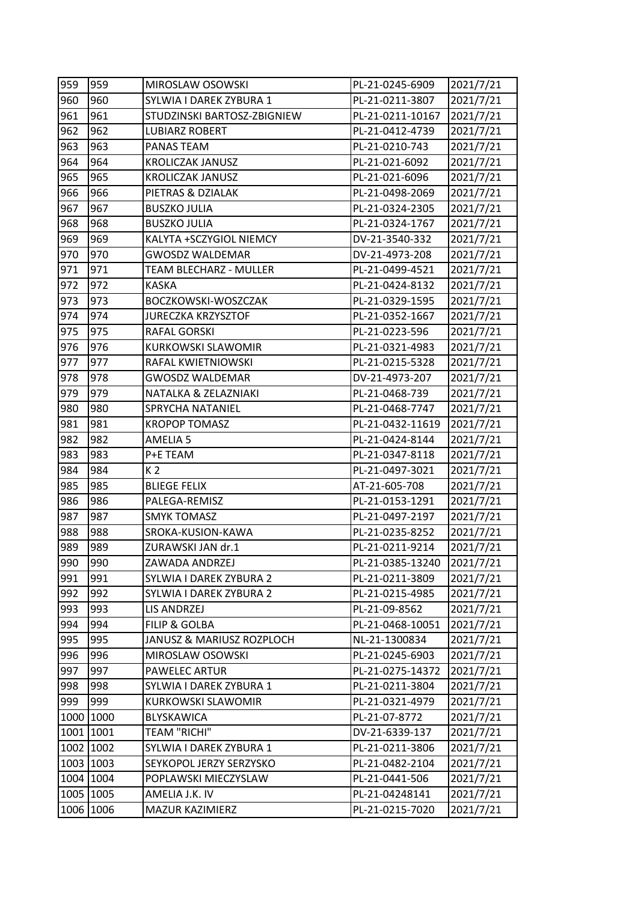| 959 | 959       | MIROSLAW OSOWSKI              | PL-21-0245-6909  | 2021/7/21 |
|-----|-----------|-------------------------------|------------------|-----------|
| 960 | 960       | SYLWIA I DAREK ZYBURA 1       | PL-21-0211-3807  | 2021/7/21 |
| 961 | 961       | STUDZINSKI BARTOSZ-ZBIGNIEW   | PL-21-0211-10167 | 2021/7/21 |
| 962 | 962       | <b>LUBIARZ ROBERT</b>         | PL-21-0412-4739  | 2021/7/21 |
| 963 | 963       | PANAS TEAM                    | PL-21-0210-743   | 2021/7/21 |
| 964 | 964       | <b>KROLICZAK JANUSZ</b>       | PL-21-021-6092   | 2021/7/21 |
| 965 | 965       | KROLICZAK JANUSZ              | PL-21-021-6096   | 2021/7/21 |
| 966 | 966       | PIETRAS & DZIALAK             | PL-21-0498-2069  | 2021/7/21 |
| 967 | 967       | <b>BUSZKO JULIA</b>           | PL-21-0324-2305  | 2021/7/21 |
| 968 | 968       | <b>BUSZKO JULIA</b>           | PL-21-0324-1767  | 2021/7/21 |
| 969 | 969       | KALYTA +SCZYGIOL NIEMCY       | DV-21-3540-332   | 2021/7/21 |
| 970 | 970       | <b>GWOSDZ WALDEMAR</b>        | DV-21-4973-208   | 2021/7/21 |
| 971 | 971       | <b>TEAM BLECHARZ - MULLER</b> | PL-21-0499-4521  | 2021/7/21 |
| 972 | 972       | <b>KASKA</b>                  | PL-21-0424-8132  | 2021/7/21 |
| 973 | 973       | BOCZKOWSKI-WOSZCZAK           | PL-21-0329-1595  | 2021/7/21 |
| 974 | 974       | <b>JURECZKA KRZYSZTOF</b>     | PL-21-0352-1667  | 2021/7/21 |
| 975 | 975       | RAFAL GORSKI                  | PL-21-0223-596   | 2021/7/21 |
| 976 | 976       | <b>KURKOWSKI SLAWOMIR</b>     | PL-21-0321-4983  | 2021/7/21 |
| 977 | 977       | RAFAL KWIETNIOWSKI            | PL-21-0215-5328  | 2021/7/21 |
| 978 | 978       | <b>GWOSDZ WALDEMAR</b>        | DV-21-4973-207   | 2021/7/21 |
| 979 | 979       | NATALKA & ZELAZNIAKI          | PL-21-0468-739   | 2021/7/21 |
| 980 | 980       | SPRYCHA NATANIEL              | PL-21-0468-7747  | 2021/7/21 |
| 981 | 981       | <b>KROPOP TOMASZ</b>          | PL-21-0432-11619 | 2021/7/21 |
| 982 | 982       | <b>AMELIA 5</b>               | PL-21-0424-8144  | 2021/7/21 |
| 983 | 983       | P+E TEAM                      | PL-21-0347-8118  | 2021/7/21 |
| 984 | 984       | K <sub>2</sub>                | PL-21-0497-3021  | 2021/7/21 |
| 985 | 985       | <b>BLIEGE FELIX</b>           | AT-21-605-708    | 2021/7/21 |
| 986 | 986       | PALEGA-REMISZ                 | PL-21-0153-1291  | 2021/7/21 |
| 987 | 987       | <b>SMYK TOMASZ</b>            | PL-21-0497-2197  | 2021/7/21 |
| 988 | 988       | SROKA-KUSION-KAWA             | PL-21-0235-8252  | 2021/7/21 |
| 989 | 989       | ZURAWSKI JAN dr.1             | PL-21-0211-9214  | 2021/7/21 |
| 990 | 990       | ZAWADA ANDRZEJ                | PL-21-0385-13240 | 2021/7/21 |
| 991 | 991       | SYLWIA I DAREK ZYBURA 2       | PL-21-0211-3809  | 2021/7/21 |
| 992 | 992       | SYLWIA I DAREK ZYBURA 2       | PL-21-0215-4985  | 2021/7/21 |
| 993 | 993       | LIS ANDRZEJ                   | PL-21-09-8562    | 2021/7/21 |
| 994 | 994       | <b>FILIP &amp; GOLBA</b>      | PL-21-0468-10051 | 2021/7/21 |
| 995 | 995       | JANUSZ & MARIUSZ ROZPLOCH     | NL-21-1300834    | 2021/7/21 |
| 996 | 996       | MIROSLAW OSOWSKI              | PL-21-0245-6903  | 2021/7/21 |
| 997 | 997       | PAWELEC ARTUR                 | PL-21-0275-14372 | 2021/7/21 |
| 998 | 998       | SYLWIA I DAREK ZYBURA 1       | PL-21-0211-3804  | 2021/7/21 |
| 999 | 999       | <b>KURKOWSKI SLAWOMIR</b>     | PL-21-0321-4979  | 2021/7/21 |
|     | 1000 1000 | <b>BLYSKAWICA</b>             | PL-21-07-8772    | 2021/7/21 |
|     | 1001 1001 | <b>TEAM "RICHI"</b>           | DV-21-6339-137   | 2021/7/21 |
|     | 1002 1002 | SYLWIA I DAREK ZYBURA 1       | PL-21-0211-3806  | 2021/7/21 |
|     | 1003 1003 | SEYKOPOL JERZY SERZYSKO       | PL-21-0482-2104  | 2021/7/21 |
|     | 1004 1004 | POPLAWSKI MIECZYSLAW          | PL-21-0441-506   | 2021/7/21 |
|     | 1005 1005 | AMELIA J.K. IV                | PL-21-04248141   | 2021/7/21 |
|     | 1006 1006 | MAZUR KAZIMIERZ               | PL-21-0215-7020  | 2021/7/21 |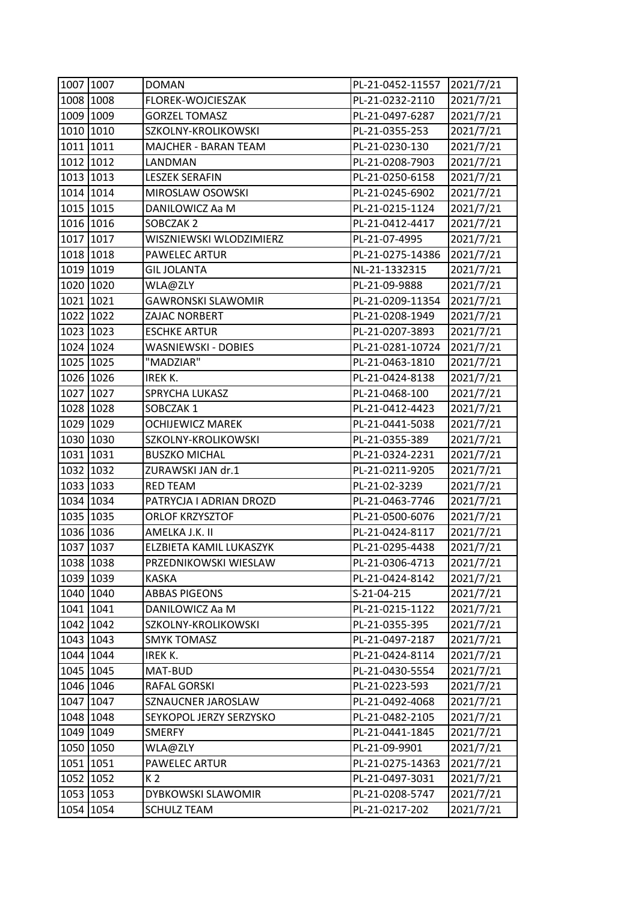| 1007 1007 | <b>DOMAN</b>               | PL-21-0452-11557 | 2021/7/21 |
|-----------|----------------------------|------------------|-----------|
| 1008 1008 | FLOREK-WOJCIESZAK          | PL-21-0232-2110  | 2021/7/21 |
| 1009 1009 | <b>GORZEL TOMASZ</b>       | PL-21-0497-6287  | 2021/7/21 |
| 1010 1010 | SZKOLNY-KROLIKOWSKI        | PL-21-0355-253   | 2021/7/21 |
| 1011 1011 | MAJCHER - BARAN TEAM       | PL-21-0230-130   | 2021/7/21 |
| 1012 1012 | LANDMAN                    | PL-21-0208-7903  | 2021/7/21 |
| 1013 1013 | <b>LESZEK SERAFIN</b>      | PL-21-0250-6158  | 2021/7/21 |
| 1014 1014 | MIROSLAW OSOWSKI           | PL-21-0245-6902  | 2021/7/21 |
| 1015 1015 | DANILOWICZ Aa M            | PL-21-0215-1124  | 2021/7/21 |
| 1016 1016 | SOBCZAK 2                  | PL-21-0412-4417  | 2021/7/21 |
| 1017 1017 | WISZNIEWSKI WLODZIMIERZ    | PL-21-07-4995    | 2021/7/21 |
| 1018 1018 | PAWELEC ARTUR              | PL-21-0275-14386 | 2021/7/21 |
| 1019 1019 | <b>GIL JOLANTA</b>         | NL-21-1332315    | 2021/7/21 |
| 1020 1020 | WLA@ZLY                    | PL-21-09-9888    | 2021/7/21 |
| 1021 1021 | <b>GAWRONSKI SLAWOMIR</b>  | PL-21-0209-11354 | 2021/7/21 |
| 1022 1022 | ZAJAC NORBERT              | PL-21-0208-1949  | 2021/7/21 |
| 1023 1023 | <b>ESCHKE ARTUR</b>        | PL-21-0207-3893  | 2021/7/21 |
| 1024 1024 | <b>WASNIEWSKI - DOBIES</b> | PL-21-0281-10724 | 2021/7/21 |
| 1025 1025 | "MADZIAR"                  | PL-21-0463-1810  | 2021/7/21 |
| 1026 1026 | IREK K.                    | PL-21-0424-8138  | 2021/7/21 |
| 1027 1027 | SPRYCHA LUKASZ             | PL-21-0468-100   | 2021/7/21 |
| 1028 1028 | SOBCZAK 1                  | PL-21-0412-4423  | 2021/7/21 |
| 1029 1029 | <b>OCHIJEWICZ MAREK</b>    | PL-21-0441-5038  | 2021/7/21 |
| 1030 1030 | SZKOLNY-KROLIKOWSKI        | PL-21-0355-389   | 2021/7/21 |
| 1031 1031 | <b>BUSZKO MICHAL</b>       | PL-21-0324-2231  | 2021/7/21 |
| 1032 1032 | ZURAWSKI JAN dr.1          | PL-21-0211-9205  | 2021/7/21 |
| 1033 1033 | <b>RED TEAM</b>            | PL-21-02-3239    | 2021/7/21 |
| 1034 1034 | PATRYCJA I ADRIAN DROZD    | PL-21-0463-7746  | 2021/7/21 |
| 1035 1035 | <b>ORLOF KRZYSZTOF</b>     | PL-21-0500-6076  | 2021/7/21 |
| 1036 1036 | AMELKA J.K. II             | PL-21-0424-8117  | 2021/7/21 |
| 1037 1037 | ELZBIETA KAMIL LUKASZYK    | PL-21-0295-4438  | 2021/7/21 |
| 1038 1038 | PRZEDNIKOWSKI WIESLAW      | PL-21-0306-4713  | 2021/7/21 |
| 1039 1039 | <b>KASKA</b>               | PL-21-0424-8142  | 2021/7/21 |
| 1040 1040 | <b>ABBAS PIGEONS</b>       | S-21-04-215      | 2021/7/21 |
| 1041 1041 | DANILOWICZ Aa M            | PL-21-0215-1122  | 2021/7/21 |
| 1042 1042 | SZKOLNY-KROLIKOWSKI        | PL-21-0355-395   | 2021/7/21 |
| 1043 1043 | <b>SMYK TOMASZ</b>         | PL-21-0497-2187  | 2021/7/21 |
| 1044 1044 | IREK K.                    | PL-21-0424-8114  | 2021/7/21 |
| 1045 1045 | MAT-BUD                    | PL-21-0430-5554  | 2021/7/21 |
| 1046 1046 | RAFAL GORSKI               | PL-21-0223-593   | 2021/7/21 |
| 1047 1047 | SZNAUCNER JAROSLAW         | PL-21-0492-4068  | 2021/7/21 |
| 1048 1048 | SEYKOPOL JERZY SERZYSKO    | PL-21-0482-2105  | 2021/7/21 |
| 1049 1049 | <b>SMERFY</b>              | PL-21-0441-1845  | 2021/7/21 |
| 1050 1050 | WLA@ZLY                    | PL-21-09-9901    | 2021/7/21 |
| 1051 1051 | PAWELEC ARTUR              | PL-21-0275-14363 | 2021/7/21 |
| 1052 1052 | K <sub>2</sub>             | PL-21-0497-3031  | 2021/7/21 |
| 1053 1053 | DYBKOWSKI SLAWOMIR         | PL-21-0208-5747  | 2021/7/21 |
| 1054 1054 | <b>SCHULZ TEAM</b>         | PL-21-0217-202   | 2021/7/21 |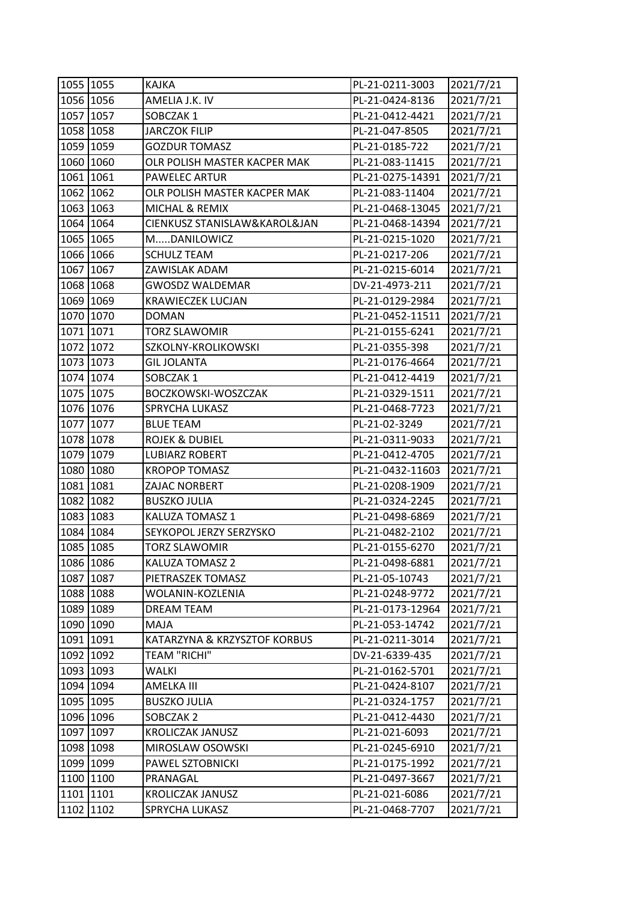| 1055 1055 | KAJKA                        | PL-21-0211-3003  | 2021/7/21 |
|-----------|------------------------------|------------------|-----------|
| 1056 1056 | AMELIA J.K. IV               | PL-21-0424-8136  | 2021/7/21 |
| 1057 1057 | SOBCZAK 1                    | PL-21-0412-4421  | 2021/7/21 |
| 1058 1058 | <b>JARCZOK FILIP</b>         | PL-21-047-8505   | 2021/7/21 |
| 1059 1059 | <b>GOZDUR TOMASZ</b>         | PL-21-0185-722   | 2021/7/21 |
| 1060 1060 | OLR POLISH MASTER KACPER MAK | PL-21-083-11415  | 2021/7/21 |
| 1061 1061 | PAWELEC ARTUR                | PL-21-0275-14391 | 2021/7/21 |
| 1062 1062 | OLR POLISH MASTER KACPER MAK | PL-21-083-11404  | 2021/7/21 |
| 1063 1063 | MICHAL & REMIX               | PL-21-0468-13045 | 2021/7/21 |
| 1064 1064 | CIENKUSZ STANISLAW&KAROL&JAN | PL-21-0468-14394 | 2021/7/21 |
| 1065 1065 | MDANILOWICZ                  | PL-21-0215-1020  | 2021/7/21 |
| 1066 1066 | <b>SCHULZ TEAM</b>           | PL-21-0217-206   | 2021/7/21 |
| 1067 1067 | ZAWISLAK ADAM                | PL-21-0215-6014  | 2021/7/21 |
| 1068 1068 | <b>GWOSDZ WALDEMAR</b>       | DV-21-4973-211   | 2021/7/21 |
| 1069 1069 | <b>KRAWIECZEK LUCJAN</b>     | PL-21-0129-2984  | 2021/7/21 |
| 1070 1070 | <b>DOMAN</b>                 | PL-21-0452-11511 | 2021/7/21 |
| 1071 1071 | <b>TORZ SLAWOMIR</b>         | PL-21-0155-6241  | 2021/7/21 |
| 1072 1072 | SZKOLNY-KROLIKOWSKI          | PL-21-0355-398   | 2021/7/21 |
| 1073 1073 | <b>GIL JOLANTA</b>           | PL-21-0176-4664  | 2021/7/21 |
| 1074 1074 | SOBCZAK 1                    | PL-21-0412-4419  | 2021/7/21 |
| 1075 1075 | BOCZKOWSKI-WOSZCZAK          | PL-21-0329-1511  | 2021/7/21 |
| 1076 1076 | SPRYCHA LUKASZ               | PL-21-0468-7723  | 2021/7/21 |
| 1077 1077 | <b>BLUE TEAM</b>             | PL-21-02-3249    | 2021/7/21 |
| 1078 1078 | <b>ROJEK &amp; DUBIEL</b>    | PL-21-0311-9033  | 2021/7/21 |
| 1079 1079 | <b>LUBIARZ ROBERT</b>        | PL-21-0412-4705  | 2021/7/21 |
| 1080 1080 | <b>KROPOP TOMASZ</b>         | PL-21-0432-11603 | 2021/7/21 |
| 1081 1081 | ZAJAC NORBERT                | PL-21-0208-1909  | 2021/7/21 |
| 1082 1082 | <b>BUSZKO JULIA</b>          | PL-21-0324-2245  | 2021/7/21 |
| 1083 1083 | KALUZA TOMASZ 1              | PL-21-0498-6869  | 2021/7/21 |
| 1084 1084 | SEYKOPOL JERZY SERZYSKO      | PL-21-0482-2102  | 2021/7/21 |
| 1085 1085 | TORZ SLAWOMIR                | PL-21-0155-6270  | 2021/7/21 |
| 1086 1086 | KALUZA TOMASZ 2              | PL-21-0498-6881  | 2021/7/21 |
| 1087 1087 | PIETRASZEK TOMASZ            | PL-21-05-10743   | 2021/7/21 |
| 1088 1088 | WOLANIN-KOZLENIA             | PL-21-0248-9772  | 2021/7/21 |
| 1089 1089 | <b>DREAM TEAM</b>            | PL-21-0173-12964 | 2021/7/21 |
| 1090 1090 | MAJA                         | PL-21-053-14742  | 2021/7/21 |
| 1091 1091 | KATARZYNA & KRZYSZTOF KORBUS | PL-21-0211-3014  | 2021/7/21 |
| 1092 1092 | <b>TEAM "RICHI"</b>          | DV-21-6339-435   | 2021/7/21 |
| 1093 1093 | WALKI                        | PL-21-0162-5701  | 2021/7/21 |
| 1094 1094 | AMELKA III                   | PL-21-0424-8107  | 2021/7/21 |
| 1095 1095 | <b>BUSZKO JULIA</b>          | PL-21-0324-1757  | 2021/7/21 |
| 1096 1096 | SOBCZAK 2                    | PL-21-0412-4430  | 2021/7/21 |
| 1097 1097 | <b>KROLICZAK JANUSZ</b>      | PL-21-021-6093   | 2021/7/21 |
| 1098 1098 | MIROSLAW OSOWSKI             | PL-21-0245-6910  | 2021/7/21 |
| 1099 1099 | PAWEL SZTOBNICKI             | PL-21-0175-1992  | 2021/7/21 |
| 1100 1100 | PRANAGAL                     | PL-21-0497-3667  | 2021/7/21 |
| 1101 1101 | <b>KROLICZAK JANUSZ</b>      | PL-21-021-6086   | 2021/7/21 |
| 1102 1102 | SPRYCHA LUKASZ               | PL-21-0468-7707  | 2021/7/21 |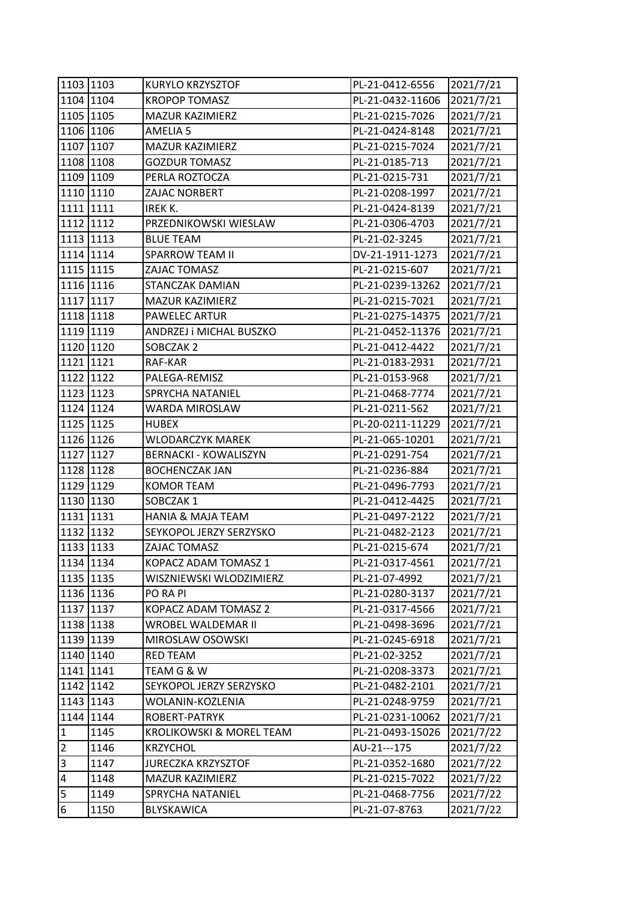| 1103 1103               |           | KURYLO KRZYSZTOF             | PL-21-0412-6556  | 2021/7/21 |
|-------------------------|-----------|------------------------------|------------------|-----------|
|                         | 1104 1104 | <b>KROPOP TOMASZ</b>         | PL-21-0432-11606 | 2021/7/21 |
| 1105 1105               |           | MAZUR KAZIMIERZ              | PL-21-0215-7026  | 2021/7/21 |
|                         | 1106 1106 | <b>AMELIA 5</b>              | PL-21-0424-8148  | 2021/7/21 |
|                         | 1107 1107 | MAZUR KAZIMIERZ              | PL-21-0215-7024  | 2021/7/21 |
|                         | 1108 1108 | <b>GOZDUR TOMASZ</b>         | PL-21-0185-713   | 2021/7/21 |
|                         | 1109 1109 | PERLA ROZTOCZA               | PL-21-0215-731   | 2021/7/21 |
|                         | 1110 1110 | ZAJAC NORBERT                | PL-21-0208-1997  | 2021/7/21 |
| 1111 1111               |           | IREK K.                      | PL-21-0424-8139  | 2021/7/21 |
| 1112 1112               |           | PRZEDNIKOWSKI WIESLAW        | PL-21-0306-4703  | 2021/7/21 |
|                         | 1113 1113 | <b>BLUE TEAM</b>             | PL-21-02-3245    | 2021/7/21 |
|                         | 1114 1114 | <b>SPARROW TEAM II</b>       | DV-21-1911-1273  | 2021/7/21 |
| 1115 1115               |           | ZAJAC TOMASZ                 | PL-21-0215-607   | 2021/7/21 |
|                         | 1116 1116 | STANCZAK DAMIAN              | PL-21-0239-13262 | 2021/7/21 |
|                         | 1117 1117 | MAZUR KAZIMIERZ              | PL-21-0215-7021  | 2021/7/21 |
|                         | 1118 1118 | <b>PAWELEC ARTUR</b>         | PL-21-0275-14375 | 2021/7/21 |
|                         | 1119 1119 | ANDRZEJ i MICHAL BUSZKO      | PL-21-0452-11376 | 2021/7/21 |
|                         | 1120 1120 | SOBCZAK 2                    | PL-21-0412-4422  | 2021/7/21 |
| 1121 1121               |           | RAF-KAR                      | PL-21-0183-2931  | 2021/7/21 |
|                         | 1122 1122 | PALEGA-REMISZ                | PL-21-0153-968   | 2021/7/21 |
|                         | 1123 1123 | SPRYCHA NATANIEL             | PL-21-0468-7774  | 2021/7/21 |
|                         | 1124 1124 | WARDA MIROSLAW               | PL-21-0211-562   | 2021/7/21 |
| 1125 1125               |           | <b>HUBEX</b>                 | PL-20-0211-11229 | 2021/7/21 |
|                         | 1126 1126 | WLODARCZYK MAREK             | PL-21-065-10201  | 2021/7/21 |
|                         | 1127 1127 | <b>BERNACKI - KOWALISZYN</b> | PL-21-0291-754   | 2021/7/21 |
|                         | 1128 1128 | <b>BOCHENCZAK JAN</b>        | PL-21-0236-884   | 2021/7/21 |
|                         | 1129 1129 | <b>KOMOR TEAM</b>            | PL-21-0496-7793  | 2021/7/21 |
|                         | 1130 1130 | SOBCZAK 1                    | PL-21-0412-4425  | 2021/7/21 |
| 1131 1131               |           | <b>HANIA &amp; MAJA TEAM</b> | PL-21-0497-2122  | 2021/7/21 |
| 1132 1132               |           | SEYKOPOL JERZY SERZYSKO      | PL-21-0482-2123  | 2021/7/21 |
| 1133 1133               |           | ZAJAC TOMASZ                 | PL-21-0215-674   | 2021/7/21 |
| 1134 1134               |           | KOPACZ ADAM TOMASZ 1         | PL-21-0317-4561  | 2021/7/21 |
|                         | 1135 1135 | WISZNIEWSKI WLODZIMIERZ      | PL-21-07-4992    | 2021/7/21 |
|                         | 1136 1136 | PO RA PI                     | PL-21-0280-3137  | 2021/7/21 |
|                         | 1137 1137 | KOPACZ ADAM TOMASZ 2         | PL-21-0317-4566  | 2021/7/21 |
|                         | 1138 1138 | WROBEL WALDEMAR II           | PL-21-0498-3696  | 2021/7/21 |
|                         | 1139 1139 | MIROSLAW OSOWSKI             | PL-21-0245-6918  | 2021/7/21 |
|                         | 1140 1140 | <b>RED TEAM</b>              | PL-21-02-3252    | 2021/7/21 |
|                         | 1141 1141 | TEAM G & W                   | PL-21-0208-3373  | 2021/7/21 |
| 1142 1142               |           | SEYKOPOL JERZY SERZYSKO      | PL-21-0482-2101  | 2021/7/21 |
|                         | 1143 1143 | WOLANIN-KOZLENIA             | PL-21-0248-9759  | 2021/7/21 |
|                         | 1144 1144 | ROBERT-PATRYK                | PL-21-0231-10062 | 2021/7/21 |
| $\mathbf{1}$            | 1145      | KROLIKOWSKI & MOREL TEAM     | PL-21-0493-15026 | 2021/7/22 |
| $\overline{2}$          | 1146      | <b>KRZYCHOL</b>              | AU-21---175      | 2021/7/22 |
| 3                       | 1147      | <b>JURECZKA KRZYSZTOF</b>    | PL-21-0352-1680  | 2021/7/22 |
| $\overline{\mathbf{4}}$ | 1148      | MAZUR KAZIMIERZ              | PL-21-0215-7022  | 2021/7/22 |
| 5                       | 1149      | SPRYCHA NATANIEL             | PL-21-0468-7756  | 2021/7/22 |
| $\boldsymbol{6}$        | 1150      | BLYSKAWICA                   | PL-21-07-8763    | 2021/7/22 |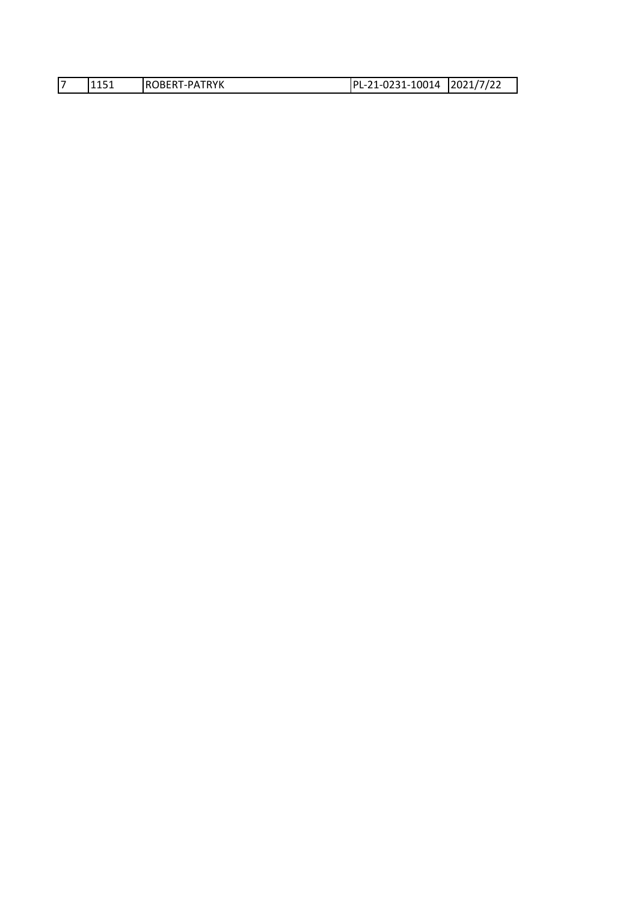|  |  | '1151 | <b>IROBERT-PATRYK</b> | PL-21-0231-10014 2021/7/22 |  |
|--|--|-------|-----------------------|----------------------------|--|
|--|--|-------|-----------------------|----------------------------|--|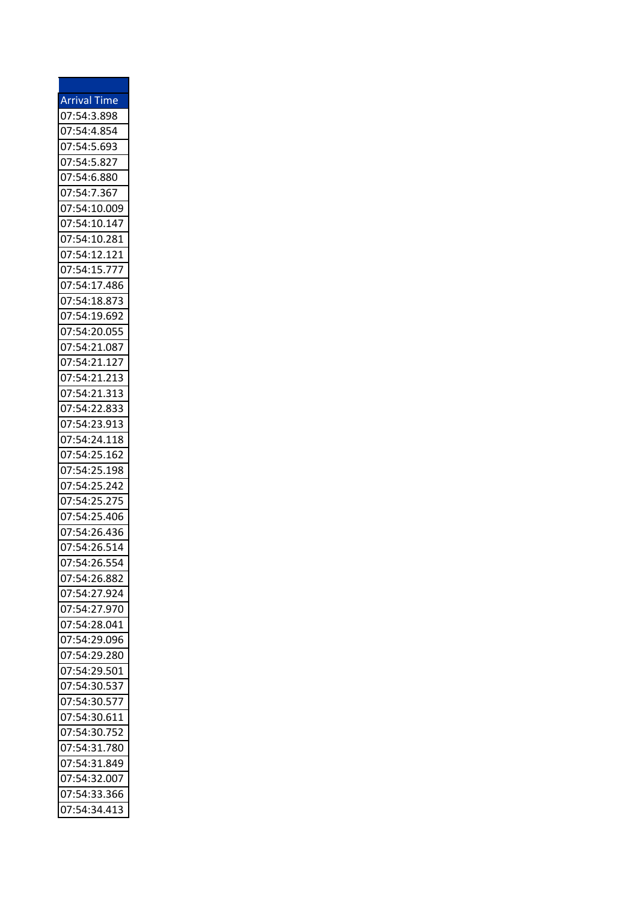| <b>Arrival Time</b> |  |
|---------------------|--|
| 07:54:3.898         |  |
| 07:54:4.854         |  |
| 07:54:5.693         |  |
| 07:54:5.827         |  |
| 07:54:6.880         |  |
| 07:54:7.367         |  |
| 07:54:10.009        |  |
| 07:54:10.147        |  |
| 07:54:10.281        |  |
| 07:54:12.121        |  |
| 07:54:15.777        |  |
| 07:54:17.486        |  |
| 07:54:18.873        |  |
| 07:54:19.692        |  |
| 07:54:20.055        |  |
| 07:54:21.087        |  |
|                     |  |
| 07:54:21.127        |  |
| 07:54:21.213        |  |
| 07:54:21.313        |  |
| 07:54:22.833        |  |
| 07:54:23.913        |  |
| 07:54:24.118        |  |
| 07:54:25.162        |  |
| 07:54:25.198        |  |
| 07:54:25.242        |  |
| 07:54:25.275        |  |
| 07:54:25.406        |  |
| 07:54:26.436        |  |
| 07:54:26.514        |  |
| 07:54:26.554        |  |
| 07:54:26.882        |  |
| 07:54:27.924        |  |
| 07:54:27.970        |  |
| 07:54:28.041        |  |
| 07:54:29.096        |  |
| 07:54:29.280        |  |
| 07:54:29.501        |  |
| 07:54:30.537        |  |
| 07:54:30.577        |  |
| 07:54:30.611        |  |
| 07:54:30.752        |  |
| 07:54:31.780        |  |
| 07:54:31.849        |  |
|                     |  |
| 07:54:32.007        |  |
| 07:54:33.366        |  |
| 07:54:34.413        |  |

۳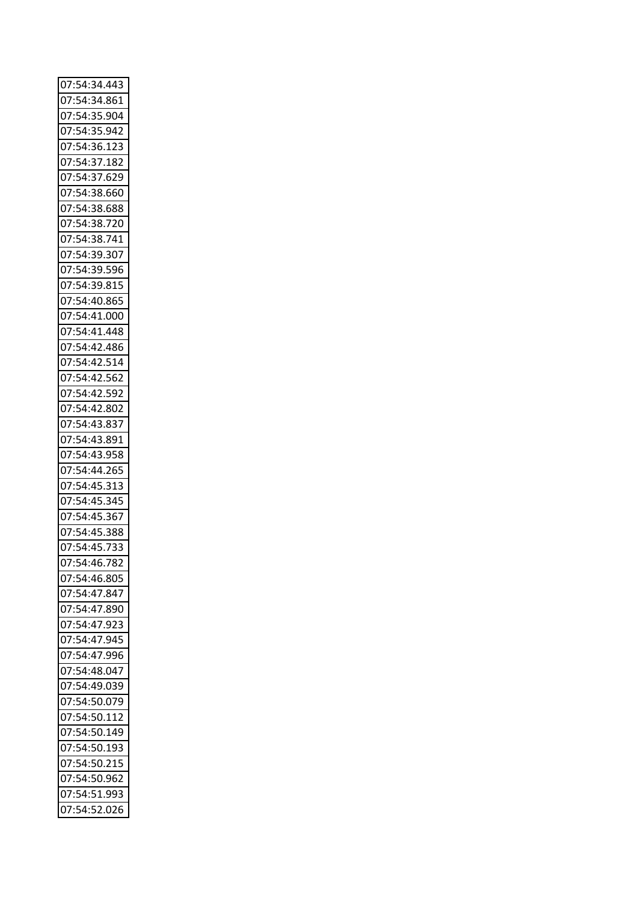| 07:54:34.443                 |  |
|------------------------------|--|
| 07:54:34.861                 |  |
| 07:54:35.904                 |  |
| 07:54:35.942                 |  |
| 07:54:36.123                 |  |
| 07:54:37.182                 |  |
| 07:54:37.629                 |  |
| 07:54:38.660                 |  |
| 07:54:38.688                 |  |
| 07:54:38.720                 |  |
| 07:54:38.741                 |  |
| 07:54:39.307                 |  |
| 07:54:39.596                 |  |
| 07:54:39.815                 |  |
| 07:54:40.865                 |  |
|                              |  |
| 07:54:41.000<br>07:54:41.448 |  |
|                              |  |
| 07:54:42.486                 |  |
| 07:54:42.514                 |  |
| 07:54:42.562                 |  |
| 07:54:42.592                 |  |
| 07:54:42.802                 |  |
| 07:54:43.837                 |  |
| 07:54:43.891                 |  |
| 07:54:43.958                 |  |
| 07:54:44.265                 |  |
| 07:54:45.313                 |  |
| 07:54:45.345                 |  |
| 07:54:45.367                 |  |
| 07:54:45.388                 |  |
| 07:54:45.733                 |  |
| 07:54:46.782                 |  |
| 07:54:46.805                 |  |
| 07:54:47.847                 |  |
| 07:54:47.890                 |  |
| 07:54:47.923                 |  |
| 07:54:47.945                 |  |
| 07:54:47.996                 |  |
| 07:54:48.047                 |  |
| 07:54:49.039                 |  |
| 07:54:50.079                 |  |
| 07:54:50.112                 |  |
|                              |  |
| 07:54:50.149                 |  |
| 07:54:50.193                 |  |
| 07:54:50.215                 |  |
| 07:54:50.962                 |  |
| 07:54:51.993                 |  |
| 07:54:52.026                 |  |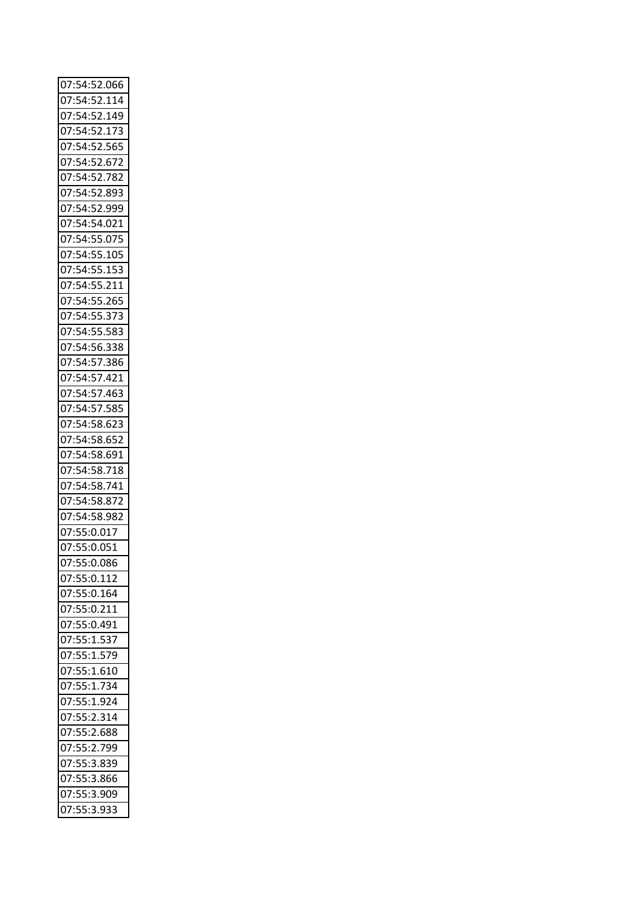| 07:54:52.066               |  |
|----------------------------|--|
| 07:54:52.114               |  |
| 07:54:52.149               |  |
| 07:54:52.173               |  |
| 07:54:52.565               |  |
| 07:54:52.672               |  |
| 07:54:52.782               |  |
| 07:54:52.893               |  |
| 07:54:52.999               |  |
| 07:54:54.021               |  |
| 07:54:55.075               |  |
|                            |  |
| 07:54:55.105               |  |
| 07:54:55.153               |  |
| 07:54:55.211               |  |
| 07:54:55.265               |  |
| 07:54:55.373               |  |
| 07:54:55.583               |  |
| 07:54:56.338               |  |
| 07:54:57.386               |  |
| 07:54:57.421               |  |
| 07:54:57.463               |  |
| 07:54:57.585               |  |
| 07:54:58.623               |  |
| 07:54:58.652               |  |
| 07:54:58.691               |  |
| 07:54:58.718               |  |
| 07:54:58.741               |  |
| 07:54:58.872               |  |
| 07:54:58.982               |  |
| 07:55:0.017                |  |
| 07:55:0.051                |  |
| 07:55:0.086                |  |
|                            |  |
| 07:55:0.112                |  |
| 07:55:0.164                |  |
| 07:55:0.211                |  |
|                            |  |
| 07:55:0.491                |  |
| 07:55:1.537                |  |
| 07:55:1.579                |  |
| 07:55:1.610                |  |
| 07:55:1.734                |  |
| 07:55:1.924                |  |
| 07:55:2.314                |  |
| 07:55:2.688                |  |
| 07:55:2.799                |  |
| 07:55:3.839                |  |
| 07:55:3.866                |  |
|                            |  |
| 07:55:3.909<br>07:55:3.933 |  |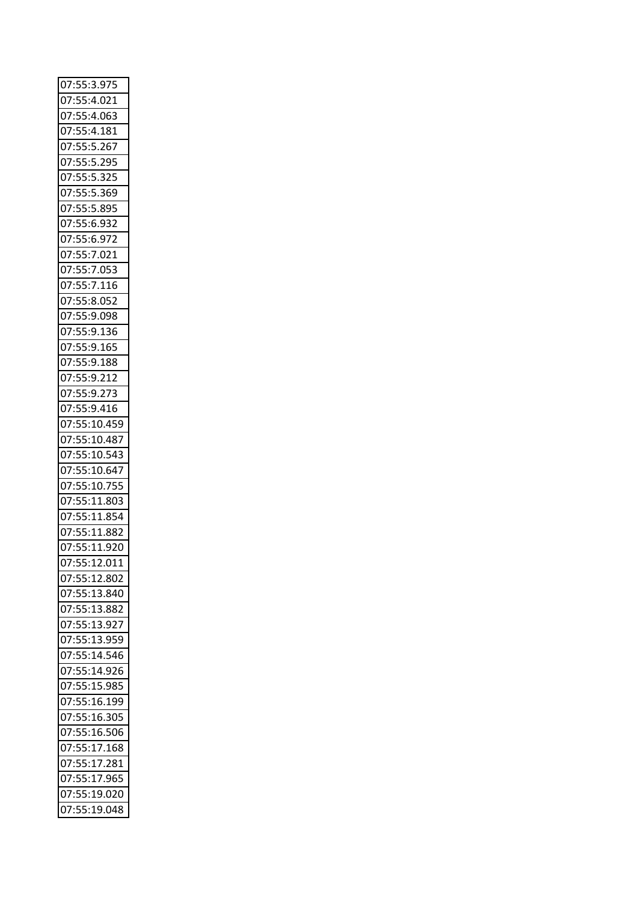| 07:55:3.975                  |  |
|------------------------------|--|
| 07:55:4.021                  |  |
| 07:55:4.063                  |  |
| 07:55:4.181                  |  |
| 07:55:5.267                  |  |
| 07:55:5.295                  |  |
| 07:55:5.325                  |  |
| 07:55:5.369                  |  |
| 07:55:5.895                  |  |
| 07:55:6.932                  |  |
| 07:55:6.972                  |  |
| 07:55:7.021                  |  |
| 07:55:7.053                  |  |
| 07:55:7.116                  |  |
| 07:55:8.052                  |  |
| 07:55:9.098                  |  |
| 07:55:9.136                  |  |
| 07:55:9.165                  |  |
| 07:55:9.188                  |  |
| 07:55:9.212                  |  |
| 07:55:9.273                  |  |
| 07:55:9.416                  |  |
| 07:55:10.459                 |  |
|                              |  |
| 07:55:10.487<br>07:55:10.543 |  |
|                              |  |
| 07:55:10.647                 |  |
| 07:55:10.755                 |  |
| 07:55:11.803                 |  |
| 07:55:11.854                 |  |
| 07:55:11.882                 |  |
| 07:55:11.920                 |  |
| 07:55:12.011                 |  |
| 07:55:12.802                 |  |
| 07:55:13.840                 |  |
| 07:55:13.882                 |  |
| 07:55:13.927                 |  |
| 07:55:13.959                 |  |
| 07:55:14.546                 |  |
| 07:55:14.926                 |  |
| 07:55:15.985                 |  |
| 07:55:16.199                 |  |
| 07:55:16.305                 |  |
| 07:55:16.506                 |  |
| 07:55:17.168                 |  |
| 07:55:17.281                 |  |
| 07:55:17.965                 |  |
| 07:55:19.020                 |  |
| 07:55:19.048                 |  |
|                              |  |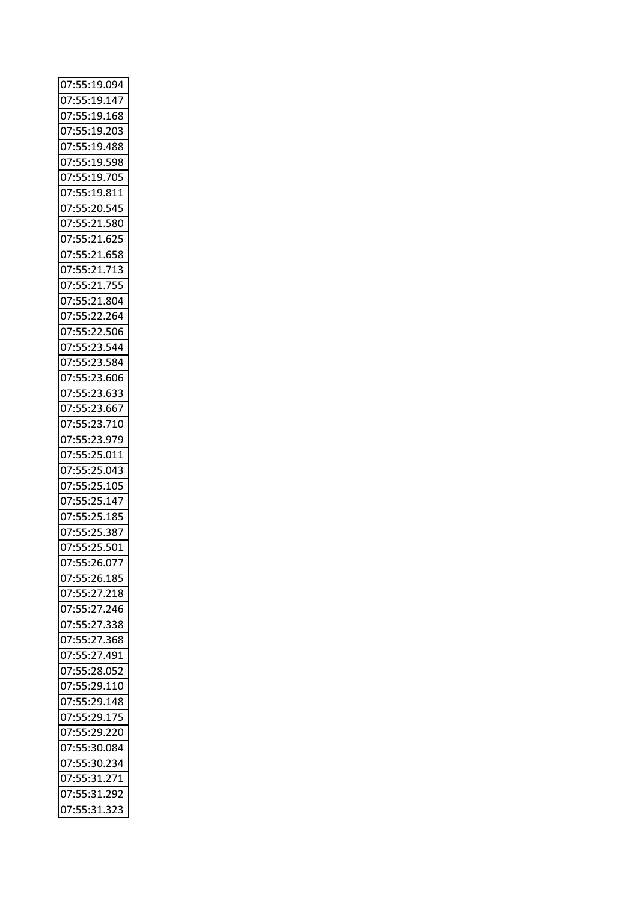| 07:55:19.094 |  |
|--------------|--|
| 07:55:19.147 |  |
| 07:55:19.168 |  |
| 07:55:19.203 |  |
| 07:55:19.488 |  |
| 07:55:19.598 |  |
| 07:55:19.705 |  |
| 07:55:19.811 |  |
| 07:55:20.545 |  |
| 07:55:21.580 |  |
|              |  |
| 07:55:21.625 |  |
| 07:55:21.658 |  |
| 07:55:21.713 |  |
| 07:55:21.755 |  |
| 07:55:21.804 |  |
| 07:55:22.264 |  |
| 07:55:22.506 |  |
| 07:55:23.544 |  |
| 07:55:23.584 |  |
| 07:55:23.606 |  |
| 07:55:23.633 |  |
| 07:55:23.667 |  |
| 07:55:23.710 |  |
| 07:55:23.979 |  |
| 07:55:25.011 |  |
| 07:55:25.043 |  |
| 07:55:25.105 |  |
|              |  |
| 07:55:25.147 |  |
| 07:55:25.185 |  |
| 07:55:25.387 |  |
| 07:55:25.501 |  |
| 07:55:26.077 |  |
| 07:55:26.185 |  |
| 07:55:27.218 |  |
| 07:55:27.246 |  |
| 07:55:27.338 |  |
| 07:55:27.368 |  |
| 07:55:27.491 |  |
| 07:55:28.052 |  |
| 07:55:29.110 |  |
| 07:55:29.148 |  |
| 07:55:29.175 |  |
| 07:55:29.220 |  |
| 07:55:30.084 |  |
|              |  |
| 07:55:30.234 |  |
| 07:55:31.271 |  |
| 07:55:31.292 |  |
| 07:55:31.323 |  |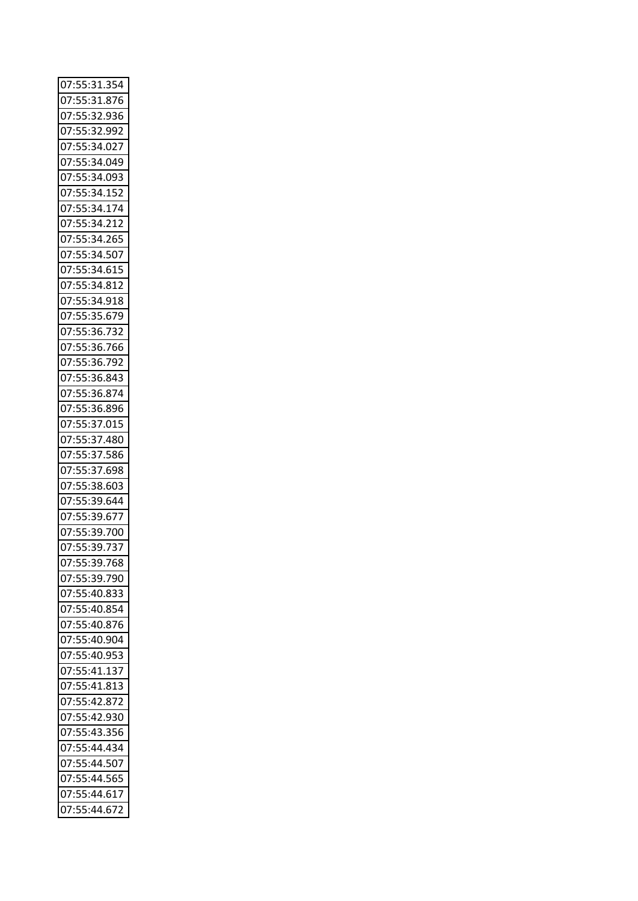| 07:55:31.354 |  |
|--------------|--|
| 07:55:31.876 |  |
| 07:55:32.936 |  |
| 07:55:32.992 |  |
| 07:55:34.027 |  |
| 07:55:34.049 |  |
| 07:55:34.093 |  |
| 07:55:34.152 |  |
| 07:55:34.174 |  |
| 07:55:34.212 |  |
|              |  |
| 07:55:34.265 |  |
| 07:55:34.507 |  |
| 07:55:34.615 |  |
| 07:55:34.812 |  |
| 07:55:34.918 |  |
| 07:55:35.679 |  |
| 07:55:36.732 |  |
| 07:55:36.766 |  |
| 07:55:36.792 |  |
| 07:55:36.843 |  |
| 07:55:36.874 |  |
| 07:55:36.896 |  |
| 07:55:37.015 |  |
| 07:55:37.480 |  |
| 07:55:37.586 |  |
| 07:55:37.698 |  |
|              |  |
| 07:55:38.603 |  |
| 07:55:39.644 |  |
| 07:55:39.677 |  |
| 07:55:39.700 |  |
| 07:55:39.737 |  |
| 07:55:39.768 |  |
| 07:55:39.790 |  |
| 07:55:40.833 |  |
| 07:55:40.854 |  |
| 07:55:40.876 |  |
| 07:55:40.904 |  |
| 07:55:40.953 |  |
| 07:55:41.137 |  |
| 07:55:41.813 |  |
| 07:55:42.872 |  |
| 07:55:42.930 |  |
| 07:55:43.356 |  |
|              |  |
| 07:55:44.434 |  |
| 07:55:44.507 |  |
| 07:55:44.565 |  |
| 07:55:44.617 |  |
| 07:55:44.672 |  |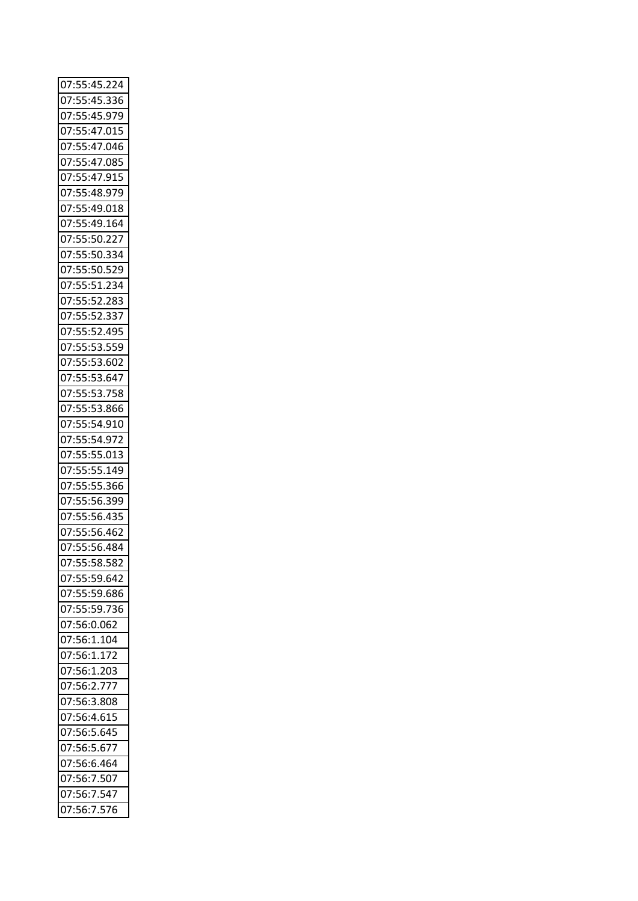| 07:55:45.224 |
|--------------|
| 07:55:45.336 |
| 07:55:45.979 |
| 07:55:47.015 |
| 07:55:47.046 |
| 07:55:47.085 |
| 07:55:47.915 |
| 07:55:48.979 |
| 07:55:49.018 |
| 07:55:49.164 |
| 07:55:50.227 |
| 07:55:50.334 |
| 07:55:50.529 |
| 07:55:51.234 |
| 07:55:52.283 |
| 07:55:52.337 |
| 07:55:52.495 |
| 07:55:53.559 |
| 07:55:53.602 |
| 07:55:53.647 |
| 07:55:53.758 |
| 07:55:53.866 |
| 07:55:54.910 |
| 07:55:54.972 |
| 07:55:55.013 |
| 07:55:55.149 |
| 07:55:55.366 |
| 07:55:56.399 |
| 07:55:56.435 |
| 07:55:56.462 |
| 07:55:56.484 |
|              |
| 07:55:58.582 |
| 07:55:59.642 |
| 07:55:59.686 |
| 07:55:59.736 |
| 07:56:0.062  |
| 07:56:1.104  |
| 07:56:1.172  |
| 07:56:1.203  |
| 07:56:2.777  |
| 07:56:3.808  |
| 07:56:4.615  |
| 07:56:5.645  |
| 07:56:5.677  |
| 07:56:6.464  |
| 07:56:7.507  |
| 07:56:7.547  |
| 07:56:7.576  |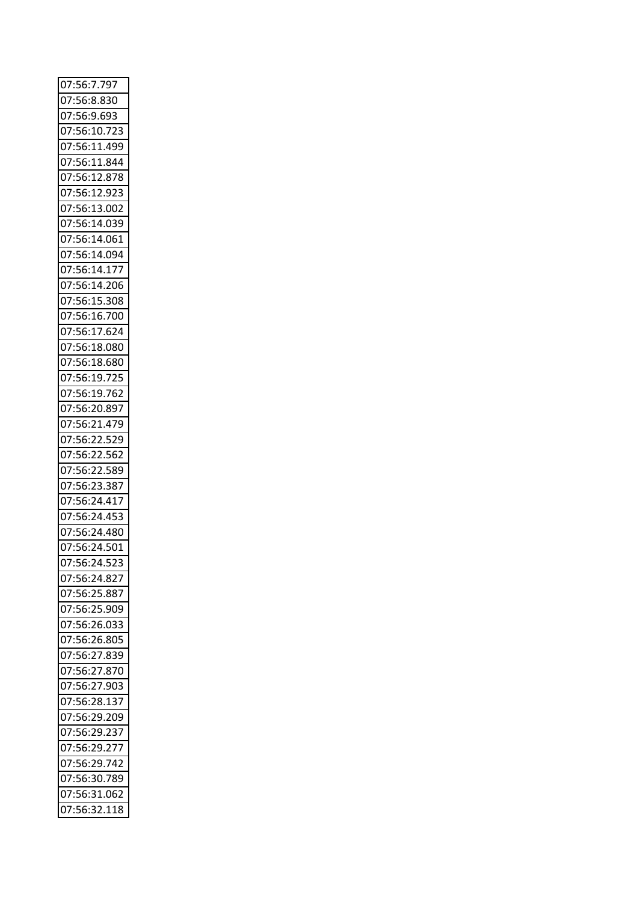| 07:56:7.797  |  |
|--------------|--|
| 07:56:8.830  |  |
| 07:56:9.693  |  |
| 07:56:10.723 |  |
| 07:56:11.499 |  |
| 07:56:11.844 |  |
| 07:56:12.878 |  |
| 07:56:12.923 |  |
| 07:56:13.002 |  |
| 07:56:14.039 |  |
| 07:56:14.061 |  |
| 07:56:14.094 |  |
| 07:56:14.177 |  |
| 07:56:14.206 |  |
| 07:56:15.308 |  |
| 07:56:16.700 |  |
| 07:56:17.624 |  |
| 07:56:18.080 |  |
| 07:56:18.680 |  |
| 07:56:19.725 |  |
| 07:56:19.762 |  |
| 07:56:20.897 |  |
| 07:56:21.479 |  |
| 07:56:22.529 |  |
| 07:56:22.562 |  |
| 07:56:22.589 |  |
| 07:56:23.387 |  |
| 07:56:24.417 |  |
| 07:56:24.453 |  |
| 07:56:24.480 |  |
| 07:56:24.501 |  |
| 07:56:24.523 |  |
| 07:56:24.827 |  |
| 07:56:25.887 |  |
| 07:56:25.909 |  |
| 07:56:26.033 |  |
| 07:56:26.805 |  |
| 07:56:27.839 |  |
| 07:56:27.870 |  |
| 07:56:27.903 |  |
| 07:56:28.137 |  |
| 07:56:29.209 |  |
| 07:56:29.237 |  |
| 07:56:29.277 |  |
| 07:56:29.742 |  |
| 07:56:30.789 |  |
| 07:56:31.062 |  |
| 07:56:32.118 |  |
|              |  |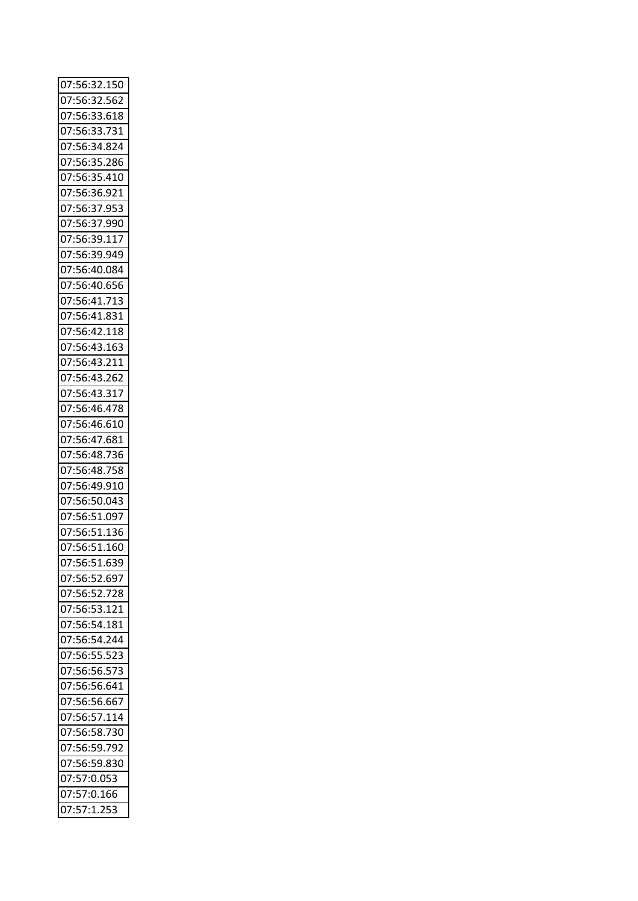| 07:56:32.150                 |  |
|------------------------------|--|
| 07:56:32.562                 |  |
| 07:56:33.618                 |  |
| 07:56:33.731                 |  |
| 07:56:34.824                 |  |
| 07:56:35.286                 |  |
| 07:56:35.410                 |  |
| 07:56:36.921                 |  |
| 07:56:37.953                 |  |
| 07:56:37.990                 |  |
| 07:56:39.117                 |  |
| 07:56:39.949                 |  |
| 07:56:40.084                 |  |
|                              |  |
| 07:56:40.656<br>07:56:41.713 |  |
|                              |  |
| 07:56:41.831                 |  |
| 07:56:42.118                 |  |
| 07:56:43.163                 |  |
| 07:56:43.211                 |  |
| 07:56:43.262                 |  |
| 07:56:43.317                 |  |
| 07:56:46.478                 |  |
| 07:56:46.610                 |  |
| 07:56:47.681                 |  |
| 07:56:48.736                 |  |
| 07:56:48.758                 |  |
| 07:56:49.910                 |  |
| 07:56:50.043                 |  |
| 07:56:51.097                 |  |
| 07:56:51.136                 |  |
| 07:56:51.160                 |  |
| 07:56:51.639                 |  |
| 07:56:52.697                 |  |
| 07:56:52.728                 |  |
| 07:56:53.121                 |  |
| 07:56:54.181                 |  |
| 07:56:54.244                 |  |
| 07:56:55.523                 |  |
| 07:56:56.573                 |  |
| 07:56:56.641                 |  |
| 07:56:56.667                 |  |
| 07:56:57.114                 |  |
| 07:56:58.730                 |  |
| 07:56:59.792                 |  |
|                              |  |
| 07:56:59.830                 |  |
| 07:57:0.053                  |  |
| 07:57:0.166                  |  |
| 07:57:1.253                  |  |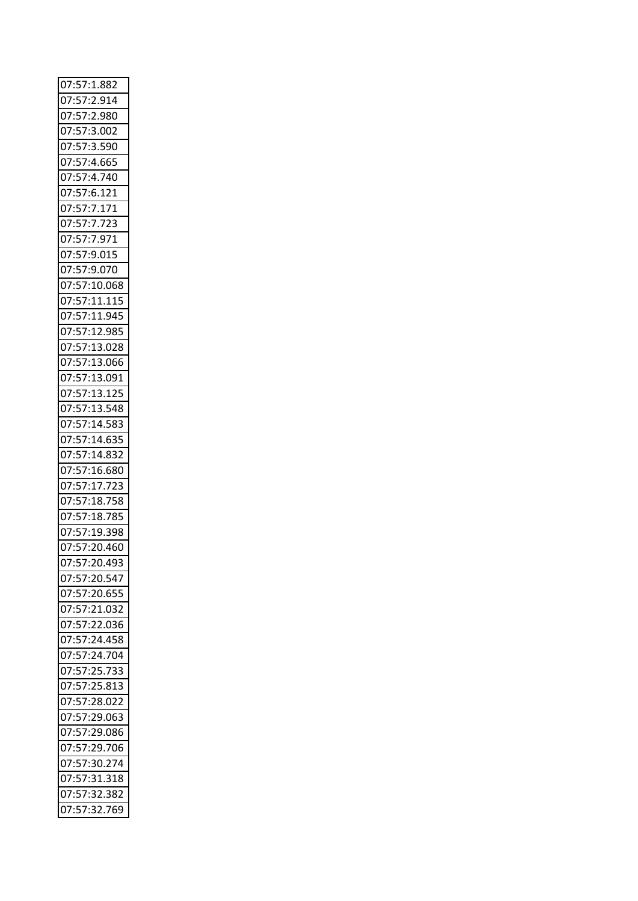| 07:57:1.882                   |
|-------------------------------|
| 07:57:2.914                   |
| 07:57:2.980                   |
| 07:57:3.002                   |
| 07:57:3.590                   |
| 07:57:4.665                   |
| 07:57:4.740                   |
| 07:57:6.121                   |
| 07:57:7.171                   |
| 07:57:7.723                   |
| 07:57:7.971                   |
| 07:57:9.015                   |
| 07:57:9.070                   |
| 07:57:10.068                  |
| 07:57:11.115                  |
| 07:57:11.945                  |
| $\frac{07:57:12.985}{0.0285}$ |
| 07:57:13.028                  |
| 07:57:13.066                  |
| 07:57:13.091                  |
| 07:57:13.125                  |
| 07:57:13.548                  |
| 07:57:14.583                  |
| 07:57:14.635                  |
| 07:57:14.832                  |
| 07:57:16.680                  |
| 07:57:17.723                  |
| 07:57:18.758                  |
| 07:57:18.785                  |
| 07:57:19.398                  |
| 07:57:20.460                  |
| 07:57:20.493                  |
| 07:57:20.547                  |
| 07:57:20.655                  |
| 07:57:21.032                  |
| 07:57:22.036                  |
| 07:57:24.458                  |
| 07:57:24.704                  |
| 07:57:25.733                  |
| 07:57:25.813                  |
| 07:57:28.022                  |
| 07:57:29.063                  |
| 07:57:29.086                  |
| 07:57:29.706                  |
| 07:57:30.274                  |
| 07:57:31.318                  |
| 07:57:32.382                  |
| 07:57:32.769                  |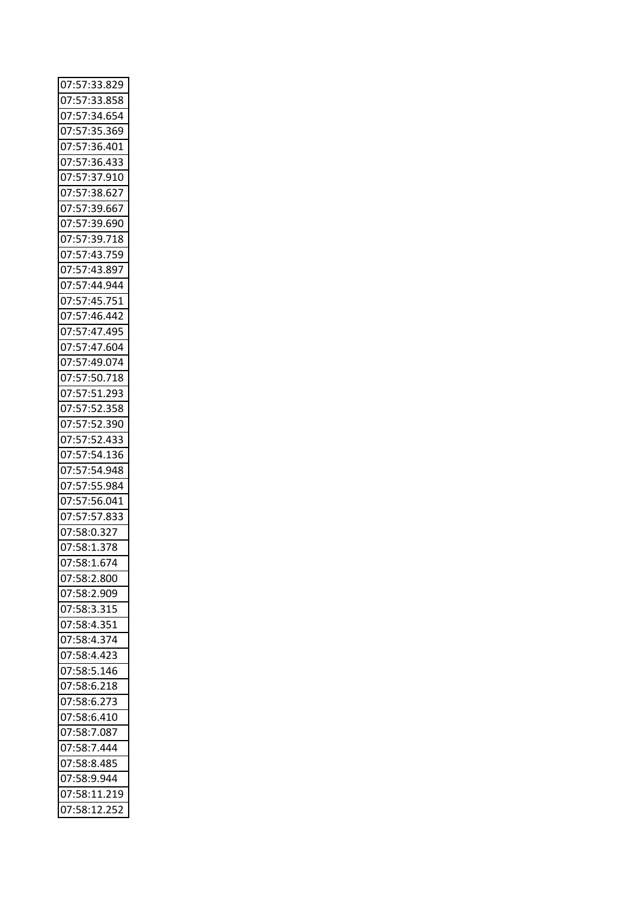| 07:57:33.829 |
|--------------|
| 07:57:33.858 |
| 07:57:34.654 |
| 07:57:35.369 |
| 07:57:36.401 |
| 07:57:36.433 |
| 07:57:37.910 |
| 07:57:38.627 |
| 07:57:39.667 |
| 07:57:39.690 |
| 07:57:39.718 |
| 07:57:43.759 |
| 07:57:43.897 |
| 07:57:44.944 |
| 07:57:45.751 |
| 07:57:46.442 |
| 07:57:47.495 |
|              |
| 07:57:47.604 |
| 07:57:49.074 |
| 07:57:50.718 |
| 07:57:51.293 |
| 07:57:52.358 |
| 07:57:52.390 |
| 07:57:52.433 |
| 07:57:54.136 |
| 07:57:54.948 |
| 07:57:55.984 |
| 07:57:56.041 |
| 07:57:57.833 |
| 07:58:0.327  |
| 07:58:1.378  |
| 07:58:1.674  |
| 07:58:2.800  |
| 07:58:2.909  |
| 07:58:3.315  |
| 07:58:4.351  |
| 07:58:4.374  |
| 07:58:4.423  |
| 07:58:5.146  |
| 07:58:6.218  |
| 07:58:6.273  |
| 07:58:6.410  |
| 07:58:7.087  |
| 07:58:7.444  |
| 07:58:8.485  |
| 07:58:9.944  |
| 07:58:11.219 |
| 07:58:12.252 |
|              |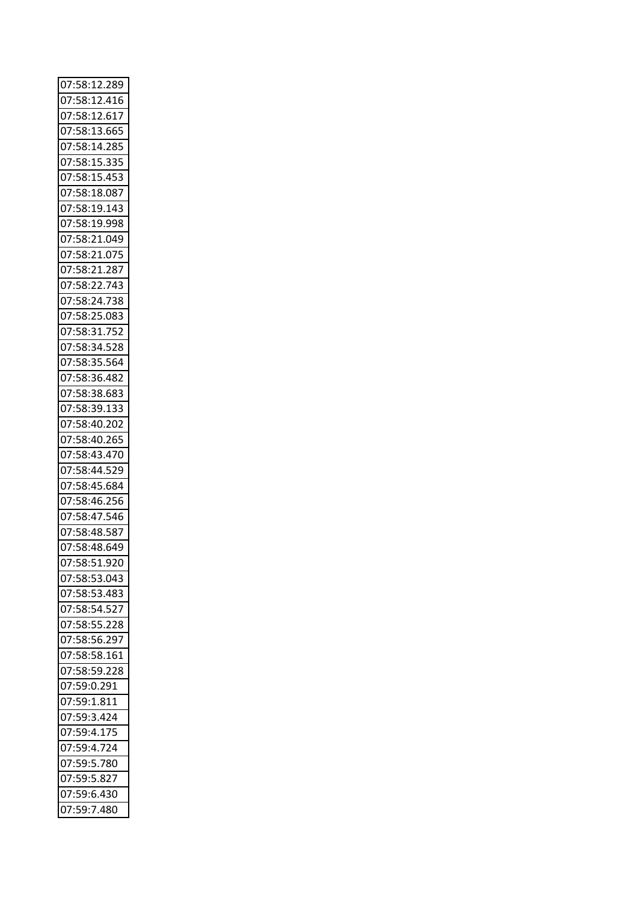| 07:58:12.289 |
|--------------|
| 07:58:12.416 |
| 07:58:12.617 |
| 07:58:13.665 |
| 07:58:14.285 |
| 07:58:15.335 |
| 07:58:15.453 |
| 07:58:18.087 |
| 07:58:19.143 |
| 07:58:19.998 |
| 07:58:21.049 |
| 07:58:21.075 |
| 07:58:21.287 |
|              |
| 07:58:22.743 |
| 07:58:24.738 |
| 07:58:25.083 |
| 07:58:31.752 |
| 07:58:34.528 |
| 07:58:35.564 |
| 07:58:36.482 |
| 07:58:38.683 |
| 07:58:39.133 |
| 07:58:40.202 |
| 07:58:40.265 |
| 07:58:43.470 |
| 07:58:44.529 |
| 07:58:45.684 |
| 07:58:46.256 |
| 07:58:47.546 |
| 07:58:48.587 |
| 07:58:48.649 |
| 07:58:51.920 |
|              |
| 07:58:53.043 |
| 07:58:53.483 |
| 07:58:54.527 |
| 07:58:55.228 |
| 07:58:56.297 |
| 07:58:58.161 |
| 07:58:59.228 |
| 07:59:0.291  |
| 07:59:1.811  |
| 07:59:3.424  |
| 07:59:4.175  |
| 07:59:4.724  |
| 07:59:5.780  |
| 07:59:5.827  |
| 07:59:6.430  |
| 07:59:7.480  |
|              |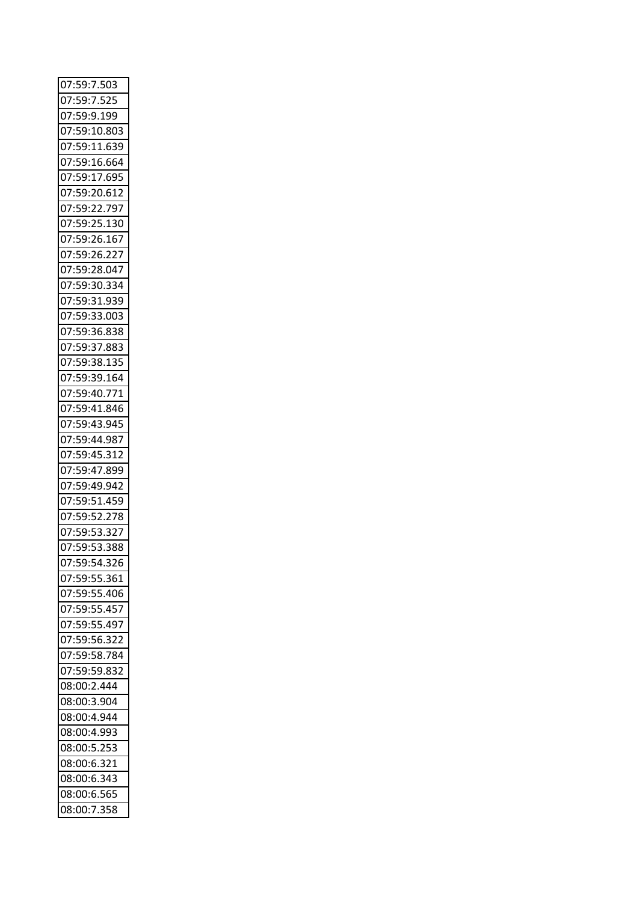| 07:59:7.503  |  |
|--------------|--|
| 07:59:7.525  |  |
| 07:59:9.199  |  |
| 07:59:10.803 |  |
| 07:59:11.639 |  |
| 07:59:16.664 |  |
| 07:59:17.695 |  |
| 07:59:20.612 |  |
| 07:59:22.797 |  |
| 07:59:25.130 |  |
| 07:59:26.167 |  |
| 07:59:26.227 |  |
| 07:59:28.047 |  |
| 07:59:30.334 |  |
| 07:59:31.939 |  |
| 07:59:33.003 |  |
| 07:59:36.838 |  |
| 07:59:37.883 |  |
| 07:59:38.135 |  |
| 07:59:39.164 |  |
| 07:59:40.771 |  |
| 07:59:41.846 |  |
| 07:59:43.945 |  |
| 07:59:44.987 |  |
| 07:59:45.312 |  |
| 07:59:47.899 |  |
| 07:59:49.942 |  |
| 07:59:51.459 |  |
| 07:59:52.278 |  |
| 07:59:53.327 |  |
| 07:59:53.388 |  |
| 07:59:54.326 |  |
| 07:59:55.361 |  |
| 07:59:55.406 |  |
| 07:59:55.457 |  |
| 07:59:55.497 |  |
| 07:59:56.322 |  |
| 07:59:58.784 |  |
| 07:59:59.832 |  |
| 08:00:2.444  |  |
| 08:00:3.904  |  |
| 08:00:4.944  |  |
| 08:00:4.993  |  |
| 08:00:5.253  |  |
| 08:00:6.321  |  |
| 08:00:6.343  |  |
| 08:00:6.565  |  |
| 08:00:7.358  |  |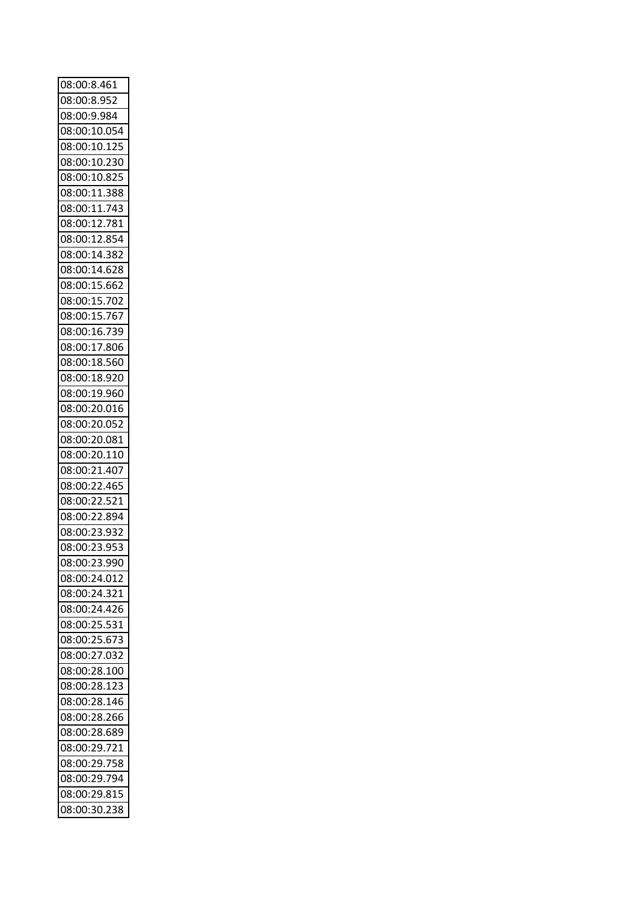| 08:00:8.461                  |  |
|------------------------------|--|
| 08:00:8.952                  |  |
| 08:00:9.984                  |  |
| 08:00:10.054                 |  |
| 08:00:10.125                 |  |
| 08:00:10.230                 |  |
| 08:00:10.825                 |  |
| 08:00:11.388                 |  |
| 08:00:11.743                 |  |
| 08:00:12.781                 |  |
| 08:00:12.854                 |  |
| 08:00:14.382                 |  |
| 08:00:14.628                 |  |
| 08:00:15.662                 |  |
| 08:00:15.702                 |  |
| 08:00:15.767                 |  |
|                              |  |
| 08:00:16.739<br>08:00:17.806 |  |
|                              |  |
| 08:00:18.560                 |  |
| 08:00:18.920                 |  |
| 08:00:19.960                 |  |
| 08:00:20.016                 |  |
| 08:00:20.052                 |  |
| 08:00:20.081                 |  |
| 08:00:20.110                 |  |
| 08:00:21.407                 |  |
| 08:00:22.465                 |  |
| 08:00:22.521                 |  |
| 08:00:22.894                 |  |
| 08:00:23.932                 |  |
| 08:00:23.953                 |  |
| 08:00:23.990                 |  |
| 08:00:24.012                 |  |
| 08:00:24.321                 |  |
| 08:00:24.426                 |  |
| 08:00:25.531                 |  |
| 08:00:25.673                 |  |
| 08:00:27.032                 |  |
| 08:00:28.100                 |  |
| 08:00:28.123                 |  |
| 08:00:28.146                 |  |
| 08:00:28.266                 |  |
| 08:00:28.689                 |  |
| 08:00:29.721                 |  |
| 08:00:29.758                 |  |
| 08:00:29.794                 |  |
| 08:00:29.815                 |  |
|                              |  |
| 08:00:30.238                 |  |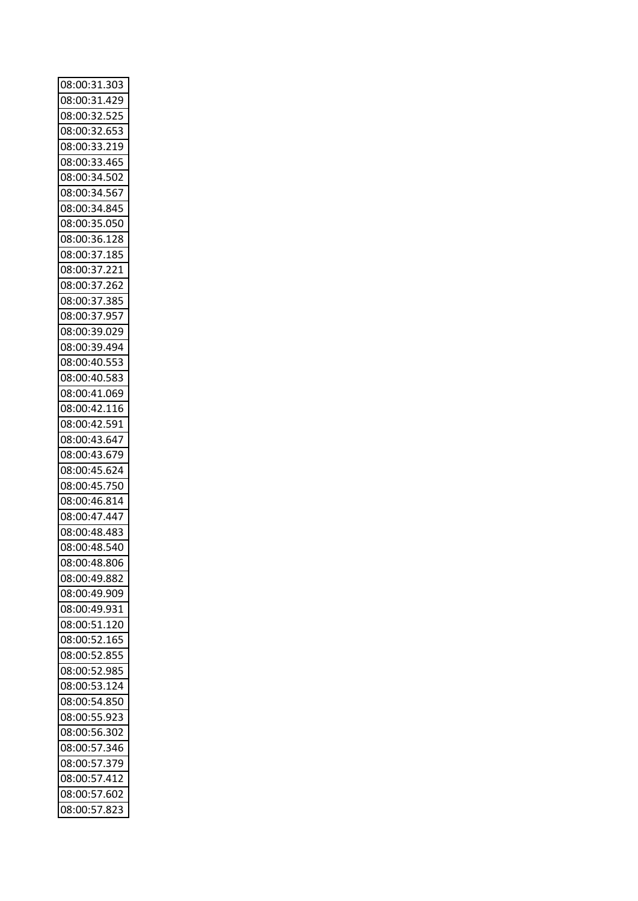| 08:00:31.303 |  |
|--------------|--|
| 08:00:31.429 |  |
| 08:00:32.525 |  |
| 08:00:32.653 |  |
| 08:00:33.219 |  |
| 08:00:33.465 |  |
| 08:00:34.502 |  |
| 08:00:34.567 |  |
| 08:00:34.845 |  |
| 08:00:35.050 |  |
|              |  |
| 08:00:36.128 |  |
| 08:00:37.185 |  |
| 08:00:37.221 |  |
| 08:00:37.262 |  |
| 08:00:37.385 |  |
| 08:00:37.957 |  |
| 08:00:39.029 |  |
| 08:00:39.494 |  |
| 08:00:40.553 |  |
| 08:00:40.583 |  |
| 08:00:41.069 |  |
| 08:00:42.116 |  |
| 08:00:42.591 |  |
| 08:00:43.647 |  |
|              |  |
| 08:00:43.679 |  |
| 08:00:45.624 |  |
| 08:00:45.750 |  |
| 08:00:46.814 |  |
| 08:00:47.447 |  |
| 08:00:48.483 |  |
| 08:00:48.540 |  |
| 08:00:48.806 |  |
| 08:00:49.882 |  |
| 08:00:49.909 |  |
| 08:00:49.931 |  |
| 08:00:51.120 |  |
| 08:00:52.165 |  |
| 08:00:52.855 |  |
|              |  |
| 08:00:52.985 |  |
| 08:00:53.124 |  |
| 08:00:54.850 |  |
| 08:00:55.923 |  |
| 08:00:56.302 |  |
| 08:00:57.346 |  |
| 08:00:57.379 |  |
| 08:00:57.412 |  |
| 08:00:57.602 |  |
|              |  |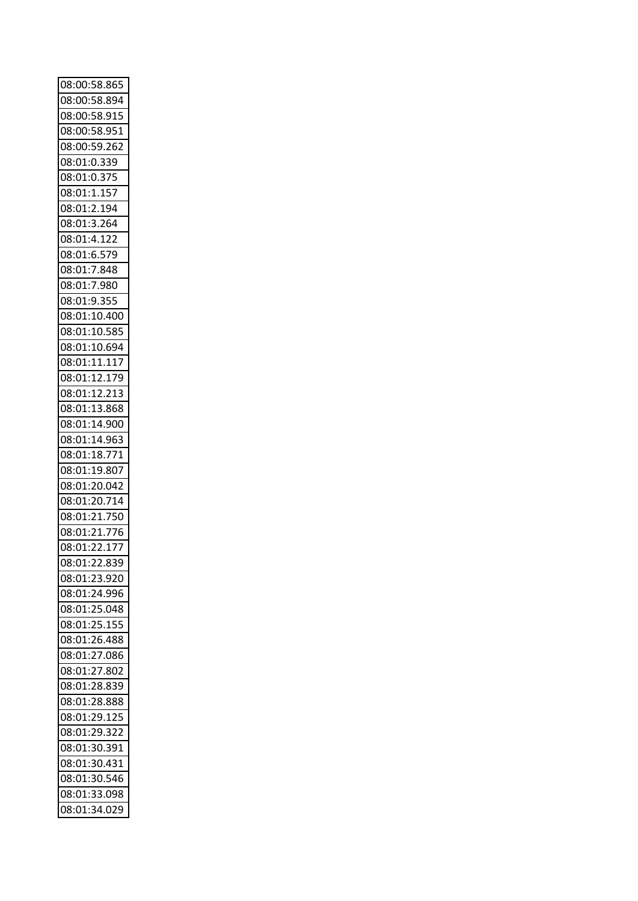| 08:00:58.865 |  |
|--------------|--|
| 08:00:58.894 |  |
| 08:00:58.915 |  |
| 08:00:58.951 |  |
| 08:00:59.262 |  |
| 08:01:0.339  |  |
| 08:01:0.375  |  |
| 08:01:1.157  |  |
| 08:01:2.194  |  |
| 08:01:3.264  |  |
| 08:01:4.122  |  |
| 08:01:6.579  |  |
| 08:01:7.848  |  |
| 08:01:7.980  |  |
| 08:01:9.355  |  |
| 08:01:10.400 |  |
| 08:01:10.585 |  |
| 08:01:10.694 |  |
| 08:01:11.117 |  |
| 08:01:12.179 |  |
| 08:01:12.213 |  |
| 08:01:13.868 |  |
| 08:01:14.900 |  |
| 08:01:14.963 |  |
| 08:01:18.771 |  |
| 08:01:19.807 |  |
| 08:01:20.042 |  |
| 08:01:20.714 |  |
| 08:01:21.750 |  |
| 08:01:21.776 |  |
| 08:01:22.177 |  |
| 08:01:22.839 |  |
| 08:01:23.920 |  |
| 08:01:24.996 |  |
| 08:01:25.048 |  |
| 08:01:25.155 |  |
| 08:01:26.488 |  |
| 08:01:27.086 |  |
| 08:01:27.802 |  |
| 08:01:28.839 |  |
| 08:01:28.888 |  |
| 08:01:29.125 |  |
| 08:01:29.322 |  |
| 08:01:30.391 |  |
| 08:01:30.431 |  |
| 08:01:30.546 |  |
| 08:01:33.098 |  |
| 08:01:34.029 |  |
|              |  |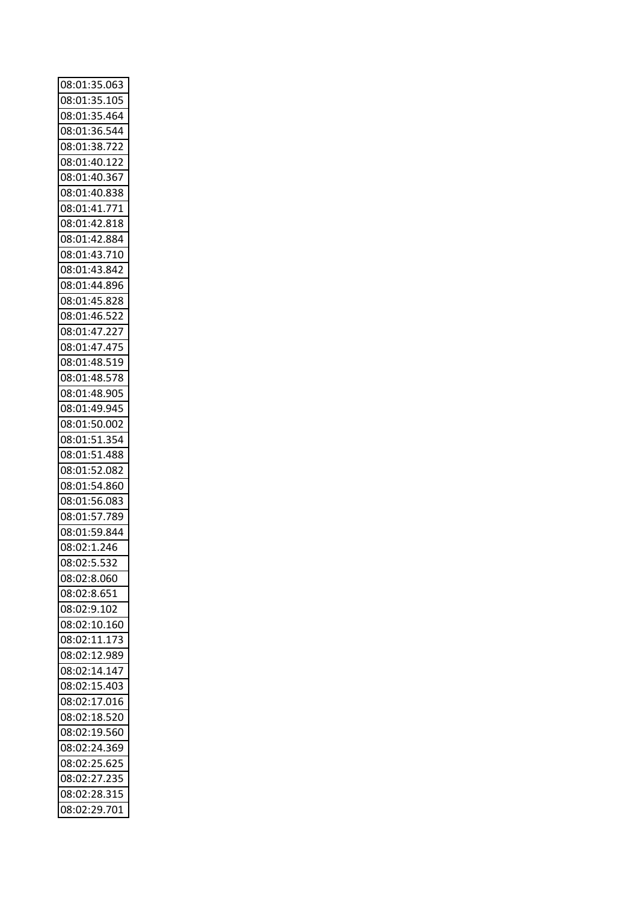| 08:01:35.063                 |
|------------------------------|
| 08:01:35.105                 |
| 08:01:35.464                 |
| 08:01:36.544                 |
| 08:01:38.722                 |
| 08:01:40.122                 |
| 08:01:40.367                 |
| 08:01:40.838                 |
| 08:01:41.771                 |
| 08:01:42.818                 |
| 08:01:42.884                 |
| 08:01:43.710                 |
| 08:01:43.842                 |
| 08:01:44.896                 |
| 08:01:45.828                 |
| 08:01:46.522                 |
| 08:01:47.227                 |
| 08:01:47.475                 |
| 08:01:48.519                 |
| 08:01:48.578                 |
| 08:01:48.905                 |
| 08:01:49.945                 |
| 08:01:50.002                 |
| 08:01:51.354                 |
| 08:01:51.488                 |
| 08:01:52.082                 |
| 08:01:54.860                 |
| 08:01:56.083                 |
| 08:01:57.789                 |
| 08:01:59.844                 |
| 08:02:1.246                  |
| 08:02:5.532                  |
| 08:02:8.060                  |
| 08:02:8.651                  |
| 08:02:9.102                  |
| 08:02:10.160                 |
| 08:02:11.173                 |
| 08:02:12.989                 |
| 08:02:14.147                 |
| 08:02:15.403                 |
| 08:02:17.016                 |
| 08:02:18.520                 |
| 08:02:19.560                 |
|                              |
| 08:02:24.369                 |
|                              |
| 08:02:25.625                 |
| 08:02:27.235                 |
| 08:02:28.315<br>08:02:29.701 |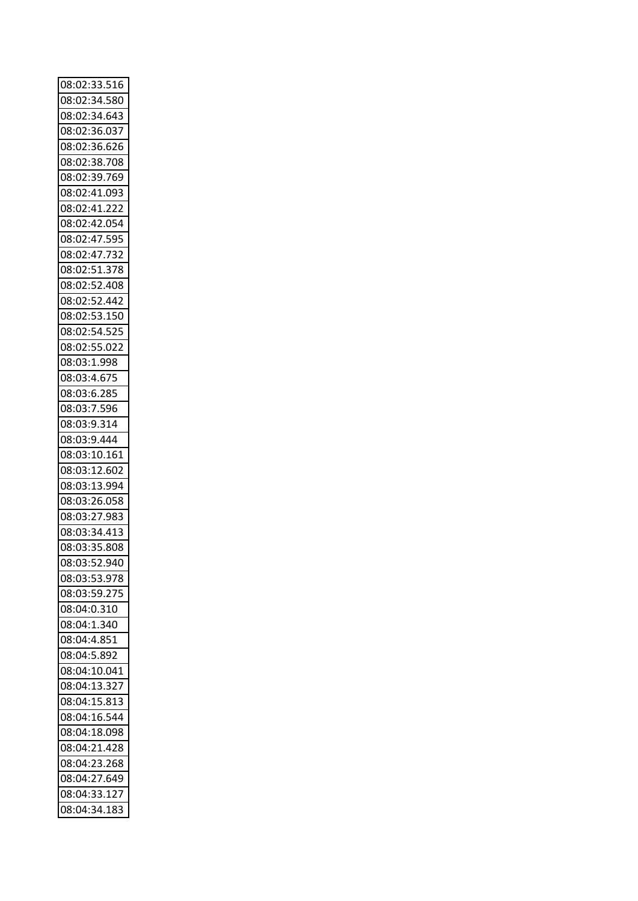| 08:02:33.516 |  |
|--------------|--|
| 08:02:34.580 |  |
| 08:02:34.643 |  |
| 08:02:36.037 |  |
| 08:02:36.626 |  |
| 08:02:38.708 |  |
| 08:02:39.769 |  |
| 08:02:41.093 |  |
| 08:02:41.222 |  |
| 08:02:42.054 |  |
| 08:02:47.595 |  |
| 08:02:47.732 |  |
| 08:02:51.378 |  |
| 08:02:52.408 |  |
| 08:02:52.442 |  |
| 08:02:53.150 |  |
| 08:02:54.525 |  |
| 08:02:55.022 |  |
| 08:03:1.998  |  |
| 08:03:4.675  |  |
| 08:03:6.285  |  |
| 08:03:7.596  |  |
| 08:03:9.314  |  |
| 08:03:9.444  |  |
| 08:03:10.161 |  |
| 08:03:12.602 |  |
| 08:03:13.994 |  |
| 08:03:26.058 |  |
| 08:03:27.983 |  |
| 08:03:34.413 |  |
| 08:03:35.808 |  |
| 08:03:52.940 |  |
| 08:03:53.978 |  |
| 08:03:59.275 |  |
| 08:04:0.310  |  |
| 08:04:1.340  |  |
| 08:04:4.851  |  |
| 08:04:5.892  |  |
| 08:04:10.041 |  |
| 08:04:13.327 |  |
| 08:04:15.813 |  |
| 08:04:16.544 |  |
| 08:04:18.098 |  |
| 08:04:21.428 |  |
| 08:04:23.268 |  |
|              |  |
| 08:04:27.649 |  |
| 08:04:33.127 |  |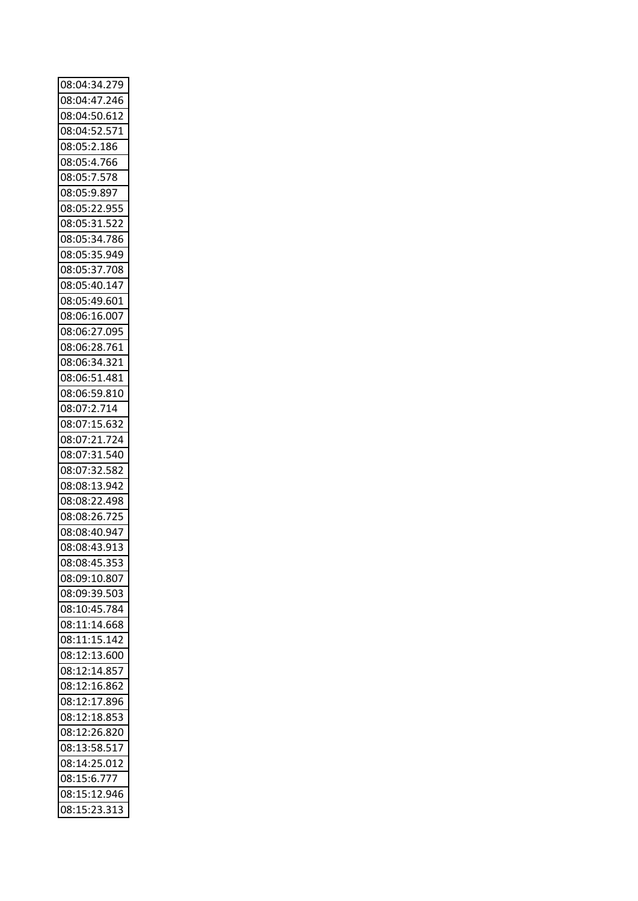| 08:04:34.279 |  |
|--------------|--|
| 08:04:47.246 |  |
| 08:04:50.612 |  |
| 08:04:52.571 |  |
| 08:05:2.186  |  |
| 08:05:4.766  |  |
| 08:05:7.578  |  |
| 08:05:9.897  |  |
| 08:05:22.955 |  |
| 08:05:31.522 |  |
| 08:05:34.786 |  |
| 08:05:35.949 |  |
| 08:05:37.708 |  |
| 08:05:40.147 |  |
| 08:05:49.601 |  |
| 08:06:16.007 |  |
| 08:06:27.095 |  |
| 08:06:28.761 |  |
| 08:06:34.321 |  |
| 08:06:51.481 |  |
| 08:06:59.810 |  |
| 08:07:2.714  |  |
| 08:07:15.632 |  |
| 08:07:21.724 |  |
| 08:07:31.540 |  |
| 08:07:32.582 |  |
| 08:08:13.942 |  |
| 08:08:22.498 |  |
| 08:08:26.725 |  |
| 08:08:40.947 |  |
| 08:08:43.913 |  |
| 08:08:45.353 |  |
| 08:09:10.807 |  |
| 08:09:39.503 |  |
| 08:10:45.784 |  |
| 08:11:14.668 |  |
| 08:11:15.142 |  |
| 08:12:13.600 |  |
| 08:12:14.857 |  |
| 08:12:16.862 |  |
| 08:12:17.896 |  |
| 08:12:18.853 |  |
| 08:12:26.820 |  |
| 08:13:58.517 |  |
| 08:14:25.012 |  |
| 08:15:6.777  |  |
| 08:15:12.946 |  |
| 08:15:23.313 |  |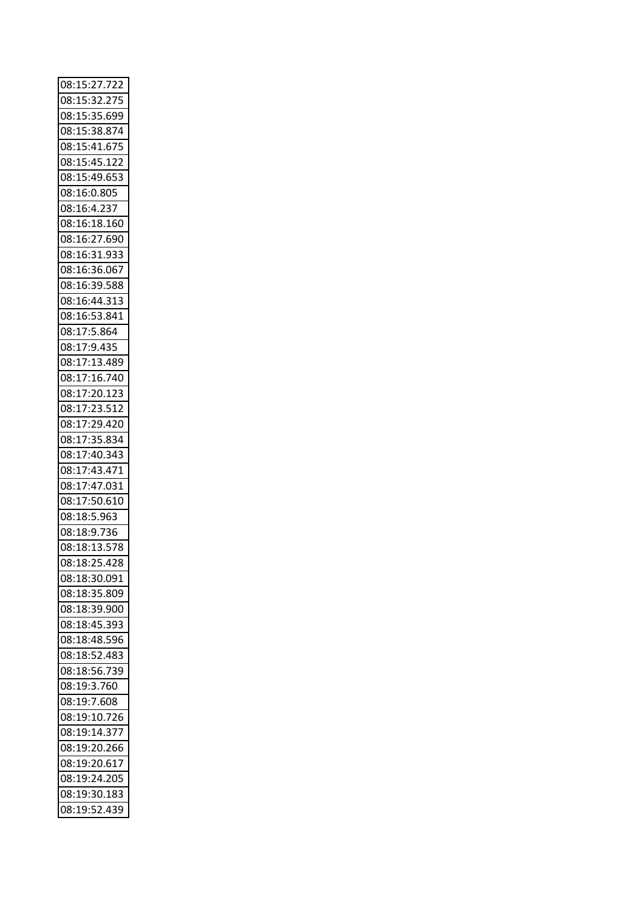| 08:15:27.722 |
|--------------|
| 08:15:32.275 |
| 08:15:35.699 |
| 08:15:38.874 |
| 08:15:41.675 |
| 08:15:45.122 |
| 08:15:49.653 |
| 08:16:0.805  |
| 08:16:4.237  |
| 08:16:18.160 |
| 08:16:27.690 |
| 08:16:31.933 |
| 08:16:36.067 |
| 08:16:39.588 |
| 08:16:44.313 |
| 08:16:53.841 |
| 08:17:5.864  |
| 08:17:9.435  |
| 08:17:13.489 |
| 08:17:16.740 |
| 08:17:20.123 |
| 08:17:23.512 |
| 08:17:29.420 |
| 08:17:35.834 |
| 08:17:40.343 |
| 08:17:43.471 |
| 08:17:47.031 |
| 08:17:50.610 |
| 08:18:5.963  |
| 08:18:9.736  |
| 08:18:13.578 |
| 08:18:25.428 |
| 08:18:30.091 |
| 08:18:35.809 |
| 08:18:39.900 |
| 08:18:45.393 |
| 08:18:48.596 |
| 08:18:52.483 |
| 08:18:56.739 |
| 08:19:3.760  |
| 08:19:7.608  |
| 08:19:10.726 |
| 08:19:14.377 |
| 08:19:20.266 |
| 08:19:20.617 |
| 08:19:24.205 |
| 08:19:30.183 |
| 08:19:52.439 |
|              |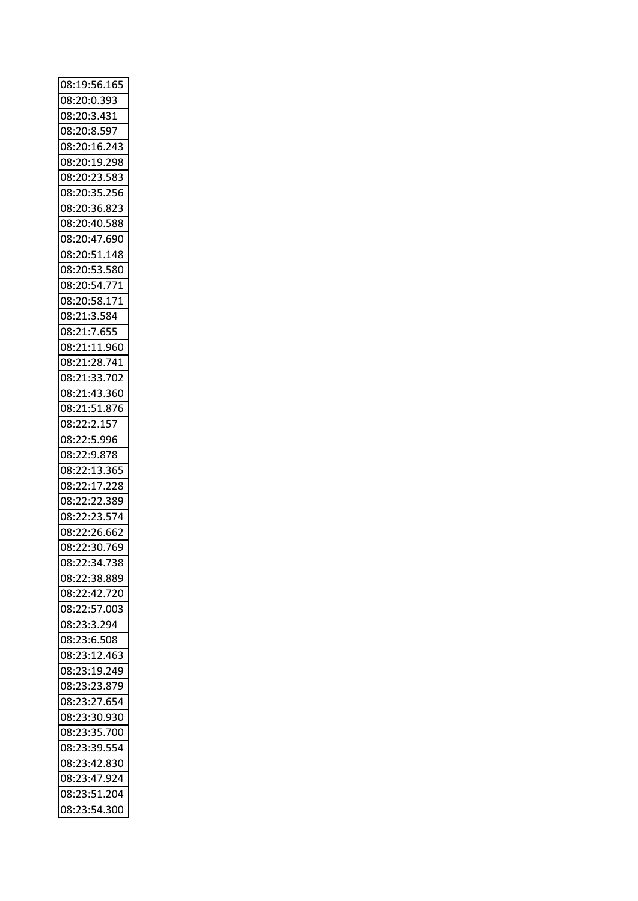| 08:19:56.165                 |  |
|------------------------------|--|
| 08:20:0.393                  |  |
| 08:20:3.431                  |  |
| 08:20:8.597                  |  |
| 08:20:16.243                 |  |
| 08:20:19.298                 |  |
| 08:20:23.583                 |  |
| 08:20:35.256                 |  |
| 08:20:36.823                 |  |
| 08:20:40.588                 |  |
| 08:20:47.690                 |  |
| 08:20:51.148                 |  |
| 08:20:53.580                 |  |
| 08:20:54.771                 |  |
| 08:20:58.171                 |  |
| 08:21:3.584                  |  |
| 08:21:7.655                  |  |
| 08:21:11.960                 |  |
| 08:21:28.741                 |  |
| 08:21:33.702                 |  |
| 08:21:43.360                 |  |
| 08:21:51.876                 |  |
| 08:22:2.157                  |  |
| 08:22:5.996                  |  |
| 08:22:9.878                  |  |
| 08:22:13.365                 |  |
| 08:22:17.228                 |  |
| 08:22:22.389                 |  |
| 08:22:23.574                 |  |
| 08:22:26.662                 |  |
| 08:22:30.769                 |  |
| 08:22:34.738                 |  |
| 08:22:38.889                 |  |
| 08:22:42.720                 |  |
| 08:22:57.003                 |  |
| 08:23:3.294                  |  |
| 08:23:6.508                  |  |
| 08:23:12.463                 |  |
| 08:23:19.249                 |  |
| 08:23:23.879                 |  |
| 08:23:27.654                 |  |
| 08:23:30.930                 |  |
|                              |  |
| 08:23:35.700                 |  |
| 08:23:39.554                 |  |
| 08:23:42.830                 |  |
| 08:23:47.924                 |  |
| 08:23:51.204<br>08:23:54.300 |  |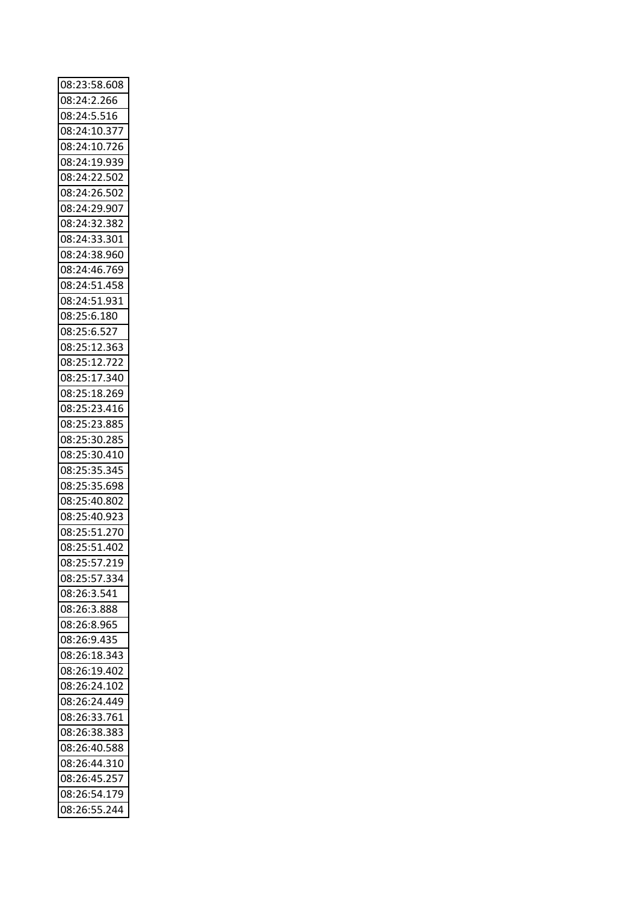| 08:23:58.608 |  |
|--------------|--|
| 08:24:2.266  |  |
| 08:24:5.516  |  |
| 08:24:10.377 |  |
| 08:24:10.726 |  |
| 08:24:19.939 |  |
| 08:24:22.502 |  |
| 08:24:26.502 |  |
| 08:24:29.907 |  |
| 08:24:32.382 |  |
| 08:24:33.301 |  |
| 08:24:38.960 |  |
| 08:24:46.769 |  |
|              |  |
| 08:24:51.458 |  |
| 08:24:51.931 |  |
| 08:25:6.180  |  |
| 08:25:6.527  |  |
| 08:25:12.363 |  |
| 08:25:12.722 |  |
| 08:25:17.340 |  |
| 08:25:18.269 |  |
| 08:25:23.416 |  |
| 08:25:23.885 |  |
| 08:25:30.285 |  |
| 08:25:30.410 |  |
| 08:25:35.345 |  |
| 08:25:35.698 |  |
| 08:25:40.802 |  |
| 08:25:40.923 |  |
| 08:25:51.270 |  |
| 08:25:51.402 |  |
|              |  |
| 08:25:57.219 |  |
| 08:25:57.334 |  |
| 08:26:3.541  |  |
| 08:26:3.888  |  |
| 08:26:8.965  |  |
| 08:26:9.435  |  |
| 08:26:18.343 |  |
| 08:26:19.402 |  |
| 08:26:24.102 |  |
| 08:26:24.449 |  |
| 08:26:33.761 |  |
| 08:26:38.383 |  |
| 08:26:40.588 |  |
| 08:26:44.310 |  |
| 08:26:45.257 |  |
| 08:26:54.179 |  |
| 08:26:55.244 |  |
|              |  |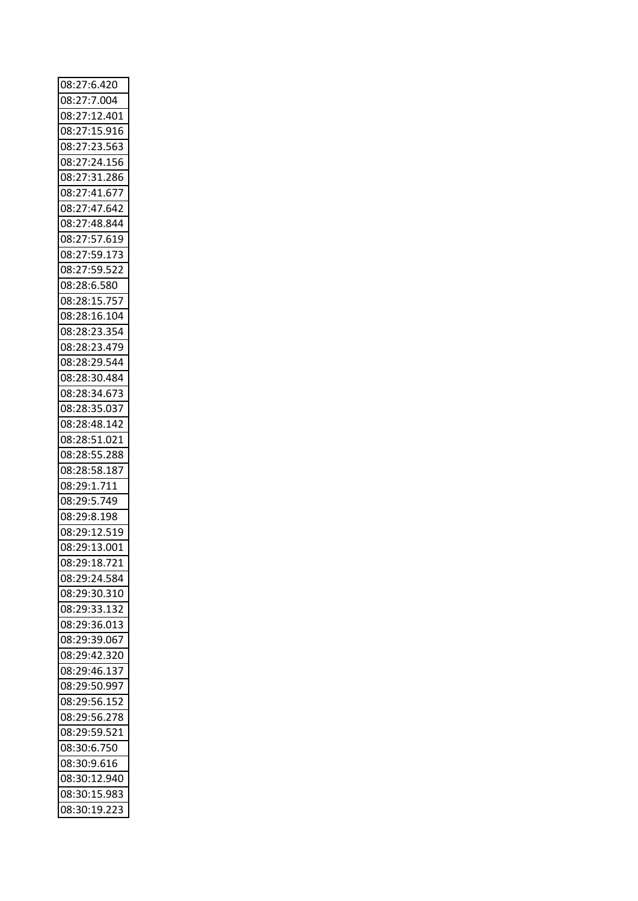| 08:27:6.420                  |  |
|------------------------------|--|
| 08:27:7.004                  |  |
| 08:27:12.401                 |  |
| 08:27:15.916                 |  |
| 08:27:23.563                 |  |
| 08:27:24.156                 |  |
| 08:27:31.286                 |  |
| 08:27:41.677                 |  |
| 08:27:47.642                 |  |
| 08:27:48.844                 |  |
|                              |  |
| 08:27:57.619                 |  |
| 08:27:59.173                 |  |
| 08:27:59.522                 |  |
| 08:28:6.580                  |  |
| 08:28:15.757                 |  |
| 08:28:16.104                 |  |
| 08:28:23.354                 |  |
| 08:28:23.479                 |  |
| 08:28:29.544                 |  |
| 08:28:30.484                 |  |
| 08:28:34.673                 |  |
| 08:28:35.037                 |  |
| 08:28:48.142                 |  |
| 08:28:51.021                 |  |
| 08:28:55.288                 |  |
|                              |  |
|                              |  |
| 08:28:58.187                 |  |
| 08:29:1.711                  |  |
| 08:29:5.749                  |  |
| 08:29:8.198                  |  |
| 08:29:12.519                 |  |
| 08:29:13.001                 |  |
| 08:29:18.721                 |  |
| 08:29:24.584                 |  |
| 08:29:30.310                 |  |
| 08:29:33.132                 |  |
| 08:29:36.013                 |  |
| 08:29:39.067                 |  |
| 08:29:42.320                 |  |
| 08:29:46.137                 |  |
| 08:29:50.997                 |  |
|                              |  |
| 08:29:56.152                 |  |
| 08:29:56.278                 |  |
| 08:29:59.521                 |  |
| 08:30:6.750                  |  |
| 08:30:9.616                  |  |
| 08:30:12.940                 |  |
| 08:30:15.983<br>08:30:19.223 |  |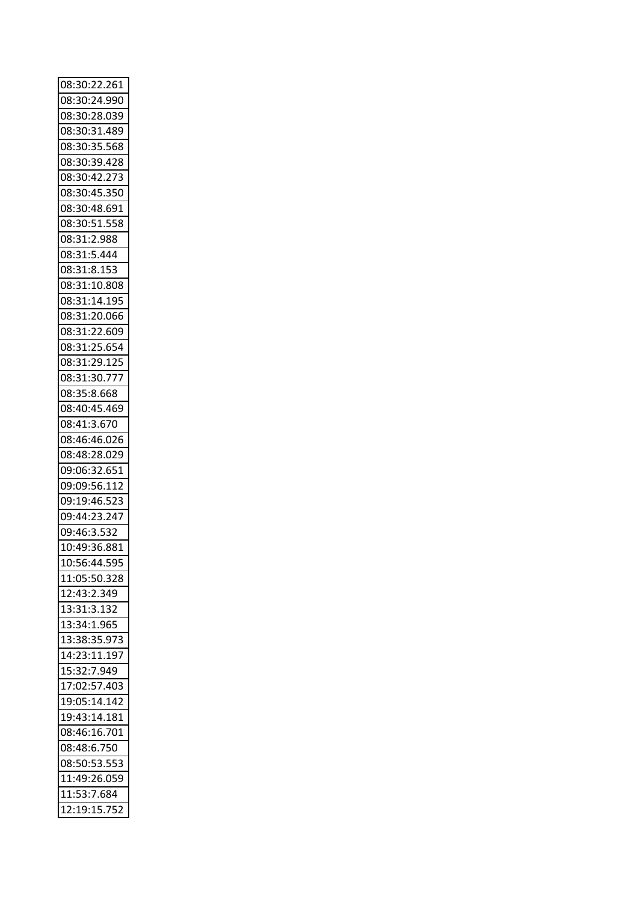| 08:30:22.261 |  |
|--------------|--|
| 08:30:24.990 |  |
| 08:30:28.039 |  |
| 08:30:31.489 |  |
| 08:30:35.568 |  |
| 08:30:39.428 |  |
| 08:30:42.273 |  |
| 08:30:45.350 |  |
| 08:30:48.691 |  |
| 08:30:51.558 |  |
|              |  |
| 08:31:2.988  |  |
| 08:31:5.444  |  |
| 08:31:8.153  |  |
| 08:31:10.808 |  |
| 08:31:14.195 |  |
| 08:31:20.066 |  |
| 08:31:22.609 |  |
| 08:31:25.654 |  |
| 08:31:29.125 |  |
| 08:31:30.777 |  |
| 08:35:8.668  |  |
| 08:40:45.469 |  |
| 08:41:3.670  |  |
| 08:46:46.026 |  |
| 08:48:28.029 |  |
| 09:06:32.651 |  |
| 09:09:56.112 |  |
| 09:19:46.523 |  |
|              |  |
| 09:44:23.247 |  |
| 09:46:3.532  |  |
| 10:49:36.881 |  |
| 10:56:44.595 |  |
| 11:05:50.328 |  |
| 12:43:2.349  |  |
| 13:31:3.132  |  |
| 13:34:1.965  |  |
| 13:38:35.973 |  |
| 14:23:11.197 |  |
| 15:32:7.949  |  |
| 17:02:57.403 |  |
| 19:05:14.142 |  |
| 19:43:14.181 |  |
| 08:46:16.701 |  |
| 08:48:6.750  |  |
| 08:50:53.553 |  |
| 11:49:26.059 |  |
|              |  |
| 11:53:7.684  |  |
| 12:19:15.752 |  |